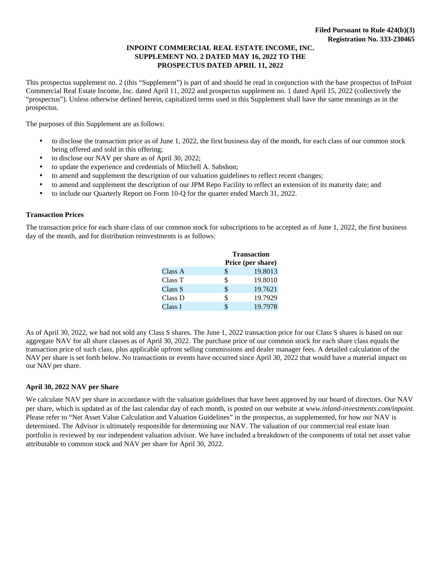#### **INPOINT COMMERCIAL REAL ESTATE INCOME, INC. SUPPLEMENT NO. 2 DATED MAY 16, 2022 TO THE PROSPECTUS DATED APRIL 11, 2022**

This prospectus supplement no. 2 (this "Supplement") is part of and should be read in conjunction with the base prospectus of InPoint Commercial Real Estate Income, Inc. dated April 11, 2022 and prospectus supplement no. 1 dated April 15, 2022 (collectively the "prospectus"). Unless otherwise defined herein, capitalized terms used in this Supplement shall have the same meanings as in the prospectus.

The purposes of this Supplement are as follows:

- to disclose the transaction price as of June 1, 2022, the first business day of the month, for each class of our common stock being offered and sold in this offering;
- to disclose our NAV per share as of April 30, 2022;
- to update the experience and credentials of Mitchell A. Sabshon;
- to amend and supplement the description of our valuation guidelines to reflect recent changes;
- to amend and supplement the description of our JPM Repo Facility to reflect an extension of its maturity date; and
- to include our Quarterly Report on Form 10-Q for the quarter ended March 31, 2022.

#### **Transaction Prices**

The transaction price for each share class of our common stock for subscriptions to be accepted as of June 1, 2022, the first business day of the month, and for distribution reinvestments is as follows:

|         |    | <b>Transaction</b> |
|---------|----|--------------------|
|         |    | Price (per share)  |
| Class A | \$ | 19.8013            |
| Class T | S  | 19.8010            |
| Class S | \$ | 19.7621            |
| Class D | \$ | 19.7929            |
| Class I |    | 19.7978            |

As of April 30, 2022, we had not sold any Class S shares. The June 1, 2022 transaction price for our Class S shares is based on our aggregate NAV for all share classes as of April 30, 2022. The purchase price of our common stock for each share class equals the transaction price of such class, plus applicable upfront selling commissions and dealer manager fees. A detailed calculation of the NAV per share is set forth below. No transactions or events have occurred since April 30, 2022 that would have a material impact on our NAV per share.

#### **April 30, 2022 NAV per Share**

We calculate NAV per share in accordance with the valuation guidelines that have been approved by our board of directors. Our NAV per share, which is updated as of the last calendar day of each month, is posted on our website at *[www.inland-investments.com/inpoint](https://inland-investments.com/inpoint)*. Please refer to "Net Asset Value Calculation and Valuation Guidelines" in the prospectus, as supplemented, for how our NAV is determined. The Advisor is ultimately responsible for determining our NAV. The valuation of our commercial real estate loan portfolio is reviewed by our independent valuation advisor. We have included a breakdown of the components of total net asset value attributable to common stock and NAV per share for April 30, 2022.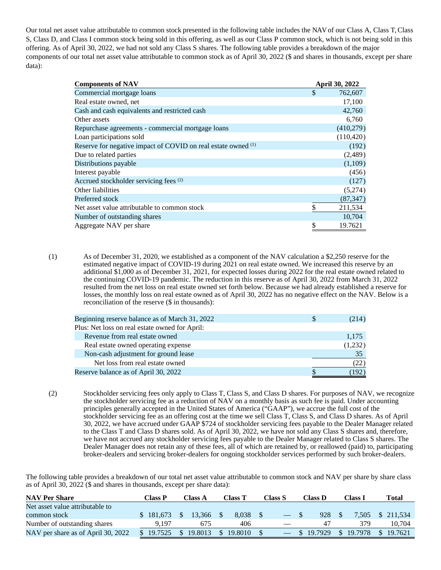Our total net asset value attributable to common stock presented in the following table includes the NAV of our Class A, Class T, Class S, Class D, and Class I common stock being sold in this offering, as well as our Class P common stock, which is not being sold in this offering. As of April 30, 2022, we had not sold any Class S shares. The following table provides a breakdown of the major components of our total net asset value attributable to common stock as of April 30, 2022 (\$ and shares in thousands, except per share data):

| <b>Components of NAV</b>                                      | April 30, 2022 |
|---------------------------------------------------------------|----------------|
| Commercial mortgage loans                                     | \$<br>762,607  |
| Real estate owned, net                                        | 17,100         |
| Cash and cash equivalents and restricted cash                 | 42,760         |
| Other assets                                                  | 6,760          |
| Repurchase agreements - commercial mortgage loans             | (410,279)      |
| Loan participations sold                                      | (110, 420)     |
| Reserve for negative impact of COVID on real estate owned (1) | (192)          |
| Due to related parties                                        | (2,489)        |
| Distributions payable                                         | (1,109)        |
| Interest payable                                              | (456)          |
| Accrued stockholder servicing fees (2)                        | (127)          |
| Other liabilities                                             | (5,274)        |
| Preferred stock                                               | (87, 347)      |
| Net asset value attributable to common stock                  | \$<br>211,534  |
| Number of outstanding shares                                  | 10,704         |
| Aggregate NAV per share                                       | \$<br>19.7621  |

(1) As of December 31, 2020, we established as a component of the NAV calculation a \$2,250 reserve for the estimated negative impact of COVID-19 during 2021 on real estate owned. We increased this reserve by an additional \$1,000 as of December 31, 2021, for expected losses during 2022 for the real estate owned related to the continuing COVID-19 pandemic. The reduction in this reserve as of April 30, 2022 from March 31, 2022 resulted from the net loss on real estate owned set forth below. Because we had already established a reserve for losses, the monthly loss on real estate owned as of April 30, 2022 has no negative effect on the NAV. Below is a reconciliation of the reserve (\$ in thousands):

| Beginning reserve balance as of March 31, 2022<br>\$. | (214)   |
|-------------------------------------------------------|---------|
| Plus: Net loss on real estate owned for April:        |         |
| Revenue from real estate owned                        | 1,175   |
| Real estate owned operating expense                   | (1,232) |
| Non-cash adjustment for ground lease                  | 35      |
| Net loss from real estate owned                       | (22)    |
| Reserve balance as of April 30, 2022                  | (192)   |

(2) Stockholder servicing fees only apply to Class T, Class S, and Class D shares. For purposes of NAV, we recognize the stockholder servicing fee as a reduction of NAV on a monthly basis as such fee is paid. Under accounting principles generally accepted in the United States of America ("GAAP"), we accrue the full cost of the stockholder servicing fee as an offering cost at the time we sell Class T, Class S, and Class D shares. As of April 30, 2022, we have accrued under GAAP \$724 of stockholder servicing fees payable to the Dealer Manager related to the Class T and Class D shares sold. As of April 30, 2022, we have not sold any Class S shares and, therefore, we have not accrued any stockholder servicing fees payable to the Dealer Manager related to Class S shares. The Dealer Manager does not retain any of these fees, all of which are retained by, or reallowed (paid) to, participating broker-dealers and servicing broker-dealers for ongoing stockholder services performed by such broker-dealers.

The following table provides a breakdown of our total net asset value attributable to common stock and NAV per share by share class as of April 30, 2022 (\$ and shares in thousands, except per share data):

| <b>NAV Per Share</b>               | Class P                  | Class A |         | Class T | Class S | Class D |         |              | Class I | Total |            |  |
|------------------------------------|--------------------------|---------|---------|---------|---------|---------|---------|--------------|---------|-------|------------|--|
| Net asset value attributable to    |                          |         |         |         |         |         |         |              |         |       |            |  |
| common stock                       | \$181,673                |         | 13.366  | 8.038   |         |         | 928     |              | 7.505   |       | \$ 211,534 |  |
| Number of outstanding shares       | 9.197                    |         | 675     | 406     |         |         | 47      |              | 379     |       | 10.704     |  |
| NAV per share as of April 30, 2022 | 19.7525<br>$\mathcal{S}$ |         | 19.8013 | 19.8010 |         |         | 19.7929 | $\mathbb{S}$ | 19.7978 |       | \$19.7621  |  |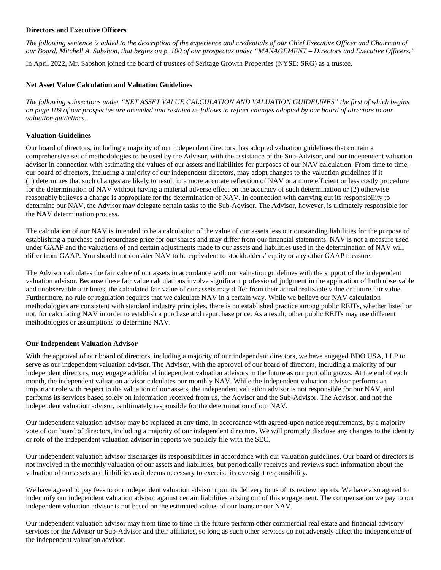#### **Directors and Executive Officers**

*The following sentence is added to the description of the experience and credentials of our Chief Executive Officer and Chairman of our Board, Mitchell A. Sabshon, that begins on p. 100 of our prospectus under "MANAGEMENT – Directors and Executive Officers."*

In April 2022, Mr. Sabshon joined the board of trustees of Seritage Growth Properties (NYSE: SRG) as a trustee.

#### **Net Asset Value Calculation and Valuation Guidelines**

*The following subsections under "NET ASSET VALUE CALCULATION AND VALUATION GUIDELINES" the first of which begins on page 109 of our prospectus are amended and restated as follows to reflect changes adopted by our board of directors to our valuation guidelines.* 

#### **Valuation Guidelines**

Our board of directors, including a majority of our independent directors, has adopted valuation guidelines that contain a comprehensive set of methodologies to be used by the Advisor, with the assistance of the Sub-Advisor, and our independent valuation advisor in connection with estimating the values of our assets and liabilities for purposes of our NAV calculation. From time to time, our board of directors, including a majority of our independent directors, may adopt changes to the valuation guidelines if it (1) determines that such changes are likely to result in a more accurate reflection of NAV or a more efficient or less costly procedure for the determination of NAV without having a material adverse effect on the accuracy of such determination or (2) otherwise reasonably believes a change is appropriate for the determination of NAV. In connection with carrying out its responsibility to determine our NAV, the Advisor may delegate certain tasks to the Sub-Advisor. The Advisor, however, is ultimately responsible for the NAV determination process.

The calculation of our NAV is intended to be a calculation of the value of our assets less our outstanding liabilities for the purpose of establishing a purchase and repurchase price for our shares and may differ from our financial statements. NAV is not a measure used under GAAP and the valuations of and certain adjustments made to our assets and liabilities used in the determination of NAV will differ from GAAP. You should not consider NAV to be equivalent to stockholders' equity or any other GAAP measure.

The Advisor calculates the fair value of our assets in accordance with our valuation guidelines with the support of the independent valuation advisor. Because these fair value calculations involve significant professional judgment in the application of both observable and unobservable attributes, the calculated fair value of our assets may differ from their actual realizable value or future fair value. Furthermore, no rule or regulation requires that we calculate NAV in a certain way. While we believe our NAV calculation methodologies are consistent with standard industry principles, there is no established practice among public REITs, whether listed or not, for calculating NAV in order to establish a purchase and repurchase price. As a result, other public REITs may use different methodologies or assumptions to determine NAV.

#### **Our Independent Valuation Advisor**

With the approval of our board of directors, including a majority of our independent directors, we have engaged BDO USA, LLP to serve as our independent valuation advisor. The Advisor, with the approval of our board of directors, including a majority of our independent directors, may engage additional independent valuation advisors in the future as our portfolio grows. At the end of each month, the independent valuation advisor calculates our monthly NAV. While the independent valuation advisor performs an important role with respect to the valuation of our assets, the independent valuation advisor is not responsible for our NAV, and performs its services based solely on information received from us, the Advisor and the Sub-Advisor. The Advisor, and not the independent valuation advisor, is ultimately responsible for the determination of our NAV.

Our independent valuation advisor may be replaced at any time, in accordance with agreed-upon notice requirements, by a majority vote of our board of directors, including a majority of our independent directors. We will promptly disclose any changes to the identity or role of the independent valuation advisor in reports we publicly file with the SEC.

Our independent valuation advisor discharges its responsibilities in accordance with our valuation guidelines. Our board of directors is not involved in the monthly valuation of our assets and liabilities, but periodically receives and reviews such information about the valuation of our assets and liabilities as it deems necessary to exercise its oversight responsibility.

We have agreed to pay fees to our independent valuation advisor upon its delivery to us of its review reports. We have also agreed to indemnify our independent valuation advisor against certain liabilities arising out of this engagement. The compensation we pay to our independent valuation advisor is not based on the estimated values of our loans or our NAV.

Our independent valuation advisor may from time to time in the future perform other commercial real estate and financial advisory services for the Advisor or Sub-Advisor and their affiliates, so long as such other services do not adversely affect the independence of the independent valuation advisor.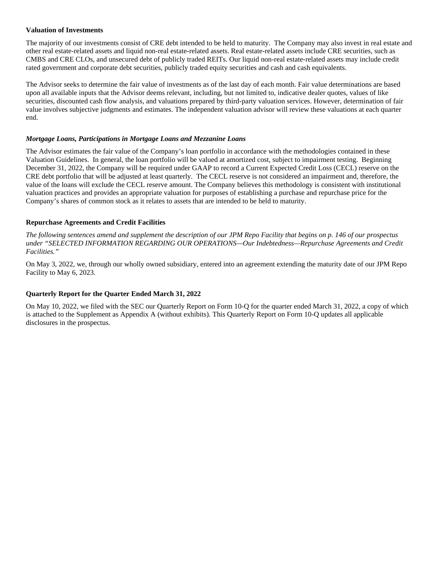#### **Valuation of Investments**

The majority of our investments consist of CRE debt intended to be held to maturity. The Company may also invest in real estate and other real estate-related assets and liquid non-real estate-related assets. Real estate-related assets include CRE securities, such as CMBS and CRE CLOs, and unsecured debt of publicly traded REITs. Our liquid non-real estate-related assets may include credit rated government and corporate debt securities, publicly traded equity securities and cash and cash equivalents.

The Advisor seeks to determine the fair value of investments as of the last day of each month. Fair value determinations are based upon all available inputs that the Advisor deems relevant, including, but not limited to, indicative dealer quotes, values of like securities, discounted cash flow analysis, and valuations prepared by third-party valuation services. However, determination of fair value involves subjective judgments and estimates. The independent valuation advisor will review these valuations at each quarter end.

#### *Mortgage Loans, Participations in Mortgage Loans and Mezzanine Loans*

The Advisor estimates the fair value of the Company's loan portfolio in accordance with the methodologies contained in these Valuation Guidelines. In general, the loan portfolio will be valued at amortized cost, subject to impairment testing. Beginning December 31, 2022, the Company will be required under GAAP to record a Current Expected Credit Loss (CECL) reserve on the CRE debt portfolio that will be adjusted at least quarterly. The CECL reserve is not considered an impairment and, therefore, the value of the loans will exclude the CECL reserve amount. The Company believes this methodology is consistent with institutional valuation practices and provides an appropriate valuation for purposes of establishing a purchase and repurchase price for the Company's shares of common stock as it relates to assets that are intended to be held to maturity.

#### **Repurchase Agreements and Credit Facilities**

*The following sentences amend and supplement the description of our JPM Repo Facility that begins on p. 146 of our prospectus under "SELECTED INFORMATION REGARDING OUR OPERATIONS—Our Indebtedness—Repurchase Agreements and Credit Facilities."*

On May 3, 2022, we, through our wholly owned subsidiary, entered into an agreement extending the maturity date of our JPM Repo Facility to May 6, 2023.

#### **Quarterly Report for the Quarter Ended March 31, 2022**

On May 10, 2022, we filed with the SEC our Quarterly Report on Form 10-Q for the quarter ended March 31, 2022, a copy of which is attached to the Supplement as Appendix A (without exhibits). This Quarterly Report on Form 10-Q updates all applicable disclosures in the prospectus.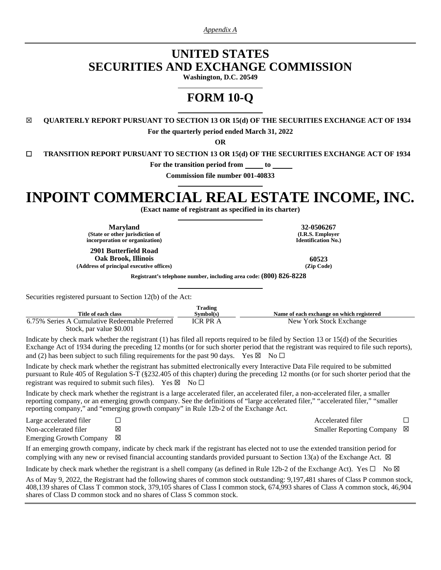*Appendix A*

## **UNITED STATES SECURITIES AND EXCHANGE COMMISSION**

**Washington, D.C. 20549** 

# **FORM 10-Q**

☒ **QUARTERLY REPORT PURSUANT TO SECTION 13 OR 15(d) OF THE SECURITIES EXCHANGE ACT OF 1934 For the quarterly period ended March 31, 2022**

**OR**

**☐ TRANSITION REPORT PURSUANT TO SECTION 13 OR 15(d) OF THE SECURITIES EXCHANGE ACT OF 1934**

**For the transition period from to** 

**Commission file number 001-40833**

# **INPOINT COMMERCIAL REAL ESTATE INCOME, INC.**

**(Exact name of registrant as specified in its charter)** 

**Maryland 32-0506267 (State or other jurisdiction of incorporation or organization)**

**(I.R.S. Employer Identification No.)**

**2901 Butterfield Road Oak Brook, Illinois 60523**

 $(Address of principal executive offices)$ 

**Registrant's telephone number, including area code: (800) 826-8228** 

Securities registered pursuant to Section 12(b) of the Act:

|                                                | Trading         |                                           |
|------------------------------------------------|-----------------|-------------------------------------------|
| Title of each class                            | Symbol(s)       | Name of each exchange on which registered |
| 6.75% Series A Cumulative Redeemable Preferred | <b>ICR PR A</b> | New York Stock Exchange                   |
| Stock, par value \$0.001                       |                 |                                           |

Indicate by check mark whether the registrant (1) has filed all reports required to be filed by Section 13 or 15(d) of the Securities Exchange Act of 1934 during the preceding 12 months (or for such shorter period that the registrant was required to file such reports), and (2) has been subject to such filing requirements for the past 90 days. Yes  $\boxtimes$  No  $\Box$ 

Indicate by check mark whether the registrant has submitted electronically every Interactive Data File required to be submitted pursuant to Rule 405 of Regulation S-T (§232.405 of this chapter) during the preceding 12 months (or for such shorter period that the registrant was required to submit such files). Yes  $\boxtimes$  No  $\Box$ 

Indicate by check mark whether the registrant is a large accelerated filer, an accelerated filer, a non-accelerated filer, a smaller reporting company, or an emerging growth company. See the definitions of "large accelerated filer," "accelerated filer," "smaller reporting company," and "emerging growth company" in Rule 12b-2 of the Exchange Act.

| Large accelerated filer             | Accelerated filer           |  |
|-------------------------------------|-----------------------------|--|
| Non-accelerated filer               | Smaller Reporting Company ⊠ |  |
| Emerging Growth Company $\boxtimes$ |                             |  |

If an emerging growth company, indicate by check mark if the registrant has elected not to use the extended transition period for complying with any new or revised financial accounting standards provided pursuant to Section 13(a) of the Exchange Act.  $\boxtimes$ 

Indicate by check mark whether the registrant is a shell company (as defined in Rule 12b-2 of the Exchange Act). Yes  $\Box$  No  $\boxtimes$ 

As of May 9, 2022, the Registrant had the following shares of common stock outstanding: 9,197,481 shares of Class P common stock, 408,139 shares of Class T common stock, 379,105 shares of Class I common stock, 674,993 shares of Class A common stock, 46,904 shares of Class D common stock and no shares of Class S common stock.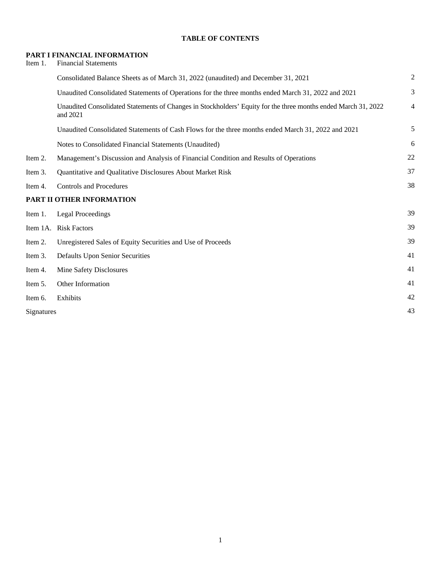#### **TABLE OF CONTENTS**

#### **PART I FINANCIAL INFORMATION**

| Item 1.    | <b>Financial Statements</b>                                                                                                |                |
|------------|----------------------------------------------------------------------------------------------------------------------------|----------------|
|            | Consolidated Balance Sheets as of March 31, 2022 (unaudited) and December 31, 2021                                         | $\overline{c}$ |
|            | Unaudited Consolidated Statements of Operations for the three months ended March 31, 2022 and 2021                         | 3              |
|            | Unaudited Consolidated Statements of Changes in Stockholders' Equity for the three months ended March 31, 2022<br>and 2021 | $\overline{4}$ |
|            | Unaudited Consolidated Statements of Cash Flows for the three months ended March 31, 2022 and 2021                         | 5              |
|            | Notes to Consolidated Financial Statements (Unaudited)                                                                     | 6              |
| Item 2.    | Management's Discussion and Analysis of Financial Condition and Results of Operations                                      | 22             |
| Item 3.    | Quantitative and Qualitative Disclosures About Market Risk                                                                 | 37             |
| Item 4.    | <b>Controls and Procedures</b>                                                                                             | 38             |
|            | PART II OTHER INFORMATION                                                                                                  |                |
| Item 1.    | <b>Legal Proceedings</b>                                                                                                   | 39             |
|            | Item 1A. Risk Factors                                                                                                      | 39             |
| Item 2.    | Unregistered Sales of Equity Securities and Use of Proceeds                                                                | 39             |
| Item 3.    | <b>Defaults Upon Senior Securities</b>                                                                                     | 41             |
| Item 4.    | Mine Safety Disclosures                                                                                                    | 41             |
| Item 5.    | Other Information                                                                                                          | 41             |
| Item 6.    | Exhibits                                                                                                                   | 42             |
| Signatures |                                                                                                                            | 43             |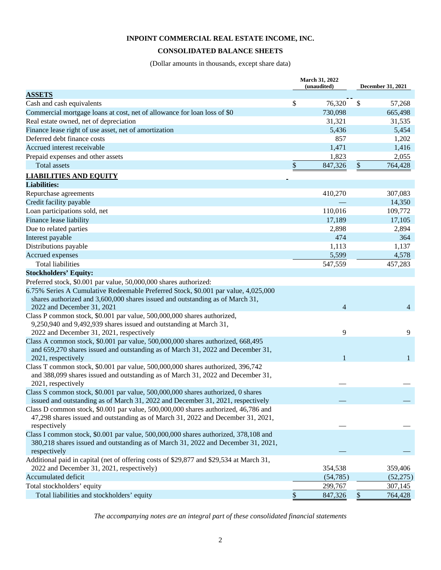#### <span id="page-6-0"></span>**CONSOLIDATED BALANCE SHEETS**

(Dollar amounts in thousands, except share data)

|                                                                                                             | March 31, 2022<br>(unaudited) | December 31, 2021 |                |  |  |
|-------------------------------------------------------------------------------------------------------------|-------------------------------|-------------------|----------------|--|--|
| <b>ASSETS</b>                                                                                               |                               |                   |                |  |  |
| Cash and cash equivalents                                                                                   | \$<br>76,320                  | \$                | 57,268         |  |  |
| Commercial mortgage loans at cost, net of allowance for loan loss of \$0                                    | 730,098                       |                   | 665,498        |  |  |
| Real estate owned, net of depreciation                                                                      | 31,321                        |                   | 31,535         |  |  |
| Finance lease right of use asset, net of amortization                                                       | 5,436                         |                   | 5,454          |  |  |
| Deferred debt finance costs                                                                                 | 857                           |                   | 1,202          |  |  |
| Accrued interest receivable                                                                                 | 1,471                         |                   | 1,416          |  |  |
| Prepaid expenses and other assets                                                                           | 1,823                         |                   | 2,055          |  |  |
| Total assets                                                                                                | \$<br>847,326                 | \$                | 764,428        |  |  |
| <b>LIABILITIES AND EQUITY</b>                                                                               |                               |                   |                |  |  |
| <b>Liabilities:</b>                                                                                         |                               |                   |                |  |  |
| Repurchase agreements                                                                                       | 410,270                       |                   | 307,083        |  |  |
| Credit facility payable                                                                                     |                               |                   | 14,350         |  |  |
| Loan participations sold, net                                                                               | 110,016                       |                   | 109,772        |  |  |
| Finance lease liability                                                                                     | 17,189                        |                   | 17,105         |  |  |
| Due to related parties                                                                                      | 2,898                         |                   | 2,894          |  |  |
| Interest payable                                                                                            | 474                           |                   | 364            |  |  |
| Distributions payable                                                                                       | 1,113                         |                   | 1,137          |  |  |
| Accrued expenses                                                                                            | 5,599                         |                   | 4,578          |  |  |
| <b>Total liabilities</b>                                                                                    | 547,559                       |                   | 457,283        |  |  |
| <b>Stockholders' Equity:</b>                                                                                |                               |                   |                |  |  |
| Preferred stock, \$0.001 par value, 50,000,000 shares authorized:                                           |                               |                   |                |  |  |
| 6.75% Series A Cumulative Redeemable Preferred Stock, \$0.001 par value, 4,025,000                          |                               |                   |                |  |  |
| shares authorized and 3,600,000 shares issued and outstanding as of March 31,<br>2022 and December 31, 2021 | $\overline{4}$                |                   | $\overline{4}$ |  |  |
| Class P common stock, \$0.001 par value, 500,000,000 shares authorized,                                     |                               |                   |                |  |  |
| 9,250,940 and 9,492,939 shares issued and outstanding at March 31,                                          |                               |                   |                |  |  |
| 2022 and December 31, 2021, respectively                                                                    | 9                             |                   | 9              |  |  |
| Class A common stock, \$0.001 par value, 500,000,000 shares authorized, 668,495                             |                               |                   |                |  |  |
| and 659,270 shares issued and outstanding as of March 31, 2022 and December 31,                             |                               |                   |                |  |  |
| 2021, respectively                                                                                          |                               |                   | 1              |  |  |
| Class T common stock, \$0.001 par value, 500,000,000 shares authorized, 396,742                             |                               |                   |                |  |  |
| and 388,099 shares issued and outstanding as of March 31, 2022 and December 31,<br>2021, respectively       |                               |                   |                |  |  |
| Class S common stock, \$0.001 par value, 500,000,000 shares authorized, 0 shares                            |                               |                   |                |  |  |
| issued and outstanding as of March 31, 2022 and December 31, 2021, respectively                             |                               |                   |                |  |  |
| Class D common stock, \$0.001 par value, 500,000,000 shares authorized, 46,786 and                          |                               |                   |                |  |  |
| 47,298 shares issued and outstanding as of March 31, 2022 and December 31, 2021,                            |                               |                   |                |  |  |
| respectively                                                                                                |                               |                   |                |  |  |
| Class I common stock, \$0.001 par value, 500,000,000 shares authorized, 378,108 and                         |                               |                   |                |  |  |
| 380,218 shares issued and outstanding as of March 31, 2022 and December 31, 2021,                           |                               |                   |                |  |  |
| respectively                                                                                                |                               |                   |                |  |  |
| Additional paid in capital (net of offering costs of \$29,877 and \$29,534 at March 31,                     |                               |                   |                |  |  |
| 2022 and December 31, 2021, respectively)                                                                   | 354,538                       |                   | 359,406        |  |  |
| Accumulated deficit                                                                                         | (54, 785)                     |                   | (52, 275)      |  |  |
| Total stockholders' equity                                                                                  | 299,767                       |                   | 307,145        |  |  |
| Total liabilities and stockholders' equity                                                                  | \$<br>847,326                 | \$                | 764,428        |  |  |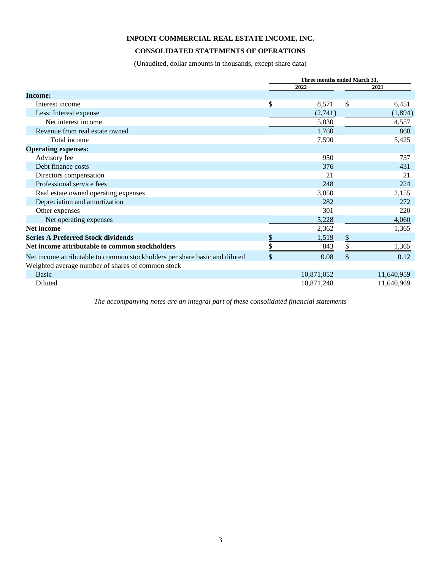#### <span id="page-7-0"></span>**CONSOLIDATED STATEMENTS OF OPERATIONS**

(Unaudited, dollar amounts in thousands, except share data)

|                                                                            | Three months ended March 31, |    |            |  |  |  |  |  |
|----------------------------------------------------------------------------|------------------------------|----|------------|--|--|--|--|--|
|                                                                            | 2022                         |    | 2021       |  |  |  |  |  |
| Income:                                                                    |                              |    |            |  |  |  |  |  |
| Interest income                                                            | \$<br>8,571                  | \$ | 6,451      |  |  |  |  |  |
| Less: Interest expense                                                     | (2,741)                      |    | (1,894)    |  |  |  |  |  |
| Net interest income                                                        | 5,830                        |    | 4,557      |  |  |  |  |  |
| Revenue from real estate owned                                             | 1,760                        |    | 868        |  |  |  |  |  |
| Total income                                                               | 7,590                        |    | 5,425      |  |  |  |  |  |
| <b>Operating expenses:</b>                                                 |                              |    |            |  |  |  |  |  |
| Advisory fee                                                               | 950                          |    | 737        |  |  |  |  |  |
| Debt finance costs                                                         | 376                          |    | 431        |  |  |  |  |  |
| Directors compensation                                                     | 21                           |    | 21         |  |  |  |  |  |
| Professional service fees                                                  | 248                          |    | 224        |  |  |  |  |  |
| Real estate owned operating expenses                                       | 3,050                        |    | 2,155      |  |  |  |  |  |
| Depreciation and amortization                                              | 282                          |    | 272        |  |  |  |  |  |
| Other expenses                                                             | 301                          |    | 220        |  |  |  |  |  |
| Net operating expenses                                                     | 5,228                        |    | 4,060      |  |  |  |  |  |
| <b>Net income</b>                                                          | 2,362                        |    | 1,365      |  |  |  |  |  |
| <b>Series A Preferred Stock dividends</b>                                  | \$<br>1,519                  | \$ |            |  |  |  |  |  |
| Net income attributable to common stockholders                             | 843                          | \$ | 1,365      |  |  |  |  |  |
| Net income attributable to common stockholders per share basic and diluted | \$<br>0.08                   | \$ | 0.12       |  |  |  |  |  |
| Weighted average number of shares of common stock                          |                              |    |            |  |  |  |  |  |
| <b>Basic</b>                                                               | 10,871,052                   |    | 11,640,959 |  |  |  |  |  |
| Diluted                                                                    | 10,871,248                   |    | 11,640,969 |  |  |  |  |  |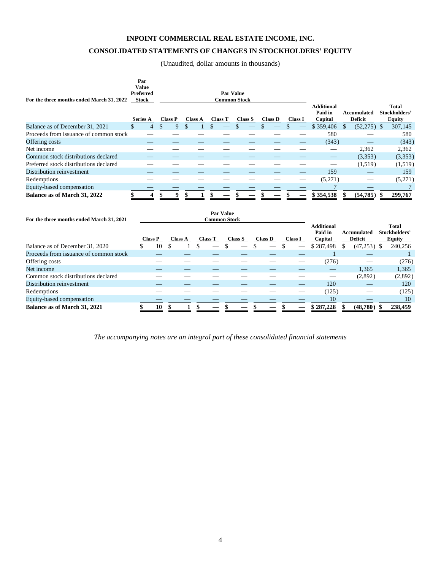#### **CONSOLIDATED STATEMENTS OF CHANGES IN STOCKHOLDERS' EQUITY**

<span id="page-8-0"></span>(Unaudited, dollar amounts in thousands)

| For the three months ended March 31, 2022 | Par<br><b>Value</b><br>Preferred<br><b>Stock</b> |                |                |                |                     |           | <b>Par Value</b><br><b>Common Stock</b> |   |                |                |                | <b>Additional</b>                       |                               |    | <b>Total</b>                                   |
|-------------------------------------------|--------------------------------------------------|----------------|----------------|----------------|---------------------|-----------|-----------------------------------------|---|----------------|----------------|----------------|-----------------------------------------|-------------------------------|----|------------------------------------------------|
|                                           | <b>Series A</b>                                  |                | <b>Class P</b> | <b>Class A</b> | <b>Class T</b>      |           | <b>Class S</b>                          |   | <b>Class D</b> |                | <b>Class I</b> | Paid in<br>Capital                      | Accumulated<br>Deficit        |    | Stockholders'<br><b>Equity</b>                 |
| Balance as of December 31, 2021           | \$                                               | $\overline{4}$ | \$<br>9        | \$             | \$                  |           |                                         |   | \$             |                |                | \$359,406                               | \$<br>$(52,275)$ \$           |    | 307,145                                        |
| Proceeds from issuance of common stock    |                                                  |                |                |                |                     |           |                                         |   |                |                |                | 580                                     |                               |    | 580                                            |
| Offering costs                            |                                                  |                |                |                |                     |           |                                         |   |                |                |                | (343)                                   |                               |    | (343)                                          |
| Net income                                |                                                  |                |                |                |                     |           |                                         |   |                |                |                |                                         | 2,362                         |    | 2,362                                          |
| Common stock distributions declared       |                                                  |                |                |                |                     |           |                                         |   |                |                |                |                                         | (3,353)                       |    | (3,353)                                        |
| Preferred stock distributions declared    |                                                  |                |                |                |                     |           |                                         | _ |                |                |                |                                         | (1,519)                       |    | (1,519)                                        |
| Distribution reinvestment                 |                                                  |                |                |                |                     |           |                                         |   |                |                |                | 159                                     |                               |    | 159                                            |
| Redemptions                               |                                                  |                |                |                |                     |           |                                         |   |                |                |                | (5,271)                                 |                               |    | (5,271)                                        |
| Equity-based compensation                 |                                                  |                |                |                |                     |           |                                         |   |                |                |                |                                         |                               |    |                                                |
| Balance as of March 31, 2022              |                                                  |                | 9              |                |                     |           |                                         |   |                |                |                | \$354,538                               | (54, 785)                     | -S | 299,767                                        |
| For the three months ended March 31, 2021 |                                                  |                |                |                | <b>Common Stock</b> | Par Value |                                         |   |                |                |                |                                         |                               |    |                                                |
|                                           |                                                  | <b>Class P</b> | <b>Class A</b> |                | <b>Class T</b>      |           | <b>Class S</b>                          |   | <b>Class D</b> | <b>Class I</b> |                | <b>Additional</b><br>Paid in<br>Capital | Accumulated<br><b>Deficit</b> |    | <b>Total</b><br>Stockholders'<br><b>Equity</b> |

|                                        | Class P |    | <b>Class A</b> | <b>Class T</b>           | <b>Class S</b> | <b>Class D</b> | Class I | Capital   |   | <b>Deficit</b> | <b>Equity</b> |
|----------------------------------------|---------|----|----------------|--------------------------|----------------|----------------|---------|-----------|---|----------------|---------------|
| Balance as of December 31, 2020        |         | 10 |                | $\overline{\phantom{a}}$ |                | _              |         | \$287,498 | S | $(47,253)$ \$  | 240,256       |
| Proceeds from issuance of common stock |         |    |                |                          |                |                |         |           |   |                |               |
| Offering costs                         |         |    |                |                          |                |                |         | (276)     |   |                | (276)         |
| Net income                             |         |    |                |                          |                |                |         |           |   | 1.365          | 1,365         |
| Common stock distributions declared    |         |    |                |                          |                |                |         |           |   | (2,892)        | (2,892)       |
| Distribution reinvestment              |         |    |                |                          |                |                |         | 120       |   |                | 120           |
| Redemptions                            |         |    |                |                          |                |                |         | (125)     |   |                | (125)         |
| Equity-based compensation              |         |    |                |                          |                |                |         | 10        |   |                | 10            |
| Balance as of March 31, 2021           |         | 10 |                |                          |                |                |         | \$287.228 |   | (48.780)       | 238,459       |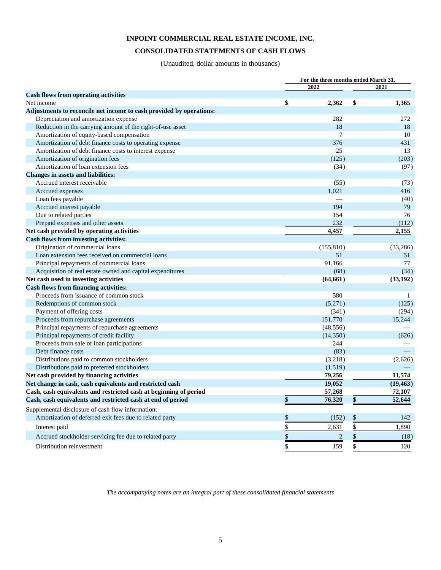#### **CONSOLIDATED STATEMENTS OF CASH FLOWS**

<span id="page-9-0"></span>(Unaudited, dollar amounts in thousands)

|                                                                     |                           |                | For the three months ended March 31, |              |  |  |  |
|---------------------------------------------------------------------|---------------------------|----------------|--------------------------------------|--------------|--|--|--|
|                                                                     |                           | 2022           |                                      | 2021         |  |  |  |
| <b>Cash flows from operating activities</b>                         |                           |                |                                      |              |  |  |  |
| Net income                                                          | \$                        | 2,362          | \$                                   | 1,365        |  |  |  |
| Adjustments to reconcile net income to cash provided by operations: |                           |                |                                      |              |  |  |  |
| Depreciation and amortization expense                               |                           | 282            |                                      | 272          |  |  |  |
| Reduction in the carrying amount of the right-of-use asset          |                           | 18             |                                      | 18           |  |  |  |
| Amortization of equity-based compensation                           |                           | 7              |                                      | 10           |  |  |  |
| Amortization of debt finance costs to operating expense             |                           | 376            |                                      | 431          |  |  |  |
| Amortization of debt finance costs to interest expense              |                           | 25             |                                      | 13           |  |  |  |
| Amortization of origination fees                                    |                           | (125)          |                                      | (203)        |  |  |  |
| Amortization of loan extension fees                                 |                           | (34)           |                                      | (97)         |  |  |  |
| <b>Changes in assets and liabilities:</b>                           |                           |                |                                      |              |  |  |  |
| Accrued interest receivable                                         |                           | (55)           |                                      | (73)         |  |  |  |
| Accrued expenses                                                    |                           | 1,021          |                                      | 416          |  |  |  |
| Loan fees payable                                                   |                           |                |                                      | (40)         |  |  |  |
| Accrued interest payable                                            |                           | 194            |                                      | 79           |  |  |  |
| Due to related parties                                              |                           | 154            |                                      | 76           |  |  |  |
| Prepaid expenses and other assets                                   |                           | 232            |                                      | (112)        |  |  |  |
| Net cash provided by operating activities                           |                           | 4,457          |                                      | 2,155        |  |  |  |
| <b>Cash flows from investing activities:</b>                        |                           |                |                                      |              |  |  |  |
| Origination of commercial loans                                     |                           | (155, 810)     |                                      | (33, 286)    |  |  |  |
| Loan extension fees received on commercial loans                    |                           | 51             |                                      | 51           |  |  |  |
| Principal repayments of commercial loans                            |                           | 91,166         |                                      | 77           |  |  |  |
| Acquisition of real estate owned and capital expenditures           |                           | (68)           |                                      | (34)         |  |  |  |
| Net cash used in investing activities                               |                           | (64, 661)      |                                      | (33, 192)    |  |  |  |
| <b>Cash flows from financing activities:</b>                        |                           |                |                                      |              |  |  |  |
| Proceeds from issuance of common stock                              |                           | 580            |                                      | $\mathbf{1}$ |  |  |  |
| Redemptions of common stock                                         |                           | (5,271)        |                                      | (125)        |  |  |  |
| Payment of offering costs                                           |                           | (341)          |                                      | (294)        |  |  |  |
| Proceeds from repurchase agreements                                 |                           | 151,770        |                                      | 15,244       |  |  |  |
| Principal repayments of repurchase agreements                       |                           | (48, 556)      |                                      |              |  |  |  |
| Principal repayments of credit facility                             |                           | (14,350)       |                                      | (626)        |  |  |  |
| Proceeds from sale of loan participations                           |                           | 244            |                                      |              |  |  |  |
| Debt finance costs                                                  |                           | (83)           |                                      |              |  |  |  |
| Distributions paid to common stockholders                           |                           | (3,218)        |                                      | (2,626)      |  |  |  |
| Distributions paid to preferred stockholders                        |                           | (1,519)        |                                      |              |  |  |  |
| Net cash provided by financing activities                           |                           | 79,256         |                                      | 11,574       |  |  |  |
| Net change in cash, cash equivalents and restricted cash            |                           | 19,052         |                                      | (19, 463)    |  |  |  |
| Cash, cash equivalents and restricted cash at beginning of period   |                           | 57,268         |                                      | 72,107       |  |  |  |
| Cash, cash equivalents and restricted cash at end of period         | \$                        | 76,320         | \$                                   | 52,644       |  |  |  |
| Supplemental disclosure of cash flow information:                   |                           |                |                                      |              |  |  |  |
| Amortization of deferred exit fees due to related party             | $\boldsymbol{\mathsf{S}}$ | (152)          | \$                                   | 142          |  |  |  |
| Interest paid                                                       | \$                        | 2,631          | \$                                   | 1,890        |  |  |  |
| Accrued stockholder servicing fee due to related party              | \$                        | $\overline{c}$ | \$                                   | (18)         |  |  |  |
| Distribution reinvestment                                           | \$                        | 159            | \$                                   | 120          |  |  |  |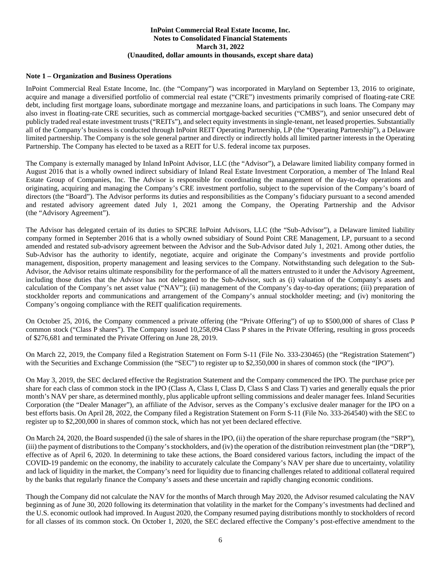#### <span id="page-10-0"></span>**Note 1 – Organization and Business Operations**

InPoint Commercial Real Estate Income, Inc. (the "Company") was incorporated in Maryland on September 13, 2016 to originate, acquire and manage a diversified portfolio of commercial real estate ("CRE") investments primarily comprised of floating-rate CRE debt, including first mortgage loans, subordinate mortgage and mezzanine loans, and participations in such loans. The Company may also invest in floating-rate CRE securities, such as commercial mortgage-backed securities ("CMBS"), and senior unsecured debt of publicly traded real estate investment trusts ("REITs"), and select equity investments in single-tenant, net leased properties. Substantially all of the Company's business is conducted through InPoint REIT Operating Partnership, LP (the "Operating Partnership"), a Delaware limited partnership. The Company is the sole general partner and directly or indirectly holds all limited partner interests in the Operating Partnership. The Company has elected to be taxed as a REIT for U.S. federal income tax purposes.

The Company is externally managed by Inland InPoint Advisor, LLC (the "Advisor"), a Delaware limited liability company formed in August 2016 that is a wholly owned indirect subsidiary of Inland Real Estate Investment Corporation, a member of The Inland Real Estate Group of Companies, Inc. The Advisor is responsible for coordinating the management of the day-to-day operations and originating, acquiring and managing the Company's CRE investment portfolio, subject to the supervision of the Company's board of directors (the "Board"). The Advisor performs its duties and responsibilities as the Company's fiduciary pursuant to a second amended and restated advisory agreement dated July 1, 2021 among the Company, the Operating Partnership and the Advisor (the "Advisory Agreement").

The Advisor has delegated certain of its duties to SPCRE InPoint Advisors, LLC (the "Sub-Advisor"), a Delaware limited liability company formed in September 2016 that is a wholly owned subsidiary of Sound Point CRE Management, LP, pursuant to a second amended and restated sub-advisory agreement between the Advisor and the Sub-Advisor dated July 1, 2021. Among other duties, the Sub-Advisor has the authority to identify, negotiate, acquire and originate the Company's investments and provide portfolio management, disposition, property management and leasing services to the Company. Notwithstanding such delegation to the Sub-Advisor, the Advisor retains ultimate responsibility for the performance of all the matters entrusted to it under the Advisory Agreement, including those duties that the Advisor has not delegated to the Sub-Advisor, such as (i) valuation of the Company's assets and calculation of the Company's net asset value ("NAV"); (ii) management of the Company's day-to-day operations; (iii) preparation of stockholder reports and communications and arrangement of the Company's annual stockholder meeting; and (iv) monitoring the Company's ongoing compliance with the REIT qualification requirements.

On October 25, 2016, the Company commenced a private offering (the "Private Offering") of up to \$500,000 of shares of Class P common stock ("Class P shares"). The Company issued 10,258,094 Class P shares in the Private Offering, resulting in gross proceeds of \$276,681 and terminated the Private Offering on June 28, 2019.

On March 22, 2019, the Company filed a Registration Statement on Form S-11 (File No. 333-230465) (the "Registration Statement") with the Securities and Exchange Commission (the "SEC") to register up to \$2,350,000 in shares of common stock (the "IPO").

On May 3, 2019, the SEC declared effective the Registration Statement and the Company commenced the IPO. The purchase price per share for each class of common stock in the IPO (Class A, Class I, Class D, Class S and Class T) varies and generally equals the prior month's NAV per share, as determined monthly, plus applicable upfront selling commissions and dealer manager fees. Inland Securities Corporation (the "Dealer Manager"), an affiliate of the Advisor, serves as the Company's exclusive dealer manager for the IPO on a best efforts basis. On April 28, 2022, the Company filed a Registration Statement on Form S-11 (File No. 333-264540) with the SEC to register up to \$2,200,000 in shares of common stock, which has not yet been declared effective.

On March 24, 2020, the Board suspended (i) the sale of shares in the IPO, (ii) the operation of the share repurchase program (the "SRP"), (iii) the payment of distributions to the Company's stockholders, and (iv) the operation of the distribution reinvestment plan (the "DRP"), effective as of April 6, 2020. In determining to take these actions, the Board considered various factors, including the impact of the COVID-19 pandemic on the economy, the inability to accurately calculate the Company's NAV per share due to uncertainty, volatility and lack of liquidity in the market, the Company's need for liquidity due to financing challenges related to additional collateral required by the banks that regularly finance the Company's assets and these uncertain and rapidly changing economic conditions.

Though the Company did not calculate the NAV for the months of March through May 2020, the Advisor resumed calculating the NAV beginning as of June 30, 2020 following its determination that volatility in the market for the Company's investments had declined and the U.S. economic outlook had improved. In August 2020, the Company resumed paying distributions monthly to stockholders of record for all classes of its common stock. On October 1, 2020, the SEC declared effective the Company's post-effective amendment to the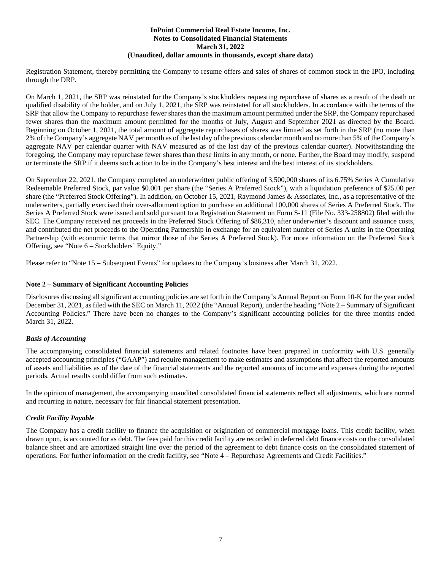Registration Statement, thereby permitting the Company to resume offers and sales of shares of common stock in the IPO, including through the DRP.

On March 1, 2021, the SRP was reinstated for the Company's stockholders requesting repurchase of shares as a result of the death or qualified disability of the holder, and on July 1, 2021, the SRP was reinstated for all stockholders. In accordance with the terms of the SRP that allow the Company to repurchase fewer shares than the maximum amount permitted under the SRP, the Company repurchased fewer shares than the maximum amount permitted for the months of July, August and September 2021 as directed by the Board. Beginning on October 1, 2021, the total amount of aggregate repurchases of shares was limited as set forth in the SRP (no more than 2% of the Company's aggregate NAV per month as of the last day of the previous calendar month and no more than 5% of the Company's aggregate NAV per calendar quarter with NAV measured as of the last day of the previous calendar quarter). Notwithstanding the foregoing, the Company may repurchase fewer shares than these limits in any month, or none. Further, the Board may modify, suspend or terminate the SRP if it deems such action to be in the Company's best interest and the best interest of its stockholders.

On September 22, 2021, the Company completed an underwritten public offering of 3,500,000 shares of its 6.75% Series A Cumulative Redeemable Preferred Stock, par value \$0.001 per share (the "Series A Preferred Stock"), with a liquidation preference of \$25.00 per share (the "Preferred Stock Offering"). In addition, on October 15, 2021, Raymond James & Associates, Inc., as a representative of the underwriters, partially exercised their over-allotment option to purchase an additional 100,000 shares of Series A Preferred Stock. The Series A Preferred Stock were issued and sold pursuant to a Registration Statement on Form S-11 (File No. 333-258802) filed with the SEC. The Company received net proceeds in the Preferred Stock Offering of \$86,310, after underwriter's discount and issuance costs, and contributed the net proceeds to the Operating Partnership in exchange for an equivalent number of Series A units in the Operating Partnership (with economic terms that mirror those of the Series A Preferred Stock). For more information on the Preferred Stock Offering, see "Note 6 – Stockholders' Equity."

Please refer to "Note 15 – Subsequent Events" for updates to the Company's business after March 31, 2022.

#### **Note 2 – Summary of Significant Accounting Policies**

Disclosures discussing all significant accounting policies are set forth in the Company's Annual Report on Form 10-K for the year ended December 31, 2021, as filed with the SEC on March 11, 2022 (the "Annual Report), under the heading "Note 2 – Summary of Significant Accounting Policies." There have been no changes to the Company's significant accounting policies for the three months ended March 31, 2022.

#### *Basis of Accounting*

The accompanying consolidated financial statements and related footnotes have been prepared in conformity with U.S. generally accepted accounting principles ("GAAP") and require management to make estimates and assumptions that affect the reported amounts of assets and liabilities as of the date of the financial statements and the reported amounts of income and expenses during the reported periods. Actual results could differ from such estimates.

In the opinion of management, the accompanying unaudited consolidated financial statements reflect all adjustments, which are normal and recurring in nature, necessary for fair financial statement presentation.

#### *Credit Facility Payable*

The Company has a credit facility to finance the acquisition or origination of commercial mortgage loans. This credit facility, when drawn upon, is accounted for as debt. The fees paid for this credit facility are recorded in deferred debt finance costs on the consolidated balance sheet and are amortized straight line over the period of the agreement to debt finance costs on the consolidated statement of operations. For further information on the credit facility, see "Note 4 – Repurchase Agreements and Credit Facilities."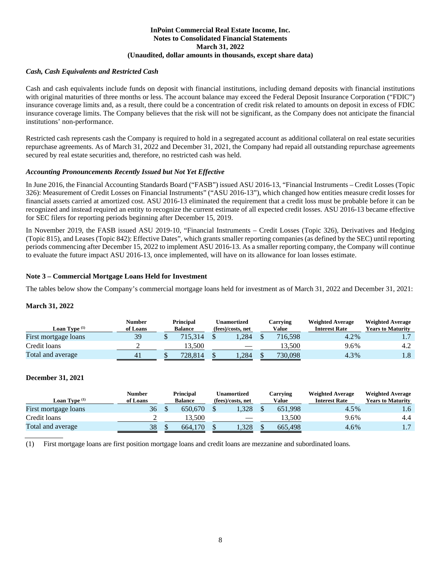#### *Cash, Cash Equivalents and Restricted Cash*

Cash and cash equivalents include funds on deposit with financial institutions, including demand deposits with financial institutions with original maturities of three months or less. The account balance may exceed the Federal Deposit Insurance Corporation ("FDIC") insurance coverage limits and, as a result, there could be a concentration of credit risk related to amounts on deposit in excess of FDIC insurance coverage limits. The Company believes that the risk will not be significant, as the Company does not anticipate the financial institutions' non-performance.

Restricted cash represents cash the Company is required to hold in a segregated account as additional collateral on real estate securities repurchase agreements. As of March 31, 2022 and December 31, 2021, the Company had repaid all outstanding repurchase agreements secured by real estate securities and, therefore, no restricted cash was held.

#### *Accounting Pronouncements Recently Issued but Not Yet Effective*

In June 2016, the Financial Accounting Standards Board ("FASB") issued ASU 2016-13, "Financial Instruments – Credit Losses (Topic 326): Measurement of Credit Losses on Financial Instruments" ("ASU 2016-13"), which changed how entities measure credit losses for financial assets carried at amortized cost. ASU 2016-13 eliminated the requirement that a credit loss must be probable before it can be recognized and instead required an entity to recognize the current estimate of all expected credit losses. ASU 2016-13 became effective for SEC filers for reporting periods beginning after December 15, 2019.

In November 2019, the FASB issued ASU 2019-10, "Financial Instruments – Credit Losses (Topic 326), Derivatives and Hedging (Topic 815), and Leases (Topic 842): Effective Dates", which grants smaller reporting companies (as defined by the SEC) until reporting periods commencing after December 15, 2022 to implement ASU 2016-13. As a smaller reporting company, the Company will continue to evaluate the future impact ASU 2016-13, once implemented, will have on its allowance for loan losses estimate.

#### **Note 3 – Commercial Mortgage Loans Held for Investment**

The tables below show the Company's commercial mortgage loans held for investment as of March 31, 2022 and December 31, 2021:

#### **March 31, 2022**

| <b>Loan Type</b> $(1)$   | Number<br>of Loans | <b>Principal</b><br><b>Balance</b> |         | U <b>namortized</b><br>(fees)/costs, net |                          | Carrving<br>Value |         | <b>Weighted Average</b><br><b>Interest Rate</b> | <b>Weighted Average</b><br><b>Years to Maturity</b> |
|--------------------------|--------------------|------------------------------------|---------|------------------------------------------|--------------------------|-------------------|---------|-------------------------------------------------|-----------------------------------------------------|
| First mortgage loans     | 39                 |                                    | 715.314 |                                          | .284                     |                   | 716.598 | 4.2%                                            | $\mathbf{1}$ .                                      |
| Credit loans             |                    |                                    | 13.500  |                                          | $\overline{\phantom{a}}$ |                   | 13.500  | 9.6%                                            |                                                     |
| <b>Total and average</b> | 41                 |                                    | 728.814 |                                          | 1.284                    |                   | 730,098 | 4.3%                                            | 1.8                                                 |

#### **December 31, 2021**

| <b>Loan Type</b> $(1)$ | Number<br>of Loans | <b>Principal</b><br><b>Balance</b> |         | Unamortized<br>(fees)/costs, net |       | Carrving<br>Value |         | <b>Weighted Average</b><br><b>Interest Rate</b> | <b>Weighted Average</b><br><b>Years to Maturity</b> |
|------------------------|--------------------|------------------------------------|---------|----------------------------------|-------|-------------------|---------|-------------------------------------------------|-----------------------------------------------------|
| First mortgage loans   | 36                 |                                    | 650.670 |                                  | .328  |                   | 651.998 | 4.5%                                            | $1.6^\circ$                                         |
| Credit loans           |                    |                                    | 13.500  |                                  |       |                   | 13.500  | 9.6%                                            | 4.4                                                 |
| Total and average      | 38                 |                                    | 664,170 |                                  | 1.328 |                   | 665,498 | 4.6%                                            |                                                     |

(1) First mortgage loans are first position mortgage loans and credit loans are mezzanine and subordinated loans.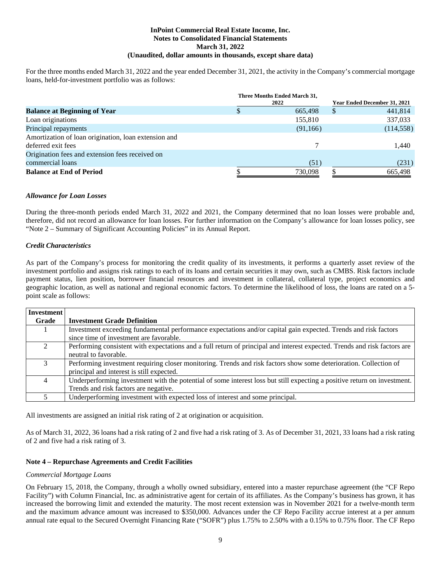For the three months ended March 31, 2022 and the year ended December 31, 2021, the activity in the Company's commercial mortgage loans, held-for-investment portfolio was as follows:

|                                                      | Three Months Ended March 31, |                              |
|------------------------------------------------------|------------------------------|------------------------------|
|                                                      | 2022                         | Year Ended December 31, 2021 |
| <b>Balance at Beginning of Year</b>                  | 665,498                      | 441,814<br>S                 |
| Loan originations                                    | 155,810                      | 337,033                      |
| Principal repayments                                 | (91,166)                     | (114, 558)                   |
| Amortization of loan origination, loan extension and |                              |                              |
| deferred exit fees                                   |                              | 1,440                        |
| Origination fees and extension fees received on      |                              |                              |
| commercial loans                                     | (51)                         | (231)                        |
| <b>Balance at End of Period</b>                      | 730,098                      | 665,498                      |

#### *Allowance for Loan Losses*

During the three-month periods ended March 31, 2022 and 2021, the Company determined that no loan losses were probable and, therefore, did not record an allowance for loan losses. For further information on the Company's allowance for loan losses policy, see "Note 2 – Summary of Significant Accounting Policies" in its Annual Report.

#### *Credit Characteristics*

As part of the Company's process for monitoring the credit quality of its investments, it performs a quarterly asset review of the investment portfolio and assigns risk ratings to each of its loans and certain securities it may own, such as CMBS. Risk factors include payment status, lien position, borrower financial resources and investment in collateral, collateral type, project economics and geographic location, as well as national and regional economic factors. To determine the likelihood of loss, the loans are rated on a 5 point scale as follows:

| Investment |                                                                                                                           |
|------------|---------------------------------------------------------------------------------------------------------------------------|
| Grade      | <b>Investment Grade Definition</b>                                                                                        |
|            | Investment exceeding fundamental performance expectations and/or capital gain expected. Trends and risk factors           |
|            | since time of investment are favorable.                                                                                   |
|            | Performing consistent with expectations and a full return of principal and interest expected. Trends and risk factors are |
|            | neutral to favorable.                                                                                                     |
|            | Performing investment requiring closer monitoring. Trends and risk factors show some deterioration. Collection of         |
|            | principal and interest is still expected.                                                                                 |
| 4          | Underperforming investment with the potential of some interest loss but still expecting a positive return on investment.  |
|            | Trends and risk factors are negative.                                                                                     |
|            | Underperforming investment with expected loss of interest and some principal.                                             |

All investments are assigned an initial risk rating of 2 at origination or acquisition.

As of March 31, 2022, 36 loans had a risk rating of 2 and five had a risk rating of 3. As of December 31, 2021, 33 loans had a risk rating of 2 and five had a risk rating of 3.

#### **Note 4 – Repurchase Agreements and Credit Facilities**

#### *Commercial Mortgage Loans*

On February 15, 2018, the Company, through a wholly owned subsidiary, entered into a master repurchase agreement (the "CF Repo Facility") with Column Financial, Inc. as administrative agent for certain of its affiliates. As the Company's business has grown, it has increased the borrowing limit and extended the maturity. The most recent extension was in November 2021 for a twelve-month term and the maximum advance amount was increased to \$350,000. Advances under the CF Repo Facility accrue interest at a per annum annual rate equal to the Secured Overnight Financing Rate ("SOFR") plus 1.75% to 2.50% with a 0.15% to 0.75% floor. The CF Repo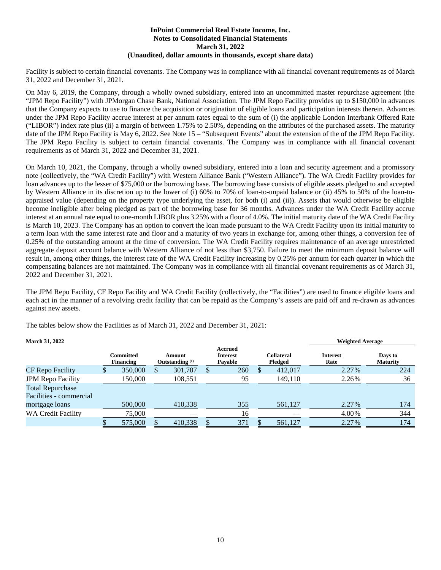Facility is subject to certain financial covenants. The Company was in compliance with all financial covenant requirements as of March 31, 2022 and December 31, 2021.

On May 6, 2019, the Company, through a wholly owned subsidiary, entered into an uncommitted master repurchase agreement (the "JPM Repo Facility") with JPMorgan Chase Bank, National Association. The JPM Repo Facility provides up to \$150,000 in advances that the Company expects to use to finance the acquisition or origination of eligible loans and participation interests therein. Advances under the JPM Repo Facility accrue interest at per annum rates equal to the sum of (i) the applicable London Interbank Offered Rate ("LIBOR") index rate plus (ii) a margin of between 1.75% to 2.50%, depending on the attributes of the purchased assets. The maturity date of the JPM Repo Facility is May 6, 2022. See Note 15 – "Subsequent Events" about the extension of the of the JPM Repo Facility. The JPM Repo Facility is subject to certain financial covenants. The Company was in compliance with all financial covenant requirements as of March 31, 2022 and December 31, 2021.

On March 10, 2021, the Company, through a wholly owned subsidiary, entered into a loan and security agreement and a promissory note (collectively, the "WA Credit Facility") with Western Alliance Bank ("Western Alliance"). The WA Credit Facility provides for loan advances up to the lesser of \$75,000 or the borrowing base. The borrowing base consists of eligible assets pledged to and accepted by Western Alliance in its discretion up to the lower of (i) 60% to 70% of loan-to-unpaid balance or (ii) 45% to 50% of the loan-toappraised value (depending on the property type underlying the asset, for both (i) and (ii)). Assets that would otherwise be eligible become ineligible after being pledged as part of the borrowing base for 36 months. Advances under the WA Credit Facility accrue interest at an annual rate equal to one-month LIBOR plus 3.25% with a floor of 4.0%. The initial maturity date of the WA Credit Facility is March 10, 2023. The Company has an option to convert the loan made pursuant to the WA Credit Facility upon its initial maturity to a term loan with the same interest rate and floor and a maturity of two years in exchange for, among other things, a conversion fee of 0.25% of the outstanding amount at the time of conversion. The WA Credit Facility requires maintenance of an average unrestricted aggregate deposit account balance with Western Alliance of not less than \$3,750. Failure to meet the minimum deposit balance will result in, among other things, the interest rate of the WA Credit Facility increasing by 0.25% per annum for each quarter in which the compensating balances are not maintained. The Company was in compliance with all financial covenant requirements as of March 31, 2022 and December 31, 2021.

The JPM Repo Facility, CF Repo Facility and WA Credit Facility (collectively, the "Facilities") are used to finance eligible loans and each act in the manner of a revolving credit facility that can be repaid as the Company's assets are paid off and re-drawn as advances against new assets.

The tables below show the Facilities as of March 31, 2022 and December 31, 2021:

| <b>March 31, 2022</b>     |                        |                                      |                                       |                       | <b>Weighted Average</b> |                            |
|---------------------------|------------------------|--------------------------------------|---------------------------------------|-----------------------|-------------------------|----------------------------|
|                           | Committed<br>Financing | Amount<br>Outstanding <sup>(1)</sup> | Accrued<br><b>Interest</b><br>Pavable | Collateral<br>Pledged | <b>Interest</b><br>Rate | Days to<br><b>Maturity</b> |
| CF Repo Facility          | 350,000                | 301,787                              | 260                                   | 412,017               | 2.27%                   | 224                        |
| <b>JPM Repo Facility</b>  | 150,000                | 108,551                              | 95                                    | 149,110               | 2.26%                   | 36                         |
| <b>Total Repurchase</b>   |                        |                                      |                                       |                       |                         |                            |
| Facilities - commercial   |                        |                                      |                                       |                       |                         |                            |
| mortgage loans            | 500,000                | 410,338                              | 355                                   | 561,127               | 2.27%                   | 174                        |
| <b>WA Credit Facility</b> | 75.000                 |                                      | 16                                    |                       | 4.00%                   | 344                        |
|                           | 575,000                | 410,338                              | 371                                   | 561,127               | 2.27%                   | 174                        |

10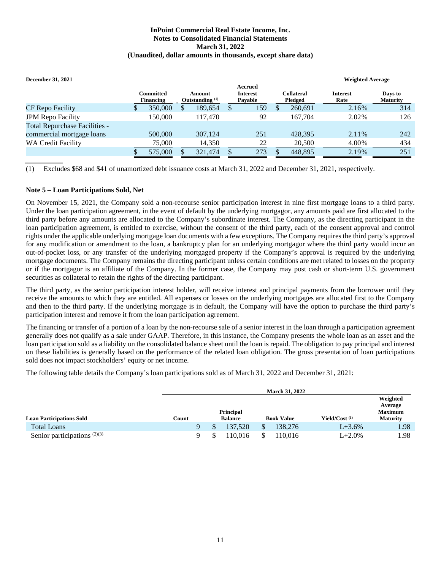| <b>December 31, 2021</b>                                          |                                      |                                      |                                              |   |                              | <b>Weighted Average</b> |                            |
|-------------------------------------------------------------------|--------------------------------------|--------------------------------------|----------------------------------------------|---|------------------------------|-------------------------|----------------------------|
|                                                                   | <b>Committed</b><br><b>Financing</b> | Amount<br>Outstanding <sup>(1)</sup> | <b>Accrued</b><br><b>Interest</b><br>Pavable |   | <b>Collateral</b><br>Pledged | <b>Interest</b><br>Rate | Days to<br><b>Maturity</b> |
| CF Repo Facility                                                  | 350,000                              | 189,654                              | 159                                          | S | 260.691                      | 2.16%                   | 314                        |
| <b>JPM Repo Facility</b>                                          | 150,000                              | 117,470                              | 92                                           |   | 167.704                      | 2.02%                   | 126                        |
| <b>Total Repurchase Facilities -</b><br>commercial mortgage loans | 500,000                              | 307.124                              | 251                                          |   | 428.395                      | 2.11%                   | 242                        |
| <b>WA Credit Facility</b>                                         | 75,000                               | 14,350                               | 22                                           |   | 20,500                       | 4.00%                   | 434                        |
|                                                                   | 575,000                              | 321,474                              | 273                                          |   | 448,895                      | 2.19%                   | 251                        |

(1) Excludes \$68 and \$41 of unamortized debt issuance costs at March 31, 2022 and December 31, 2021, respectively.

#### **Note 5 – Loan Participations Sold, Net**

On November 15, 2021, the Company sold a non-recourse senior participation interest in nine first mortgage loans to a third party. Under the loan participation agreement, in the event of default by the underlying mortgagor, any amounts paid are first allocated to the third party before any amounts are allocated to the Company's subordinate interest. The Company, as the directing participant in the loan participation agreement, is entitled to exercise, without the consent of the third party, each of the consent approval and control rights under the applicable underlying mortgage loan documents with a few exceptions. The Company requires the third party's approval for any modification or amendment to the loan, a bankruptcy plan for an underlying mortgagor where the third party would incur an out-of-pocket loss, or any transfer of the underlying mortgaged property if the Company's approval is required by the underlying mortgage documents. The Company remains the directing participant unless certain conditions are met related to losses on the property or if the mortgagor is an affiliate of the Company. In the former case, the Company may post cash or short-term U.S. government securities as collateral to retain the rights of the directing participant.

The third party, as the senior participation interest holder, will receive interest and principal payments from the borrower until they receive the amounts to which they are entitled. All expenses or losses on the underlying mortgages are allocated first to the Company and then to the third party. If the underlying mortgage is in default, the Company will have the option to purchase the third party's participation interest and remove it from the loan participation agreement.

The financing or transfer of a portion of a loan by the non-recourse sale of a senior interest in the loan through a participation agreement generally does not qualify as a sale under GAAP. Therefore, in this instance, the Company presents the whole loan as an asset and the loan participation sold as a liability on the consolidated balance sheet until the loan is repaid. The obligation to pay principal and interest on these liabilities is generally based on the performance of the related loan obligation. The gross presentation of loan participations sold does not impact stockholders' equity or net income.

The following table details the Company's loan participations sold as of March 31, 2022 and December 31, 2021:

|                                 |       |                |  |                   |  | <b>March 31, 2022</b>     |                 |                                       |
|---------------------------------|-------|----------------|--|-------------------|--|---------------------------|-----------------|---------------------------------------|
|                                 |       |                |  | Principal         |  |                           |                 | Weighted<br>Average<br><b>Maximum</b> |
| <b>Loan Participations Sold</b> | Count | <b>Balance</b> |  | <b>Book Value</b> |  | Yield/Cost <sup>(1)</sup> | <b>Maturity</b> |                                       |
| <b>Total Loans</b>              |       |                |  | 137.520           |  | 138,276                   | $L + 3.6%$      | 1.98                                  |
| Senior participations $(2)(3)$  |       |                |  | 110.016           |  | 10.016                    | $L + 2.0\%$     | 1.98                                  |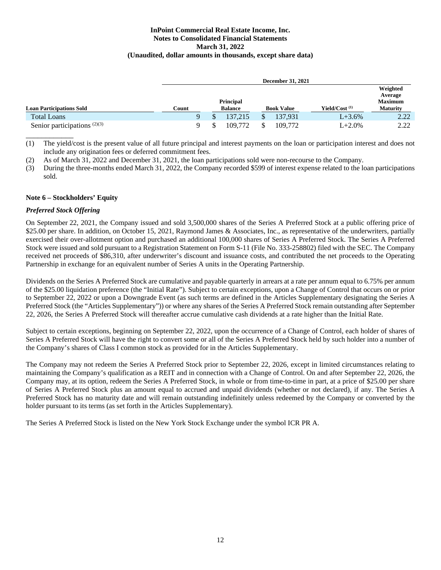|                                 |       |    |                  | <b>December 31, 2021</b> |                  |                                       |
|---------------------------------|-------|----|------------------|--------------------------|------------------|---------------------------------------|
|                                 |       |    | <b>Principal</b> |                          |                  | Weighted<br>Average<br><b>Maximum</b> |
| <b>Loan Participations Sold</b> | Count |    | <b>Balance</b>   | <b>Book Value</b>        | Yield/Cost $(1)$ | <b>Maturity</b>                       |
| <b>Total Loans</b>              |       |    | 137.215          | 137.931                  | $L + 3.6\%$      | 2.22                                  |
| Senior participations $(2)(3)$  |       | \$ | 109.772          | 109.772                  | $L + 2.0\%$      | 2.22                                  |

(1) The yield/cost is the present value of all future principal and interest payments on the loan or participation interest and does not include any origination fees or deferred commitment fees.

(2) As of March 31, 2022 and December 31, 2021, the loan participations sold were non-recourse to the Company.

(3) During the three-months ended March 31, 2022, the Company recorded \$599 of interest expense related to the loan participations sold.

#### **Note 6 – Stockholders' Equity**

#### *Preferred Stock Offering*

\_\_\_\_\_\_\_\_\_\_\_\_

On September 22, 2021, the Company issued and sold 3,500,000 shares of the Series A Preferred Stock at a public offering price of \$25.00 per share. In addition, on October 15, 2021, Raymond James & Associates, Inc., as representative of the underwriters, partially exercised their over-allotment option and purchased an additional 100,000 shares of Series A Preferred Stock. The Series A Preferred Stock were issued and sold pursuant to a Registration Statement on Form S-11 (File No. 333-258802) filed with the SEC. The Company received net proceeds of \$86,310, after underwriter's discount and issuance costs, and contributed the net proceeds to the Operating Partnership in exchange for an equivalent number of Series A units in the Operating Partnership.

Dividends on the Series A Preferred Stock are cumulative and payable quarterly in arrears at a rate per annum equal to 6.75% per annum of the \$25.00 liquidation preference (the "Initial Rate"). Subject to certain exceptions, upon a Change of Control that occurs on or prior to September 22, 2022 or upon a Downgrade Event (as such terms are defined in the Articles Supplementary designating the Series A Preferred Stock (the "Articles Supplementary")) or where any shares of the Series A Preferred Stock remain outstanding after September 22, 2026, the Series A Preferred Stock will thereafter accrue cumulative cash dividends at a rate higher than the Initial Rate.

Subject to certain exceptions, beginning on September 22, 2022, upon the occurrence of a Change of Control, each holder of shares of Series A Preferred Stock will have the right to convert some or all of the Series A Preferred Stock held by such holder into a number of the Company's shares of Class I common stock as provided for in the Articles Supplementary.

The Company may not redeem the Series A Preferred Stock prior to September 22, 2026, except in limited circumstances relating to maintaining the Company's qualification as a REIT and in connection with a Change of Control. On and after September 22, 2026, the Company may, at its option, redeem the Series A Preferred Stock, in whole or from time-to-time in part, at a price of \$25.00 per share of Series A Preferred Stock plus an amount equal to accrued and unpaid dividends (whether or not declared), if any. The Series A Preferred Stock has no maturity date and will remain outstanding indefinitely unless redeemed by the Company or converted by the holder pursuant to its terms (as set forth in the Articles Supplementary).

The Series A Preferred Stock is listed on the New York Stock Exchange under the symbol ICR PR A.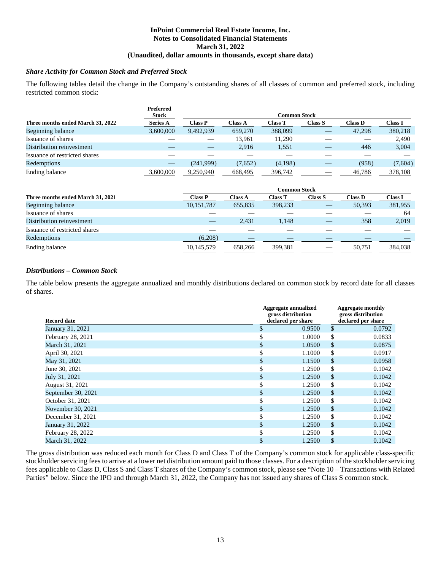#### *Share Activity for Common Stock and Preferred Stock*

The following tables detail the change in the Company's outstanding shares of all classes of common and preferred stock, including restricted common stock:

|                                   | <b>Preferred</b> |           |                |                     |         |         |                |
|-----------------------------------|------------------|-----------|----------------|---------------------|---------|---------|----------------|
|                                   | <b>Stock</b>     |           |                | <b>Common Stock</b> |         |         |                |
| Three months ended March 31, 2022 | <b>Series A</b>  | Class P   | <b>Class A</b> | <b>Class T</b>      | Class S | Class D | <b>Class I</b> |
| Beginning balance                 | 3,600,000        | 9,492,939 | 659,270        | 388,099             |         | 47.298  | 380,218        |
| Issuance of shares                |                  |           | 13.961         | 11,290              |         |         | 2,490          |
| Distribution reinvestment         |                  |           | 2.916          | 1,551               |         | 446     | 3,004          |
| Issuance of restricted shares     |                  |           |                |                     |         |         |                |
| Redemptions                       |                  | (241,999) | (7,652)        | (4,198)             |         | (958)   | (7,604)        |
| Ending balance                    | 3,600,000        | 9,250,940 | 668,495        | 396,742             |         | 46,786  | 378,108        |

|                                   | Common Stock   |                |                |         |                |                |  |  |
|-----------------------------------|----------------|----------------|----------------|---------|----------------|----------------|--|--|
| Three months ended March 31, 2021 | <b>Class P</b> | <b>Class A</b> | <b>Class T</b> | Class S | <b>Class D</b> | <b>Class I</b> |  |  |
| Beginning balance                 | 10,151,787     | 655.835        | 398,233        |         | 50,393         | 381,955        |  |  |
| Issuance of shares                |                |                |                |         |                | 64             |  |  |
| Distribution reinvestment         |                | 2,431          | 1,148          |         | 358            | 2,019          |  |  |
| Issuance of restricted shares     |                |                |                |         |                |                |  |  |
| Redemptions                       | (6,208)        |                |                |         |                |                |  |  |
| Ending balance                    | 10,145,579     | 658.266        | 399,381        |         | 50,751         | 384,038        |  |  |

#### *Distributions – Common Stock*

The table below presents the aggregate annualized and monthly distributions declared on common stock by record date for all classes of shares.

| <b>Record date</b> | Aggregate annualized<br>gross distribution<br>declared per share | <b>Aggregate monthly</b><br>gross distribution<br>declared per share |        |  |
|--------------------|------------------------------------------------------------------|----------------------------------------------------------------------|--------|--|
| January 31, 2021   | \$<br>0.9500                                                     | \$                                                                   | 0.0792 |  |
| February 28, 2021  | 1.0000                                                           | \$                                                                   | 0.0833 |  |
| March 31, 2021     | \$<br>1.0500                                                     | \$                                                                   | 0.0875 |  |
| April 30, 2021     | \$<br>1.1000                                                     | \$                                                                   | 0.0917 |  |
| May 31, 2021       | \$<br>1.1500                                                     | \$                                                                   | 0.0958 |  |
| June 30, 2021      | \$<br>1.2500                                                     | \$                                                                   | 0.1042 |  |
| July 31, 2021      | \$<br>1.2500                                                     | \$                                                                   | 0.1042 |  |
| August 31, 2021    | \$<br>1.2500                                                     | \$                                                                   | 0.1042 |  |
| September 30, 2021 | \$<br>1.2500                                                     | \$                                                                   | 0.1042 |  |
| October 31, 2021   | \$<br>1.2500                                                     | \$                                                                   | 0.1042 |  |
| November 30, 2021  | \$<br>1.2500                                                     | \$                                                                   | 0.1042 |  |
| December 31, 2021  | \$<br>1.2500                                                     | \$                                                                   | 0.1042 |  |
| January 31, 2022   | \$<br>1.2500                                                     | \$                                                                   | 0.1042 |  |
| February 28, 2022  | 1.2500                                                           | \$                                                                   | 0.1042 |  |
| March 31, 2022     | \$<br>1.2500                                                     | \$                                                                   | 0.1042 |  |

The gross distribution was reduced each month for Class D and Class T of the Company's common stock for applicable class-specific stockholder servicing fees to arrive at a lower net distribution amount paid to those classes. For a description of the stockholder servicing fees applicable to Class D, Class S and Class T shares of the Company's common stock, please see "Note 10 – Transactions with Related Parties" below. Since the IPO and through March 31, 2022, the Company has not issued any shares of Class S common stock.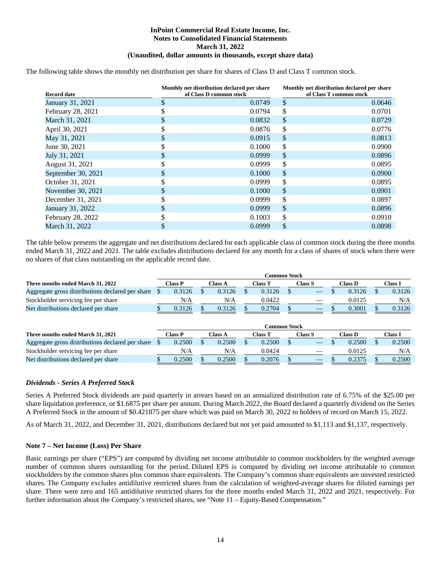The following table shows the monthly net distribution per share for shares of Class D and Class T common stock.

| <b>Record date</b> |    | Monthly net distribution declared per share<br>of Class D common stock |               | Monthly net distribution declared per share<br>of Class T common stock |  |  |
|--------------------|----|------------------------------------------------------------------------|---------------|------------------------------------------------------------------------|--|--|
| January 31, 2021   | \$ | 0.0749                                                                 | \$            | 0.0646                                                                 |  |  |
| February 28, 2021  |    | 0.0794                                                                 | \$            | 0.0701                                                                 |  |  |
| March 31, 2021     |    | 0.0832                                                                 | \$            | 0.0729                                                                 |  |  |
| April 30, 2021     |    | 0.0876                                                                 | \$            | 0.0776                                                                 |  |  |
| May 31, 2021       | S  | 0.0915                                                                 | <sup>\$</sup> | 0.0813                                                                 |  |  |
| June 30, 2021      |    | 0.1000                                                                 | \$            | 0.0900                                                                 |  |  |
| July 31, 2021      |    | 0.0999                                                                 | \$            | 0.0896                                                                 |  |  |
| August 31, 2021    |    | 0.0999                                                                 | \$            | 0.0895                                                                 |  |  |
| September 30, 2021 |    | 0.1000                                                                 | \$            | 0.0900                                                                 |  |  |
| October 31, 2021   |    | 0.0999                                                                 | \$            | 0.0895                                                                 |  |  |
| November 30, 2021  |    | 0.1000                                                                 | \$            | 0.0901                                                                 |  |  |
| December 31, 2021  |    | 0.0999                                                                 | \$            | 0.0897                                                                 |  |  |
| January 31, 2022   |    | 0.0999                                                                 | \$            | 0.0896                                                                 |  |  |
| February 28, 2022  |    | 0.1003                                                                 | \$            | 0.0910                                                                 |  |  |
| March 31, 2022     |    | 0.0999                                                                 | \$            | 0.0898                                                                 |  |  |

The table below presents the aggregate and net distributions declared for each applicable class of common stock during the three months ended March 31, 2022 and 2021. The table excludes distributions declared for any month for a class of shares of stock when there were no shares of that class outstanding on the applicable record date.

|                                                     |         |         | Common Stock |                   |         |         |
|-----------------------------------------------------|---------|---------|--------------|-------------------|---------|---------|
| Three months ended March 31, 2022                   | Class P | Class A | Class T      | Class S           | Class D | Class I |
| Aggregate gross distributions declared per share \$ | 0.3126  | 0.3126  | 0.3126       |                   | 0.3126  | 0.3126  |
| Stockholder servicing fee per share                 | N/A     | N/A     | 0.0422       | $\hspace{0.05cm}$ | 0.0125  | N/A     |
| Net distributions declared per share                | 0.3126  | 0.3126  | 0.2704       | __                | 0.3001  | 0.3126  |

|                                                  |                                                  |         | Common Stock |                          |         |         |
|--------------------------------------------------|--------------------------------------------------|---------|--------------|--------------------------|---------|---------|
| Three months ended March 31, 2021                | $\textcolor{red}{\boldsymbol{\mathsf{Class}}}$ P | Class A | Class T      | <b>Class S</b>           | Class D | Class I |
| Aggregate gross distributions declared per share | 0.2500                                           | 0.2500  | 0.2500       |                          | 0.2500  | 0.2500  |
| Stockholder servicing fee per share              | N/A                                              | N/A     | 0.0424       | $\overline{\phantom{a}}$ | 0.0125  | N/A     |
| Net distributions declared per share             | 0.2500                                           | 0.2500  | 0.2076       |                          | 0.2375  | 0.2500  |

#### *Dividends - Series A Preferred Stock*

Series A Preferred Stock dividends are paid quarterly in arrears based on an annualized distribution rate of 6.75% of the \$25.00 per share liquidation preference, or \$1.6875 per share per annum. During March 2022, the Board declared a quarterly dividend on the Series A Preferred Stock in the amount of \$0.421875 per share which was paid on March 30, 2022 to holders of record on March 15, 2022.

As of March 31, 2022, and December 31, 2021, distributions declared but not yet paid amounted to \$1,113 and \$1,137, respectively.

#### **Note 7 – Net Income (Loss) Per Share**

Basic earnings per share ("EPS") are computed by dividing net income attributable to common stockholders by the weighted average number of common shares outstanding for the period. Diluted EPS is computed by dividing net income attributable to common stockholders by the common shares plus common share equivalents. The Company's common share equivalents are unvested restricted shares. The Company excludes antidilutive restricted shares from the calculation of weighted-average shares for diluted earnings per share. There were zero and 165 antidilutive restricted shares for the three months ended March 31, 2022 and 2021, respectively. For further information about the Company's restricted shares, see "Note 11 – Equity-Based Compensation."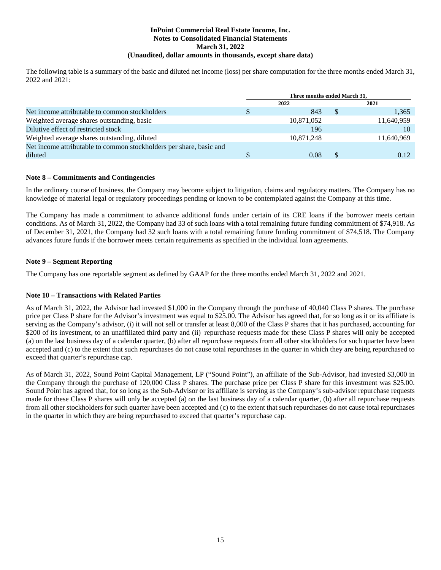The following table is a summary of the basic and diluted net income (loss) per share computation for the three months ended March 31, 2022 and 2021:

|                                                                     | Three months ended March 31. |             |
|---------------------------------------------------------------------|------------------------------|-------------|
|                                                                     | 2022                         | 2021        |
| Net income attributable to common stockholders                      | 843                          | \$<br>1,365 |
| Weighted average shares outstanding, basic                          | 10,871,052                   | 11,640,959  |
| Dilutive effect of restricted stock                                 | 196                          | 10          |
| Weighted average shares outstanding, diluted                        | 10,871,248                   | 11,640,969  |
| Net income attributable to common stockholders per share, basic and |                              |             |
| diluted                                                             | 0.08                         | 0.12        |

#### **Note 8 – Commitments and Contingencies**

In the ordinary course of business, the Company may become subject to litigation, claims and regulatory matters. The Company has no knowledge of material legal or regulatory proceedings pending or known to be contemplated against the Company at this time.

The Company has made a commitment to advance additional funds under certain of its CRE loans if the borrower meets certain conditions. As of March 31, 2022, the Company had 33 of such loans with a total remaining future funding commitment of \$74,918. As of December 31, 2021, the Company had 32 such loans with a total remaining future funding commitment of \$74,518. The Company advances future funds if the borrower meets certain requirements as specified in the individual loan agreements.

#### **Note 9 – Segment Reporting**

The Company has one reportable segment as defined by GAAP for the three months ended March 31, 2022 and 2021.

#### **Note 10 – Transactions with Related Parties**

As of March 31, 2022, the Advisor had invested \$1,000 in the Company through the purchase of 40,040 Class P shares. The purchase price per Class P share for the Advisor's investment was equal to \$25.00. The Advisor has agreed that, for so long as it or its affiliate is serving as the Company's advisor, (i) it will not sell or transfer at least 8,000 of the Class P shares that it has purchased, accounting for \$200 of its investment, to an unaffiliated third party and (ii) repurchase requests made for these Class P shares will only be accepted (a) on the last business day of a calendar quarter, (b) after all repurchase requests from all other stockholders for such quarter have been accepted and (c) to the extent that such repurchases do not cause total repurchases in the quarter in which they are being repurchased to exceed that quarter's repurchase cap.

As of March 31, 2022, Sound Point Capital Management, LP ("Sound Point"), an affiliate of the Sub-Advisor, had invested \$3,000 in the Company through the purchase of 120,000 Class P shares. The purchase price per Class P share for this investment was \$25.00. Sound Point has agreed that, for so long as the Sub-Advisor or its affiliate is serving as the Company's sub-advisor repurchase requests made for these Class P shares will only be accepted (a) on the last business day of a calendar quarter, (b) after all repurchase requests from all other stockholders for such quarter have been accepted and (c) to the extent that such repurchases do not cause total repurchases in the quarter in which they are being repurchased to exceed that quarter's repurchase cap.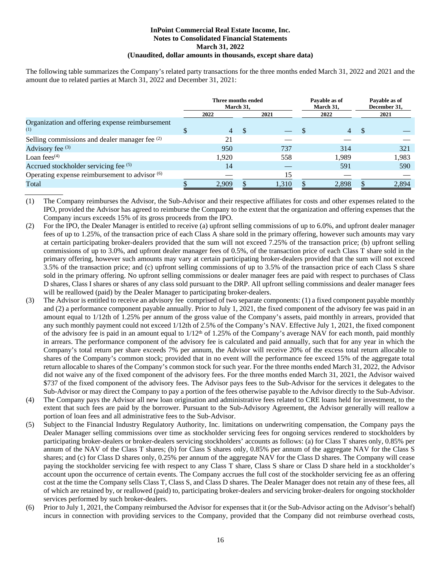The following table summarizes the Company's related party transactions for the three months ended March 31, 2022 and 2021 and the amount due to related parties at March 31, 2022 and December 31, 2021:

|                                                           | Three months ended | March 31. |       | Pavable as of<br>March 31, | Payable as of<br>December 31, |
|-----------------------------------------------------------|--------------------|-----------|-------|----------------------------|-------------------------------|
|                                                           | 2022               |           | 2021  | 2022                       | 2021                          |
| Organization and offering expense reimbursement<br>(1)    | 4                  | - \$      |       | 4                          |                               |
| Selling commissions and dealer manager fee <sup>(2)</sup> | 21                 |           |       |                            |                               |
| Advisory fee (3)                                          | 950                |           | 737   | 314                        | 321                           |
| Loan fees $(4)$                                           | 1.920              |           | 558   | 1,989                      | 1,983                         |
| Accrued stockholder servicing fee (5)                     | 14                 |           | __    | 591                        | 590                           |
| Operating expense reimbursement to advisor (6)            |                    |           | 15    |                            |                               |
| Total                                                     | 2.909              |           | 1,310 | 2.898                      | 2,894                         |

(1) The Company reimburses the Advisor, the Sub-Advisor and their respective affiliates for costs and other expenses related to the IPO, provided the Advisor has agreed to reimburse the Company to the extent that the organization and offering expenses that the Company incurs exceeds 15% of its gross proceeds from the IPO.

- (2) For the IPO, the Dealer Manager is entitled to receive (a) upfront selling commissions of up to 6.0%, and upfront dealer manager fees of up to 1.25%, of the transaction price of each Class A share sold in the primary offering, however such amounts may vary at certain participating broker-dealers provided that the sum will not exceed 7.25% of the transaction price; (b) upfront selling commissions of up to 3.0%, and upfront dealer manager fees of 0.5%, of the transaction price of each Class T share sold in the primary offering, however such amounts may vary at certain participating broker-dealers provided that the sum will not exceed 3.5% of the transaction price; and (c) upfront selling commissions of up to 3.5% of the transaction price of each Class S share sold in the primary offering. No upfront selling commissions or dealer manager fees are paid with respect to purchases of Class D shares, Class I shares or shares of any class sold pursuant to the DRP. All upfront selling commissions and dealer manager fees will be reallowed (paid) by the Dealer Manager to participating broker-dealers.
- (3) The Advisor is entitled to receive an advisory fee comprised of two separate components: (1) a fixed component payable monthly and (2) a performance component payable annually. Prior to July 1, 2021, the fixed component of the advisory fee was paid in an amount equal to 1/12th of 1.25% per annum of the gross value of the Company's assets, paid monthly in arrears, provided that any such monthly payment could not exceed 1/12th of 2.5% of the Company's NAV. Effective July 1, 2021, the fixed component of the advisory fee is paid in an amount equal to  $1/12<sup>th</sup>$  of 1.25% of the Company's average NAV for each month, paid monthly in arrears. The performance component of the advisory fee is calculated and paid annually, such that for any year in which the Company's total return per share exceeds 7% per annum, the Advisor will receive 20% of the excess total return allocable to shares of the Company's common stock; provided that in no event will the performance fee exceed 15% of the aggregate total return allocable to shares of the Company's common stock for such year. For the three months ended March 31, 2022, the Advisor did not waive any of the fixed component of the advisory fees. For the three months ended March 31, 2021, the Advisor waived \$737 of the fixed component of the advisory fees. The Advisor pays fees to the Sub-Advisor for the services it delegates to the Sub-Advisor or may direct the Company to pay a portion of the fees otherwise payable to the Advisor directly to the Sub-Advisor.
- (4) The Company pays the Advisor all new loan origination and administrative fees related to CRE loans held for investment, to the extent that such fees are paid by the borrower. Pursuant to the Sub-Advisory Agreement, the Advisor generally will reallow a portion of loan fees and all administrative fees to the Sub-Advisor.
- (5) Subject to the Financial Industry Regulatory Authority, Inc. limitations on underwriting compensation, the Company pays the Dealer Manager selling commissions over time as stockholder servicing fees for ongoing services rendered to stockholders by participating broker-dealers or broker-dealers servicing stockholders' accounts as follows: (a) for Class T shares only, 0.85% per annum of the NAV of the Class T shares; (b) for Class S shares only, 0.85% per annum of the aggregate NAV for the Class S shares; and (c) for Class D shares only, 0.25% per annum of the aggregate NAV for the Class D shares. The Company will cease paying the stockholder servicing fee with respect to any Class T share, Class S share or Class D share held in a stockholder's account upon the occurrence of certain events. The Company accrues the full cost of the stockholder servicing fee as an offering cost at the time the Company sells Class T, Class S, and Class D shares. The Dealer Manager does not retain any of these fees, all of which are retained by, or reallowed (paid) to, participating broker-dealers and servicing broker-dealers for ongoing stockholder services performed by such broker-dealers.
- (6) Prior to July 1, 2021, the Company reimbursed the Advisor for expenses that it (or the Sub-Advisor acting on the Advisor's behalf) incurs in connection with providing services to the Company, provided that the Company did not reimburse overhead costs,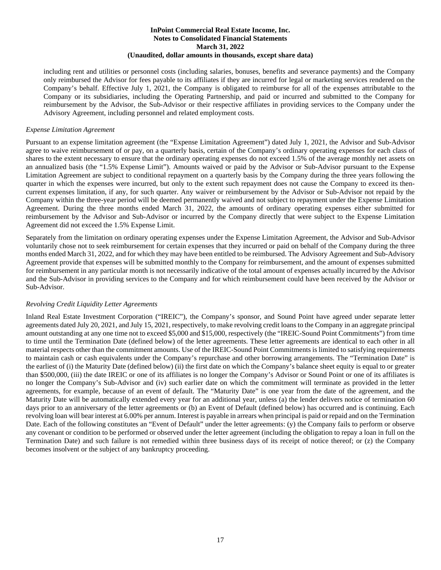including rent and utilities or personnel costs (including salaries, bonuses, benefits and severance payments) and the Company only reimbursed the Advisor for fees payable to its affiliates if they are incurred for legal or marketing services rendered on the Company's behalf. Effective July 1, 2021, the Company is obligated to reimburse for all of the expenses attributable to the Company or its subsidiaries, including the Operating Partnership, and paid or incurred and submitted to the Company for reimbursement by the Advisor, the Sub-Advisor or their respective affiliates in providing services to the Company under the Advisory Agreement, including personnel and related employment costs.

#### *Expense Limitation Agreement*

Pursuant to an expense limitation agreement (the "Expense Limitation Agreement") dated July 1, 2021, the Advisor and Sub-Advisor agree to waive reimbursement of or pay, on a quarterly basis, certain of the Company's ordinary operating expenses for each class of shares to the extent necessary to ensure that the ordinary operating expenses do not exceed 1.5% of the average monthly net assets on an annualized basis (the "1.5% Expense Limit"). Amounts waived or paid by the Advisor or Sub-Advisor pursuant to the Expense Limitation Agreement are subject to conditional repayment on a quarterly basis by the Company during the three years following the quarter in which the expenses were incurred, but only to the extent such repayment does not cause the Company to exceed its thencurrent expenses limitation, if any, for such quarter. Any waiver or reimbursement by the Advisor or Sub-Advisor not repaid by the Company within the three-year period will be deemed permanently waived and not subject to repayment under the Expense Limitation Agreement. During the three months ended March 31, 2022, the amounts of ordinary operating expenses either submitted for reimbursement by the Advisor and Sub-Advisor or incurred by the Company directly that were subject to the Expense Limitation Agreement did not exceed the 1.5% Expense Limit.

Separately from the limitation on ordinary operating expenses under the Expense Limitation Agreement, the Advisor and Sub-Advisor voluntarily chose not to seek reimbursement for certain expenses that they incurred or paid on behalf of the Company during the three months ended March 31, 2022, and for which they may have been entitled to be reimbursed. The Advisory Agreement and Sub-Advisory Agreement provide that expenses will be submitted monthly to the Company for reimbursement, and the amount of expenses submitted for reimbursement in any particular month is not necessarily indicative of the total amount of expenses actually incurred by the Advisor and the Sub-Advisor in providing services to the Company and for which reimbursement could have been received by the Advisor or Sub-Advisor.

#### *Revolving Credit Liquidity Letter Agreements*

Inland Real Estate Investment Corporation ("IREIC"), the Company's sponsor, and Sound Point have agreed under separate letter agreements dated July 20, 2021, and July 15, 2021, respectively, to make revolving credit loans to the Company in an aggregate principal amount outstanding at any one time not to exceed \$5,000 and \$15,000, respectively (the "IREIC-Sound Point Commitments") from time to time until the Termination Date (defined below) of the letter agreements. These letter agreements are identical to each other in all material respects other than the commitment amounts. Use of the IREIC-Sound Point Commitments is limited to satisfying requirements to maintain cash or cash equivalents under the Company's repurchase and other borrowing arrangements. The "Termination Date" is the earliest of (i) the Maturity Date (defined below) (ii) the first date on which the Company's balance sheet equity is equal to or greater than \$500,000, (iii) the date IREIC or one of its affiliates is no longer the Company's Advisor or Sound Point or one of its affiliates is no longer the Company's Sub-Advisor and (iv) such earlier date on which the commitment will terminate as provided in the letter agreements, for example, because of an event of default. The "Maturity Date" is one year from the date of the agreement, and the Maturity Date will be automatically extended every year for an additional year, unless (a) the lender delivers notice of termination 60 days prior to an anniversary of the letter agreements or (b) an Event of Default (defined below) has occurred and is continuing. Each revolving loan will bear interest at 6.00% per annum. Interest is payable in arrears when principal is paid or repaid and on the Termination Date. Each of the following constitutes an "Event of Default" under the letter agreements: (y) the Company fails to perform or observe any covenant or condition to be performed or observed under the letter agreement (including the obligation to repay a loan in full on the Termination Date) and such failure is not remedied within three business days of its receipt of notice thereof; or (z) the Company becomes insolvent or the subject of any bankruptcy proceeding.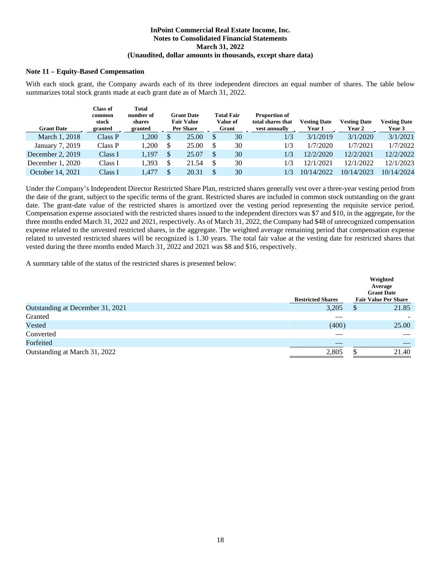#### **Note 11 – Equity-Based Compensation**

With each stock grant, the Company awards each of its three independent directors an equal number of shares. The table below summarizes total stock grants made at each grant date as of March 31, 2022.

| <b>Grant Date</b>  | <b>Class of</b><br>common<br>stock<br>granted | Total<br>number of<br>shares<br>granted |     | <b>Grant Date</b><br><b>Fair Value</b><br><b>Per Share</b> | <b>Total Fair</b><br>Value of<br>Grant | <b>Proportion of</b><br>total shares that<br>vest annually | <b>Vesting Date</b><br>Year 1 | <b>Vesting Date</b><br>Year 2 | <b>Vesting Date</b><br>Year 3 |
|--------------------|-----------------------------------------------|-----------------------------------------|-----|------------------------------------------------------------|----------------------------------------|------------------------------------------------------------|-------------------------------|-------------------------------|-------------------------------|
| March 1, 2018      | Class P                                       | ,200                                    | \$. | 25.00                                                      | 30                                     | 1/3                                                        | 3/1/2019                      | 3/1/2020                      | 3/1/2021                      |
| January 7, 2019    | Class P                                       | ,200                                    |     | 25.00                                                      | \$<br>30                               | 1/3                                                        | 1/7/2020                      | 1/7/2021                      | 1/7/2022                      |
| December 2, $2019$ | Class I                                       | 1,197                                   | \$. | 25.07                                                      | \$<br>30                               | 1/3                                                        | 12/2/2020                     | 12/2/2021                     | 12/2/2022                     |
| December $1, 2020$ | Class I                                       | .393                                    |     | 21.54                                                      | \$<br>30                               | 1/3                                                        | 12/1/2021                     | 12/1/2022                     | 12/1/2023                     |
| October 14, 2021   | Class I                                       | .477                                    |     | 20.31                                                      | \$<br>30                               | 1/3                                                        | 10/14/2022                    | 10/14/2023                    | 10/14/2024                    |

Under the Company's Independent Director Restricted Share Plan, restricted shares generally vest over a three-year vesting period from the date of the grant, subject to the specific terms of the grant. Restricted shares are included in common stock outstanding on the grant date. The grant-date value of the restricted shares is amortized over the vesting period representing the requisite service period. Compensation expense associated with the restricted shares issued to the independent directors was \$7 and \$10, in the aggregate, for the three months ended March 31, 2022 and 2021, respectively. As of March 31, 2022, the Company had \$48 of unrecognized compensation expense related to the unvested restricted shares, in the aggregate. The weighted average remaining period that compensation expense related to unvested restricted shares will be recognized is 1.30 years. The total fair value at the vesting date for restricted shares that vested during the three months ended March 31, 2022 and 2021 was \$8 and \$16, respectively.

A summary table of the status of the restricted shares is presented below:

|                                  | <b>Restricted Shares</b> | Weighted<br>Average<br><b>Grant Date</b><br><b>Fair Value Per Share</b> |
|----------------------------------|--------------------------|-------------------------------------------------------------------------|
| Outstanding at December 31, 2021 | 3,205                    | 21.85<br>S                                                              |
| Granted                          | _                        |                                                                         |
| Vested                           | (400)                    | 25.00                                                                   |
| Converted                        |                          |                                                                         |
| Forfeited                        |                          |                                                                         |
| Outstanding at March 31, 2022    | 2,805                    | 21.40                                                                   |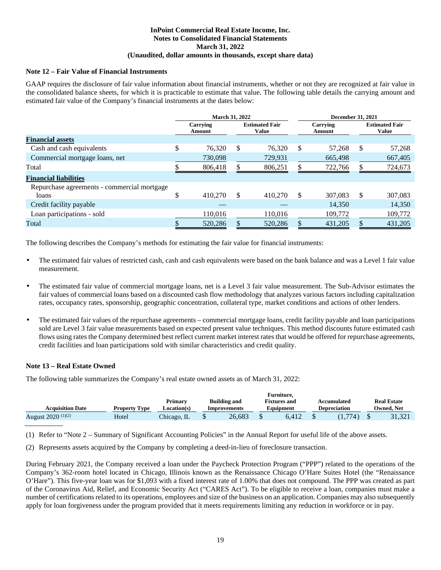#### **Note 12 – Fair Value of Financial Instruments**

GAAP requires the disclosure of fair value information about financial instruments, whether or not they are recognized at fair value in the consolidated balance sheets, for which it is practicable to estimate that value. The following table details the carrying amount and estimated fair value of the Company's financial instruments at the dates below:

|                                             | <b>March 31, 2022</b> |    |                                       | <b>December 31, 2021</b> |                    |    |                                       |  |
|---------------------------------------------|-----------------------|----|---------------------------------------|--------------------------|--------------------|----|---------------------------------------|--|
|                                             | Carrying<br>Amount    |    | <b>Estimated Fair</b><br><b>Value</b> |                          | Carrying<br>Amount |    | <b>Estimated Fair</b><br><b>Value</b> |  |
| <b>Financial assets</b>                     |                       |    |                                       |                          |                    |    |                                       |  |
| Cash and cash equivalents                   | \$<br>76,320          | S  | 76.320                                | S                        | 57,268             | \$ | 57,268                                |  |
| Commercial mortgage loans, net              | 730,098               |    | 729,931                               |                          | 665,498            |    | 667,405                               |  |
| Total                                       | 806,418               |    | 806,251                               |                          | 722,766            |    | 724,673                               |  |
| <b>Financial liabilities</b>                |                       |    |                                       |                          |                    |    |                                       |  |
| Repurchase agreements - commercial mortgage |                       |    |                                       |                          |                    |    |                                       |  |
| loans                                       | 410,270               | \$ | 410.270                               | \$.                      | 307.083            | S  | 307,083                               |  |
| Credit facility payable                     |                       |    |                                       |                          | 14.350             |    | 14,350                                |  |
| Loan participations - sold                  | 110,016               |    | 110,016                               |                          | 109,772            |    | 109,772                               |  |
| Total                                       | 520,286               |    | 520,286                               |                          | 431,205            |    | 431,205                               |  |

The following describes the Company's methods for estimating the fair value for financial instruments:

- The estimated fair values of restricted cash, cash and cash equivalents were based on the bank balance and was a Level 1 fair value measurement.
- The estimated fair value of commercial mortgage loans, net is a Level 3 fair value measurement. The Sub-Advisor estimates the fair values of commercial loans based on a discounted cash flow methodology that analyzes various factors including capitalization rates, occupancy rates, sponsorship, geographic concentration, collateral type, market conditions and actions of other lenders.
- The estimated fair values of the repurchase agreements commercial mortgage loans, credit facility payable and loan participations sold are Level 3 fair value measurements based on expected present value techniques. This method discounts future estimated cash flows using rates the Company determined best reflect current market interest rates that would be offered for repurchase agreements, credit facilities and loan participations sold with similar characteristics and credit quality.

#### **Note 13 – Real Estate Owned**

The following table summarizes the Company's real estate owned assets as of March 31, 2022:

|                         |                      |             |                     | Furniture.          |                     |                    |
|-------------------------|----------------------|-------------|---------------------|---------------------|---------------------|--------------------|
|                         |                      | Primary     | <b>Building and</b> | <b>Fixtures and</b> | Accumulated         | <b>Real Estate</b> |
| <b>Acquisition Date</b> | <b>Property Type</b> | Location(s) | Improvements        | Equipment           | <b>Depreciation</b> | Owned. Net         |
| August 2020 (1)(2)      | Hotel                | Chicago, IL | 26.683              | 6.412               | (1.774)             | 31,321             |

(1) Refer to "Note 2 – Summary of Significant Accounting Policies" in the Annual Report for useful life of the above assets.

(2) Represents assets acquired by the Company by completing a deed-in-lieu of foreclosure transaction.

During February 2021, the Company received a loan under the Paycheck Protection Program ("PPP") related to the operations of the Company's 362-room hotel located in Chicago, Illinois known as the Renaissance Chicago O'Hare Suites Hotel (the "Renaissance O'Hare"). This five-year loan was for \$1,093 with a fixed interest rate of 1.00% that does not compound. The PPP was created as part of the Coronavirus Aid, Relief, and Economic Security Act ("CARES Act"). To be eligible to receive a loan, companies must make a number of certifications related to its operations, employees and size of the business on an application. Companies may also subsequently apply for loan forgiveness under the program provided that it meets requirements limiting any reduction in workforce or in pay.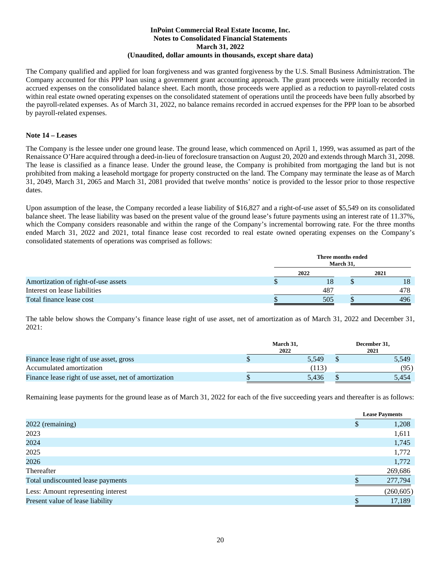The Company qualified and applied for loan forgiveness and was granted forgiveness by the U.S. Small Business Administration. The Company accounted for this PPP loan using a government grant accounting approach. The grant proceeds were initially recorded in accrued expenses on the consolidated balance sheet. Each month, those proceeds were applied as a reduction to payroll-related costs within real estate owned operating expenses on the consolidated statement of operations until the proceeds have been fully absorbed by the payroll-related expenses. As of March 31, 2022, no balance remains recorded in accrued expenses for the PPP loan to be absorbed by payroll-related expenses.

#### **Note 14 – Leases**

The Company is the lessee under one ground lease. The ground lease, which commenced on April 1, 1999, was assumed as part of the Renaissance O'Hare acquired through a deed-in-lieu of foreclosure transaction on August 20, 2020 and extends through March 31, 2098. The lease is classified as a finance lease. Under the ground lease, the Company is prohibited from mortgaging the land but is not prohibited from making a leasehold mortgage for property constructed on the land. The Company may terminate the lease as of March 31, 2049, March 31, 2065 and March 31, 2081 provided that twelve months' notice is provided to the lessor prior to those respective dates.

Upon assumption of the lease, the Company recorded a lease liability of \$16,827 and a right-of-use asset of \$5,549 on its consolidated balance sheet. The lease liability was based on the present value of the ground lease's future payments using an interest rate of 11.37%, which the Company considers reasonable and within the range of the Company's incremental borrowing rate. For the three months ended March 31, 2022 and 2021, total finance lease cost recorded to real estate owned operating expenses on the Company's consolidated statements of operations was comprised as follows:

|                                     |   | Three months ended<br>March 31, |      |
|-------------------------------------|---|---------------------------------|------|
|                                     |   | 2022                            | 2021 |
| Amortization of right-of-use assets | D |                                 | 18   |
| Interest on lease liabilities       |   | 487                             | 478  |
| Total finance lease cost            |   | 505                             | 496  |

The table below shows the Company's finance lease right of use asset, net of amortization as of March 31, 2022 and December 31, 2021:

|                                                       | March 31, | December 31, |
|-------------------------------------------------------|-----------|--------------|
|                                                       | 2022      | 2021         |
| Finance lease right of use asset, gross               | 5.549     | 5,549        |
| Accumulated amortization                              | (113      | (95)         |
| Finance lease right of use asset, net of amortization | 5.436     | 5.454        |

Remaining lease payments for the ground lease as of March 31, 2022 for each of the five succeeding years and thereafter is as follows:

|                                    |   | <b>Lease Payments</b> |
|------------------------------------|---|-----------------------|
| 2022 (remaining)                   | D | 1,208                 |
| 2023                               |   | 1,611                 |
| 2024                               |   | 1,745                 |
| 2025                               |   | 1,772                 |
| 2026                               |   | 1,772                 |
| Thereafter                         |   | 269,686               |
| Total undiscounted lease payments  |   | 277,794               |
| Less: Amount representing interest |   | (260, 605)            |
| Present value of lease liability   |   | 17,189                |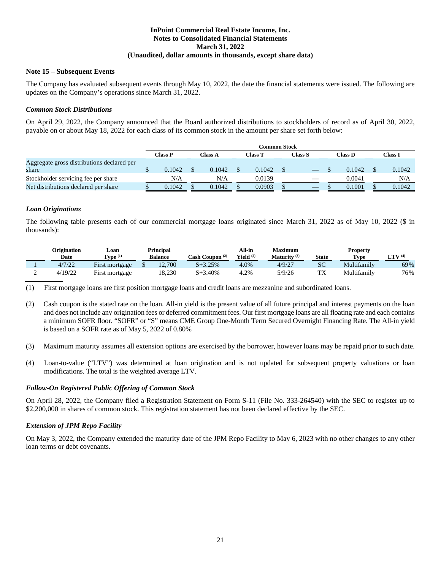#### **Note 15 – Subsequent Events**

The Company has evaluated subsequent events through May 10, 2022, the date the financial statements were issued. The following are updates on the Company's operations since March 31, 2022.

#### *Common Stock Distributions*

On April 29, 2022, the Company announced that the Board authorized distributions to stockholders of record as of April 30, 2022, payable on or about May 18, 2022 for each class of its common stock in the amount per share set forth below:

|                                                     |         |         | Common Stock |         |                |         |
|-----------------------------------------------------|---------|---------|--------------|---------|----------------|---------|
|                                                     | Class P | Class A | Class T      | Class S | <b>Class D</b> | Class I |
| Aggregate gross distributions declared per<br>share | 0.1042  | 0.1042  | 0.1042       |         | 0.1042         | 0.1042  |
| Stockholder servicing fee per share                 | N/A     | N/A     | 0.0139       |         | 0.0041         | N/A     |
| Net distributions declared per share                | 0.1042  | 0.1042  | 0.0903       |         | 0.1001         | 0.1042  |

#### *Loan Originations*

The following table presents each of our commercial mortgage loans originated since March 31, 2022 as of May 10, 2022 (\$ in thousands):

| Origination<br>Date | ∟oan<br>Type $(1)$ | Principal<br><b>Balance</b> | Cash Coupon (2) | All-in<br>Yield $(2)$ | Maximum<br>Maturity $(3)$ | <b>State</b> | <b>Property</b><br><b>Type</b> | $LTV$ (4) |
|---------------------|--------------------|-----------------------------|-----------------|-----------------------|---------------------------|--------------|--------------------------------|-----------|
| 4/7/22              | First mortgage     | 12,700                      | $S + 3.25%$     | 4.0%                  | 4/9/27                    | SС           | Multifamily                    | 69%       |
| 4/19/22             | First mortgage     | 18,230                      | S+3.40%         | 4.2%                  | 5/9/26                    | 1 ∆          | Multifamily                    | 76%       |

(1) First mortgage loans are first position mortgage loans and credit loans are mezzanine and subordinated loans.

- (2) Cash coupon is the stated rate on the loan. All-in yield is the present value of all future principal and interest payments on the loan and does not include any origination fees or deferred commitment fees. Our first mortgage loans are all floating rate and each contains a minimum SOFR floor. "SOFR" or "S" means CME Group One-Month Term Secured Overnight Financing Rate. The All-in yield is based on a SOFR rate as of May 5, 2022 of 0.80%
- (3) Maximum maturity assumes all extension options are exercised by the borrower, however loans may be repaid prior to such date.
- (4) Loan-to-value ("LTV") was determined at loan origination and is not updated for subsequent property valuations or loan modifications. The total is the weighted average LTV.

#### *Follow-On Registered Public Offering of Common Stock*

On April 28, 2022, the Company filed a Registration Statement on Form S-11 (File No. 333-264540) with the SEC to register up to \$2,200,000 in shares of common stock. This registration statement has not been declared effective by the SEC.

#### *Extension of JPM Repo Facility*

On May 3, 2022, the Company extended the maturity date of the JPM Repo Facility to May 6, 2023 with no other changes to any other loan terms or debt covenants.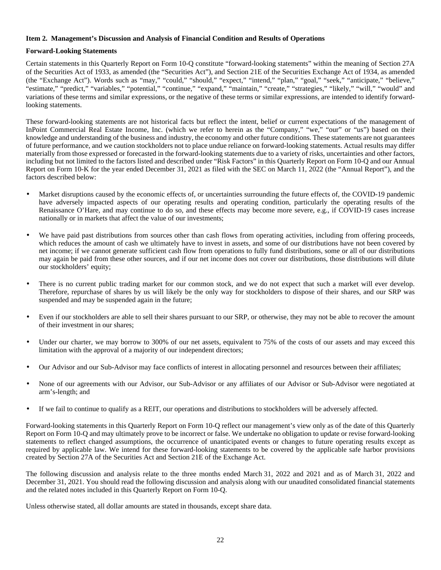#### <span id="page-26-0"></span>**Item 2. Management's Discussion and Analysis of Financial Condition and Results of Operations**

#### **Forward-Looking Statements**

Certain statements in this Quarterly Report on Form 10-Q constitute "forward-looking statements" within the meaning of Section 27A of the Securities Act of 1933, as amended (the "Securities Act"), and Section 21E of the Securities Exchange Act of 1934, as amended (the "Exchange Act"). Words such as "may," "could," "should," "expect," "intend," "plan," "goal," "seek," "anticipate," "believe," "estimate," "predict," "variables," "potential," "continue," "expand," "maintain," "create," "strategies," "likely," "will," "would" and variations of these terms and similar expressions, or the negative of these terms or similar expressions, are intended to identify forwardlooking statements.

These forward-looking statements are not historical facts but reflect the intent, belief or current expectations of the management of InPoint Commercial Real Estate Income, Inc. (which we refer to herein as the "Company," "we," "our" or "us") based on their knowledge and understanding of the business and industry, the economy and other future conditions. These statements are not guarantees of future performance, and we caution stockholders not to place undue reliance on forward-looking statements. Actual results may differ materially from those expressed or forecasted in the forward-looking statements due to a variety of risks, uncertainties and other factors, including but not limited to the factors listed and described under "Risk Factors" in this Quarterly Report on Form 10-Q and our Annual Report on Form 10-K for the year ended December 31, 2021 as filed with the SEC on March 11, 2022 (the "Annual Report"), and the factors described below:

- Market disruptions caused by the economic effects of, or uncertainties surrounding the future effects of, the COVID-19 pandemic have adversely impacted aspects of our operating results and operating condition, particularly the operating results of the Renaissance O'Hare, and may continue to do so, and these effects may become more severe, e.g., if COVID-19 cases increase nationally or in markets that affect the value of our investments;
- We have paid past distributions from sources other than cash flows from operating activities, including from offering proceeds, which reduces the amount of cash we ultimately have to invest in assets, and some of our distributions have not been covered by net income; if we cannot generate sufficient cash flow from operations to fully fund distributions, some or all of our distributions may again be paid from these other sources, and if our net income does not cover our distributions, those distributions will dilute our stockholders' equity;
- There is no current public trading market for our common stock, and we do not expect that such a market will ever develop. Therefore, repurchase of shares by us will likely be the only way for stockholders to dispose of their shares, and our SRP was suspended and may be suspended again in the future;
- Even if our stockholders are able to sell their shares pursuant to our SRP, or otherwise, they may not be able to recover the amount of their investment in our shares;
- Under our charter, we may borrow to 300% of our net assets, equivalent to 75% of the costs of our assets and may exceed this limitation with the approval of a majority of our independent directors;
- Our Advisor and our Sub-Advisor may face conflicts of interest in allocating personnel and resources between their affiliates;
- None of our agreements with our Advisor, our Sub-Advisor or any affiliates of our Advisor or Sub-Advisor were negotiated at arm's-length; and
- If we fail to continue to qualify as a REIT, our operations and distributions to stockholders will be adversely affected.

Forward-looking statements in this Quarterly Report on Form 10-Q reflect our management's view only as of the date of this Quarterly Report on Form 10-Q and may ultimately prove to be incorrect or false. We undertake no obligation to update or revise forward-looking statements to reflect changed assumptions, the occurrence of unanticipated events or changes to future operating results except as required by applicable law. We intend for these forward-looking statements to be covered by the applicable safe harbor provisions created by Section 27A of the Securities Act and Section 21E of the Exchange Act.

The following discussion and analysis relate to the three months ended March 31, 2022 and 2021 and as of March 31, 2022 and December 31, 2021. You should read the following discussion and analysis along with our unaudited consolidated financial statements and the related notes included in this Quarterly Report on Form 10-Q.

Unless otherwise stated, all dollar amounts are stated in thousands, except share data.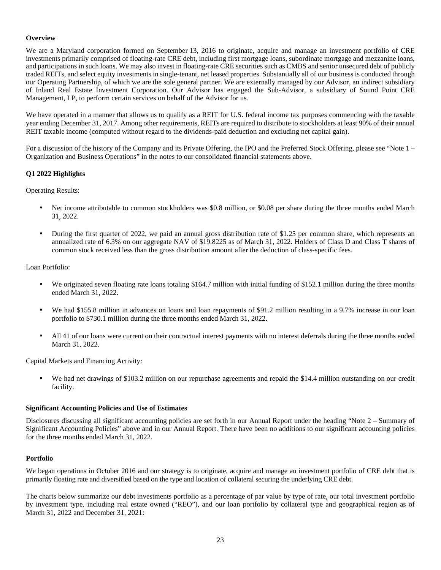#### **Overview**

We are a Maryland corporation formed on September 13, 2016 to originate, acquire and manage an investment portfolio of CRE investments primarily comprised of floating-rate CRE debt, including first mortgage loans, subordinate mortgage and mezzanine loans, and participations in such loans. We may also invest in floating-rate CRE securities such as CMBS and senior unsecured debt of publicly traded REITs, and select equity investments in single-tenant, net leased properties. Substantially all of our business is conducted through our Operating Partnership, of which we are the sole general partner. We are externally managed by our Advisor, an indirect subsidiary of Inland Real Estate Investment Corporation. Our Advisor has engaged the Sub-Advisor, a subsidiary of Sound Point CRE Management, LP, to perform certain services on behalf of the Advisor for us.

We have operated in a manner that allows us to qualify as a REIT for U.S. federal income tax purposes commencing with the taxable year ending December 31, 2017. Among other requirements, REITs are required to distribute to stockholders at least 90% of their annual REIT taxable income (computed without regard to the dividends-paid deduction and excluding net capital gain).

For a discussion of the history of the Company and its Private Offering, the IPO and the Preferred Stock Offering, please see "Note 1 – Organization and Business Operations" in the notes to our consolidated financial statements above.

#### **Q1 2022 Highlights**

Operating Results:

- Net income attributable to common stockholders was \$0.8 million, or \$0.08 per share during the three months ended March 31, 2022.
- During the first quarter of 2022, we paid an annual gross distribution rate of \$1.25 per common share, which represents an annualized rate of 6.3% on our aggregate NAV of \$19.8225 as of March 31, 2022. Holders of Class D and Class T shares of common stock received less than the gross distribution amount after the deduction of class-specific fees.

#### Loan Portfolio:

- We originated seven floating rate loans totaling \$164.7 million with initial funding of \$152.1 million during the three months ended March 31, 2022.
- We had \$155.8 million in advances on loans and loan repayments of \$91.2 million resulting in a 9.7% increase in our loan portfolio to \$730.1 million during the three months ended March 31, 2022.
- All 41 of our loans were current on their contractual interest payments with no interest deferrals during the three months ended March 31, 2022.

Capital Markets and Financing Activity:

We had net drawings of \$103.2 million on our repurchase agreements and repaid the \$14.4 million outstanding on our credit facility.

#### **Significant Accounting Policies and Use of Estimates**

Disclosures discussing all significant accounting policies are set forth in our Annual Report under the heading "Note 2 – Summary of Significant Accounting Policies" above and in our Annual Report. There have been no additions to our significant accounting policies for the three months ended March 31, 2022.

#### **Portfolio**

We began operations in October 2016 and our strategy is to originate, acquire and manage an investment portfolio of CRE debt that is primarily floating rate and diversified based on the type and location of collateral securing the underlying CRE debt.

The charts below summarize our debt investments portfolio as a percentage of par value by type of rate, our total investment portfolio by investment type, including real estate owned ("REO"), and our loan portfolio by collateral type and geographical region as of March 31, 2022 and December 31, 2021: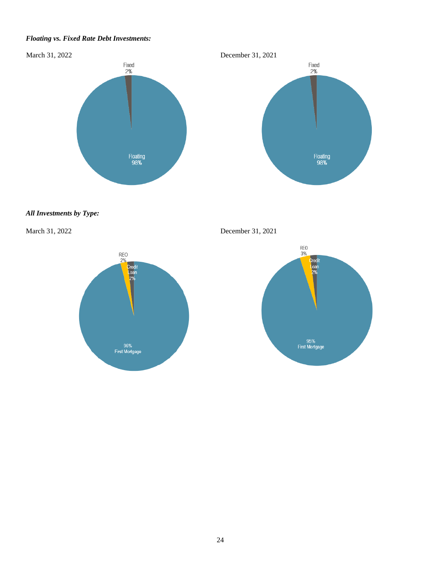#### *Floating vs. Fixed Rate Debt Investments:*





#### *All Investments by Type:*

March 31, 2022 December 31, 2021



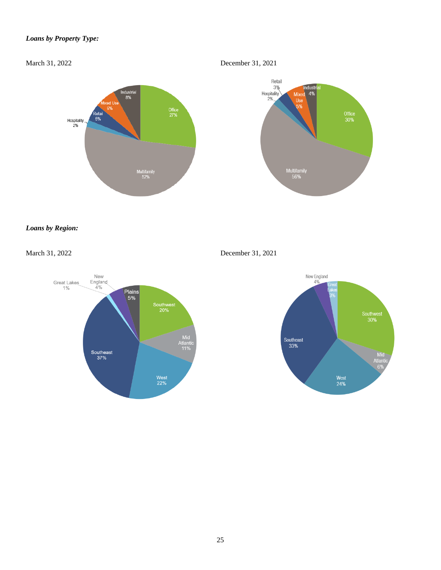#### *Loans by Property Type:*

March 31, 2022 December 31, 2021



### *Loans by Region:*

March 31, 2022 December 31, 2021



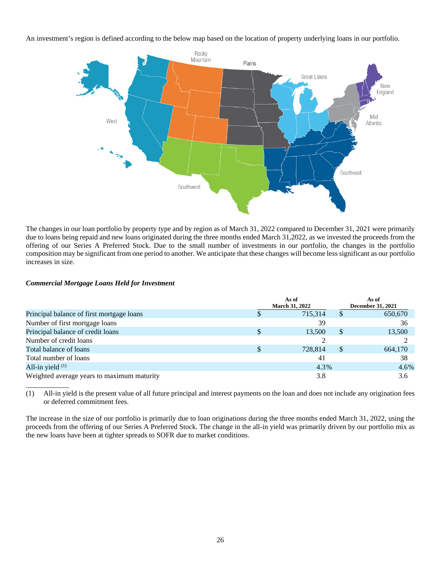An investment's region is defined according to the below map based on the location of property underlying loans in our portfolio.



The changes in our loan portfolio by property type and by region as of March 31, 2022 compared to December 31, 2021 were primarily due to loans being repaid and new loans originated during the three months ended March 31,2022, as we invested the proceeds from the offering of our Series A Preferred Stock. Due to the small number of investments in our portfolio, the changes in the portfolio composition may be significant from one period to another. We anticipate that these changes will become less significant as our portfolio increases in size.

#### *Commercial Mortgage Loans Held for Investment*

|                                            | As of<br><b>March 31, 2022</b> |   | As of<br><b>December 31, 2021</b> |
|--------------------------------------------|--------------------------------|---|-----------------------------------|
| Principal balance of first mortgage loans  | 715.314                        |   | 650,670                           |
| Number of first mortgage loans             | 39                             |   | 36                                |
| Principal balance of credit loans          | 13,500                         | S | 13,500                            |
| Number of credit loans                     |                                |   |                                   |
| Total balance of loans                     | 728,814                        | S | 664,170                           |
| Total number of loans                      | 41                             |   | 38                                |
| All-in yield $(1)$                         | 4.3%                           |   | 4.6%                              |
| Weighted average years to maximum maturity | 3.8                            |   | 3.6                               |

(1) All-in yield is the present value of all future principal and interest payments on the loan and does not include any origination fees or deferred commitment fees.

The increase in the size of our portfolio is primarily due to loan originations during the three months ended March 31, 2022, using the proceeds from the offering of our Series A Preferred Stock. The change in the all-in yield was primarily driven by our portfolio mix as the new loans have been at tighter spreads to SOFR due to market conditions.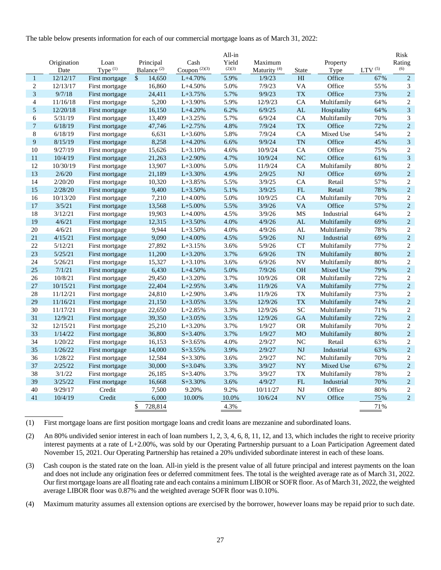The table below presents information for each of our commercial mortgage loans as of March 31, 2022:

|                | Origination | Loan           | Principal               | Cash            | All-in<br>Yield | Maximum                 |               | Property    |              | Risk<br>Rating              |
|----------------|-------------|----------------|-------------------------|-----------------|-----------------|-------------------------|---------------|-------------|--------------|-----------------------------|
|                | Date        | Type $(1)$     | Balance <sup>(2)</sup>  | Coupon $(2)(3)$ | (2)(3)          | Maturity <sup>(4)</sup> | <b>State</b>  | Type        | LTV $^{(5)}$ | (6)                         |
| $\mathbf{1}$   | 12/12/17    | First mortgage | $\mathcal{S}$<br>14,650 | $L+4.70%$       | 5.9%            | 1/9/23                  | HI            | Office      | 67%          | $\overline{2}$              |
| $\mathbf{2}$   | 12/13/17    | First mortgage | 16,860                  | $L+4.50%$       | 5.0%            | 7/9/23                  | VA            | Office      | 55%          | 3                           |
| 3              | 9/7/18      | First mortgage | 24,411                  | $L + 3.75%$     | 5.7%            | 9/9/23                  | <b>TX</b>     | Office      | 73%          | $\sqrt{2}$                  |
| $\overline{4}$ | 11/16/18    | First mortgage | 5,200                   | $L+3.90%$       | 5.9%            | 12/9/23                 | CA            | Multifamily | 64%          | $\sqrt{2}$                  |
| 5              | 12/20/18    | First mortgage | 16,150                  | $L+4.20%$       | 6.2%            | 6/9/25                  | AL            | Hospitality | 64%          | $\sqrt{3}$                  |
| 6              | 5/31/19     | First mortgage | 13,409                  | $L+3.25%$       | 5.7%            | 6/9/24                  | CA            | Multifamily | 70%          | $\ensuremath{\mathfrak{Z}}$ |
| $\overline{7}$ | 6/18/19     | First mortgage | 47,746                  | $L+2.75%$       | 4.8%            | 7/9/24                  | <b>TX</b>     | Office      | 72%          | $\sqrt{2}$                  |
| $\,$ 8 $\,$    | 6/18/19     | First mortgage | 6,631                   | $L+3.60%$       | 5.8%            | 7/9/24                  | CA            | Mixed Use   | 54%          | $\overline{c}$              |
| 9              | 8/15/19     | First mortgage | 8,258                   | $L+4.20%$       | 6.6%            | 9/9/24                  | <b>TN</b>     | Office      | 45%          | $\mathfrak{Z}$              |
| 10             | 9/27/19     | First mortgage | 15,626                  | $L+3.10%$       | 4.6%            | 10/9/24                 | CA            | Office      | 75%          | $\sqrt{2}$                  |
| 11             | 10/4/19     | First mortgage | 21,263                  | $L+2.90%$       | 4.7%            | 10/9/24                 | <b>NC</b>     | Office      | 61%          | $\mathfrak{Z}$              |
| 12             | 10/30/19    | First mortgage | 13,907                  | $L+3.00%$       | 5.0%            | 11/9/24                 | CA            | Multifamily | 80%          | $\sqrt{2}$                  |
| 13             | 2/6/20      | First mortgage | 21,189                  | $L+3.30%$       | 4.9%            | 2/9/25                  | <b>NJ</b>     | Office      | 69%          | $\sqrt{2}$                  |
| 14             | 2/20/20     | First mortgage | 10,320                  | $L+3.85%$       | 5.5%            | 3/9/25                  | CA            | Retail      | 57%          | $\sqrt{2}$                  |
| 15             | 2/28/20     | First mortgage | 9,400                   | $L+3.50%$       | 5.1%            | 3/9/25                  | FL            | Retail      | 78%          | $\sqrt{2}$                  |
| 16             | 10/13/20    | First mortgage | 7,210                   | $L+4.00%$       | 5.0%            | 10/9/25                 | CA            | Multifamily | 70%          | $\mathbf{2}$                |
| 17             | 3/5/21      | First mortgage | 13,568                  | $L+5.00%$       | 5.5%            | 3/9/26                  | <b>VA</b>     | Office      | 57%          | $\overline{2}$              |
| 18             | 3/12/21     | First mortgage | 19,903                  | $L+4.00%$       | 4.5%            | 3/9/26                  | MS            | Industrial  | 64%          | $\mathbf{2}$                |
| 19             | 4/6/21      | First mortgage | 12,315                  | $L+3.50%$       | 4.0%            | 4/9/26                  | ${\rm AL}$    | Multifamily | 69%          | $\sqrt{2}$                  |
| 20             | 4/6/21      | First mortgage | 9,944                   | $L+3.50%$       | 4.0%            | 4/9/26                  | $\mathbf{AL}$ | Multifamily | 78%          | $\overline{c}$              |
| 21             | 4/15/21     | First mortgage | 9,090                   | $L+4.00%$       | 4.5%            | 5/9/26                  | <b>NJ</b>     | Industrial  | 69%          | $\overline{2}$              |
| 22             | 5/12/21     | First mortgage | 27,892                  | $L+3.15%$       | 3.6%            | 5/9/26                  | <b>CT</b>     | Multifamily | 77%          | $\mathbf{2}$                |
| 23             | 5/25/21     | First mortgage | 11,200                  | $L+3.20%$       | 3.7%            | 6/9/26                  | <b>TN</b>     | Multifamily | 80%          | $\overline{c}$              |
| 24             | 5/26/21     | First mortgage | 15,327                  | $L+3.10%$       | 3.6%            | 6/9/26                  | <b>NV</b>     | Multifamily | 80%          | $\sqrt{2}$                  |
| 25             | 7/1/21      | First mortgage | 6,430                   | $L+4.50%$       | 5.0%            | 7/9/26                  | <b>OH</b>     | Mixed Use   | 79%          | $\boldsymbol{2}$            |
| 26             | 10/8/21     | First mortgage | 29,450                  | $L+3.20%$       | 3.7%            | 10/9/26                 | <b>OR</b>     | Multifamily | 72%          | $\overline{2}$              |
| $27\,$         | 10/15/21    | First mortgage | 22,404                  | $L+2.95%$       | 3.4%            | 11/9/26                 | <b>VA</b>     | Multifamily | 77%          | $\sqrt{2}$                  |
| 28             | 11/12/21    | First mortgage | 24,810                  | $L+2.90%$       | 3.4%            | 11/9/26                 | <b>TX</b>     | Multifamily | 73%          | 2                           |
| 29             | 11/16/21    | First mortgage | 21,150                  | $L+3.05%$       | 3.5%            | 12/9/26                 | <b>TX</b>     | Multifamily | 74%          | $\sqrt{2}$                  |
| 30             | 11/17/21    | First mortgage | 22,650                  | $L+2.85%$       | 3.3%            | 12/9/26                 | <b>SC</b>     | Multifamily | 71%          | $\boldsymbol{2}$            |
| 31             | 12/9/21     | First mortgage | 39,350                  | $L+3.05%$       | 3.5%            | 12/9/26                 | <b>GA</b>     | Multifamily | 72%          | $\sqrt{2}$                  |
| 32             | 12/15/21    | First mortgage | 25,210                  | $L+3.20%$       | 3.7%            | 1/9/27                  | <b>OR</b>     | Multifamily | 70%          | $\overline{c}$              |
| 33             | 1/14/22     | First mortgage | 36,800                  | $S+3.40%$       | 3.7%            | 1/9/27                  | <b>MO</b>     | Multifamily | 80%          | $\sqrt{2}$                  |
| 34             | 1/20/22     | First mortgage | 16,153                  | $S+3.65%$       | 4.0%            | 2/9/27                  | NC            | Retail      | 63%          | $\sqrt{2}$                  |
| 35             | 1/26/22     | First mortgage | 14,000                  | $S+3.55%$       | 3.9%            | 2/9/27                  | <b>NJ</b>     | Industrial  | 63%          | $\sqrt{2}$                  |
| 36             | 1/28/22     | First mortgage | 12,584                  | $S+3.30%$       | 3.6%            | 2/9/27                  | NC            | Multifamily | 70%          | $\sqrt{2}$                  |
| 37             | 2/25/22     | First mortgage | 30,000                  | $S+3.04%$       | 3.3%            | 3/9/27                  | <b>NY</b>     | Mixed Use   | 67%          | $\boldsymbol{2}$            |
| 38             | 3/1/22      | First mortgage | 26,185                  | $S+3.40%$       | 3.7%            | 3/9/27                  | <b>TX</b>     | Multifamily | 78%          | $\mathbf{2}$                |
| 39             | 3/25/22     | First mortgage | 16,668                  | $S+3.30%$       | 3.6%            | 4/9/27                  | FL            | Industrial  | 70%          | $\sqrt{2}$                  |
| 40             | 9/29/17     | Credit         | 7,500                   | 9.20%           | 9.2%            | 10/11/27                | NJ            | Office      | 80%          | $\sqrt{2}$                  |
| 41             | 10/4/19     | Credit         | 6,000                   | 10.00%          | 10.0%           | 10/6/24                 | <b>NV</b>     | Office      | 75%          | $\overline{2}$              |
|                |             |                | \$<br>728,814           |                 | 4.3%            |                         |               |             | 71%          |                             |

(1) First mortgage loans are first position mortgage loans and credit loans are mezzanine and subordinated loans.

(2) An 80% undivided senior interest in each of loan numbers 1, 2, 3, 4, 6, 8, 11, 12, and 13, which includes the right to receive priority interest payments at a rate of L+2.00%, was sold by our Operating Partnership pursuant to a Loan Participation Agreement dated November 15, 2021. Our Operating Partnership has retained a 20% undivided subordinate interest in each of these loans.

(3) Cash coupon is the stated rate on the loan. All-in yield is the present value of all future principal and interest payments on the loan and does not include any origination fees or deferred commitment fees. The total is the weighted average rate as of March 31, 2022. Our first mortgage loans are all floating rate and each contains a minimum LIBOR or SOFR floor. As of March 31, 2022, the weighted average LIBOR floor was 0.87% and the weighted average SOFR floor was 0.10%.

(4) Maximum maturity assumes all extension options are exercised by the borrower, however loans may be repaid prior to such date.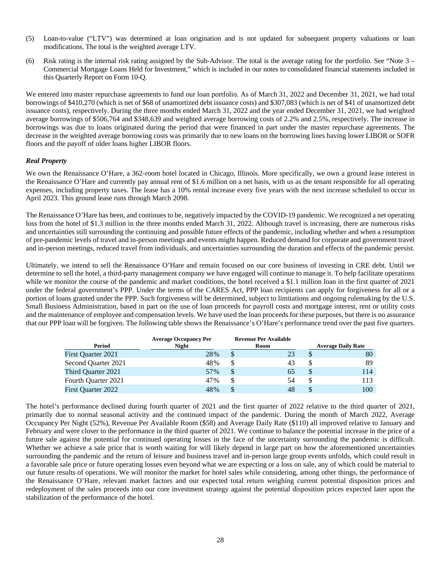- (5) Loan-to-value ("LTV") was determined at loan origination and is not updated for subsequent property valuations or loan modifications. The total is the weighted average LTV.
- (6) Risk rating is the internal risk rating assigned by the Sub-Advisor. The total is the average rating for the portfolio. See "Note 3 Commercial Mortgage Loans Held for Investment," which is included in our notes to consolidated financial statements included in this Quarterly Report on Form 10-Q.

We entered into master repurchase agreements to fund our loan portfolio. As of March 31, 2022 and December 31, 2021, we had total borrowings of \$410,270 (which is net of \$68 of unamortized debt issuance costs) and \$307,083 (which is net of \$41 of unamortized debt issuance costs), respectively. During the three months ended March 31, 2022 and the year ended December 31, 2021, we had weighted average borrowings of \$506,764 and \$348,639 and weighted average borrowing costs of 2.2% and 2.5%, respectively. The increase in borrowings was due to loans originated during the period that were financed in part under the master repurchase agreements. The decrease in the weighted average borrowing costs was primarily due to new loans on the borrowing lines having lower LIBOR or SOFR floors and the payoff of older loans higher LIBOR floors.

#### *Real Property*

We own the Renaissance O'Hare, a 362-room hotel located in Chicago, Illinois. More specifically, we own a ground lease interest in the Renaissance O'Hare and currently pay annual rent of \$1.6 million on a net basis, with us as the tenant responsible for all operating expenses, including property taxes. The lease has a 10% rental increase every five years with the next increase scheduled to occur in April 2023. This ground lease runs through March 2098.

The Renaissance O'Hare has been, and continues to be, negatively impacted by the COVID-19 pandemic. We recognized a net operating loss from the hotel of \$1.3 million in the three months ended March 31, 2022. Although travel is increasing, there are numerous risks and uncertainties still surrounding the continuing and possible future effects of the pandemic, including whether and when a resumption of pre-pandemic levels of travel and in-person meetings and events might happen. Reduced demand for corporate and government travel and in-person meetings, reduced travel from individuals, and uncertainties surrounding the duration and effects of the pandemic persist.

Ultimately, we intend to sell the Renaissance O'Hare and remain focused on our core business of investing in CRE debt. Until we determine to sell the hotel, a third-party management company we have engaged will continue to manage it. To help facilitate operations while we monitor the course of the pandemic and market conditions, the hotel received a \$1.1 million loan in the first quarter of 2021 under the federal government's PPP. Under the terms of the CARES Act, PPP loan recipients can apply for forgiveness for all or a portion of loans granted under the PPP. Such forgiveness will be determined, subject to limitations and ongoing rulemaking by the U.S. Small Business Administration, based in part on the use of loan proceeds for payroll costs and mortgage interest, rent or utility costs and the maintenance of employee and compensation levels. We have used the loan proceeds for these purposes, but there is no assurance that our PPP loan will be forgiven. The following table shows the Renaissance's O'Hare's performance trend over the past five quarters.

|                           | <b>Average Occupancy Per</b> | <b>Revenue Per Available</b> |    |                           |
|---------------------------|------------------------------|------------------------------|----|---------------------------|
| Period                    | <b>Night</b>                 | Room                         |    | <b>Average Daily Rate</b> |
| <b>First Quarter 2021</b> | 28%                          | \$                           | 23 | \$<br>80                  |
| Second Quarter 2021       | 48%                          | S                            | 43 | 89                        |
| Third Ouarter 2021        | 57%                          | S                            | 65 | 114                       |
| Fourth Ouarter 2021       | 47%                          | S                            | 54 | 113                       |
| First Quarter 2022        | 48%                          | \$                           | 48 | 100                       |

The hotel's performance declined during fourth quarter of 2021 and the first quarter of 2022 relative to the third quarter of 2021, primarily due to normal seasonal activity and the continued impact of the pandemic. During the month of March 2022, Average Occupancy Per Night (52%), Revenue Per Available Room (\$58) and Average Daily Rate (\$110) all improved relative to January and February and were closer to the performance in the third quarter of 2021. We continue to balance the potential increase in the price of a future sale against the potential for continued operating losses in the face of the uncertainty surrounding the pandemic is difficult. Whether we achieve a sale price that is worth waiting for will likely depend in large part on how the aforementioned uncertainties surrounding the pandemic and the return of leisure and business travel and in-person large group events unfolds, which could result in a favorable sale price or future operating losses even beyond what we are expecting or a loss on sale, any of which could be material to our future results of operations. We will monitor the market for hotel sales while considering, among other things, the performance of the Renaissance O'Hare, relevant market factors and our expected total return weighing current potential disposition prices and redeployment of the sales proceeds into our core investment strategy against the potential disposition prices expected later upon the stabilization of the performance of the hotel.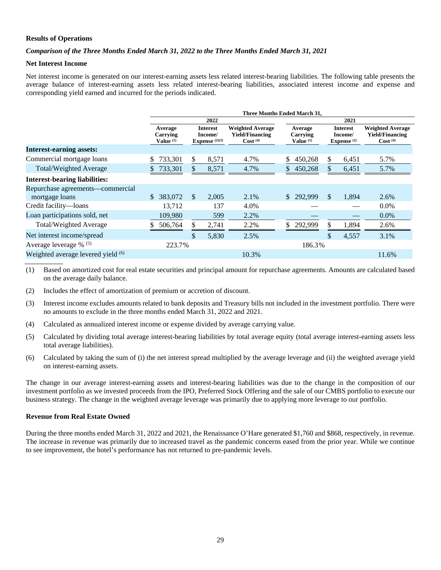#### **Results of Operations**

#### *Comparison of the Three Months Ended March 31, 2022 to the Three Months Ended March 31, 2021*

#### **Net Interest Income**

Net interest income is generated on our interest-earning assets less related interest-bearing liabilities. The following table presents the average balance of interest-earning assets less related interest-bearing liabilities, associated interest income and expense and corresponding yield earned and incurred for the periods indicated.

|                                                    | <b>Three Months Ended March 31.</b>         |     |                                                                           |       |                                             |            |                                      |       |                                                                   |  |  |
|----------------------------------------------------|---------------------------------------------|-----|---------------------------------------------------------------------------|-------|---------------------------------------------|------------|--------------------------------------|-------|-------------------------------------------------------------------|--|--|
|                                                    |                                             |     | 2022                                                                      |       |                                             | 2021       |                                      |       |                                                                   |  |  |
|                                                    | Average<br>Carrying<br>Value <sup>(1)</sup> |     | <b>Weighted Average</b><br><b>Interest</b><br>Income/<br>Expense $(2)(3)$ |       | Average<br>Carrying<br>Value <sup>(1)</sup> |            | Interest<br>Income/<br>Expense $(2)$ |       | <b>Weighted Average</b><br>Yield/Financing<br>Cost <sup>(4)</sup> |  |  |
| <b>Interest-earning assets:</b>                    |                                             |     |                                                                           |       |                                             |            |                                      |       |                                                                   |  |  |
| Commercial mortgage loans                          | 733,301<br>\$                               | \$  | 8,571                                                                     | 4.7%  | \$                                          | 450,268    | \$                                   | 6,451 | 5.7%                                                              |  |  |
| <b>Total/Weighted Average</b>                      | 733,301                                     | \$. | 8,571                                                                     | 4.7%  | \$                                          | 450,268    | \$.                                  | 6,451 | 5.7%                                                              |  |  |
| <b>Interest-bearing liabilities:</b>               |                                             |     |                                                                           |       |                                             |            |                                      |       |                                                                   |  |  |
| Repurchase agreements—commercial<br>mortgage loans | 383,072<br>S.                               | \$  | 2.005                                                                     | 2.1%  |                                             | \$ 292,999 | $\mathbb{S}$                         | 1,894 | 2.6%                                                              |  |  |
| Credit facility-loans                              | 13.712                                      |     | 137                                                                       | 4.0%  |                                             |            |                                      |       | $0.0\%$                                                           |  |  |
| Loan participations sold, net                      | 109,980                                     |     | 599                                                                       | 2.2%  |                                             |            |                                      |       | 0.0%                                                              |  |  |
| Total/Weighted Average                             | 506,764<br>S                                | \$. | 2,741                                                                     | 2.2%  | \$                                          | 292,999    | S                                    | 1,894 | 2.6%                                                              |  |  |
| Net interest income/spread                         |                                             | \$  | 5,830                                                                     | 2.5%  |                                             |            | \$                                   | 4,557 | 3.1%                                                              |  |  |
| Average leverage $\%$ <sup>(5)</sup>               | 223.7%                                      |     |                                                                           |       |                                             | 186.3%     |                                      |       |                                                                   |  |  |
| Weighted average levered yield (6)                 |                                             |     |                                                                           | 10.3% |                                             |            |                                      |       | 11.6%                                                             |  |  |

(1) Based on amortized cost for real estate securities and principal amount for repurchase agreements. Amounts are calculated based on the average daily balance.

(2) Includes the effect of amortization of premium or accretion of discount.

(3) Interest income excludes amounts related to bank deposits and Treasury bills not included in the investment portfolio. There were no amounts to exclude in the three months ended March 31, 2022 and 2021.

- (4) Calculated as annualized interest income or expense divided by average carrying value.
- (5) Calculated by dividing total average interest-bearing liabilities by total average equity (total average interest-earning assets less total average liabilities).
- (6) Calculated by taking the sum of (i) the net interest spread multiplied by the average leverage and (ii) the weighted average yield on interest-earning assets.

The change in our average interest-earning assets and interest-bearing liabilities was due to the change in the composition of our investment portfolio as we invested proceeds from the IPO, Preferred Stock Offering and the sale of our CMBS portfolio to execute our business strategy. The change in the weighted average leverage was primarily due to applying more leverage to our portfolio.

#### **Revenue from Real Estate Owned**

During the three months ended March 31, 2022 and 2021, the Renaissance O'Hare generated \$1,760 and \$868, respectively, in revenue. The increase in revenue was primarily due to increased travel as the pandemic concerns eased from the prior year. While we continue to see improvement, the hotel's performance has not returned to pre-pandemic levels.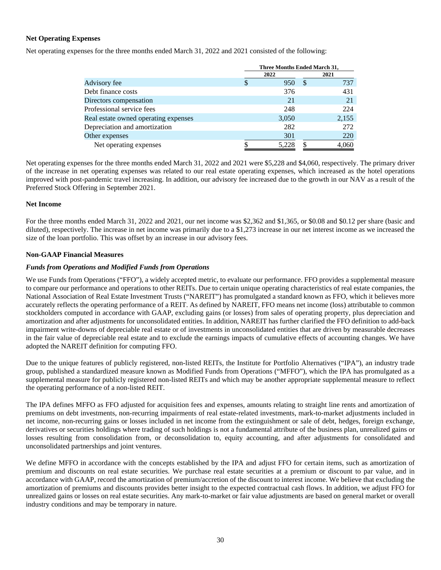#### **Net Operating Expenses**

Net operating expenses for the three months ended March 31, 2022 and 2021 consisted of the following:

|                                      | Three Months Ended March 31, |       |          |       |  |  |  |
|--------------------------------------|------------------------------|-------|----------|-------|--|--|--|
|                                      |                              | 2022  |          | 2021  |  |  |  |
| Advisory fee                         |                              | 950   | <b>S</b> | 737   |  |  |  |
| Debt finance costs                   |                              | 376   |          | 431   |  |  |  |
| Directors compensation               |                              | 21    |          | 21    |  |  |  |
| Professional service fees            |                              | 248   |          | 224   |  |  |  |
| Real estate owned operating expenses |                              | 3,050 |          | 2,155 |  |  |  |
| Depreciation and amortization        |                              | 282   |          | 272   |  |  |  |
| Other expenses                       |                              | 301   |          | 220   |  |  |  |
| Net operating expenses               |                              | 5.228 |          | 4,060 |  |  |  |

Net operating expenses for the three months ended March 31, 2022 and 2021 were \$5,228 and \$4,060, respectively. The primary driver of the increase in net operating expenses was related to our real estate operating expenses, which increased as the hotel operations improved with post-pandemic travel increasing. In addition, our advisory fee increased due to the growth in our NAV as a result of the Preferred Stock Offering in September 2021.

#### **Net Income**

For the three months ended March 31, 2022 and 2021, our net income was \$2,362 and \$1,365, or \$0.08 and \$0.12 per share (basic and diluted), respectively. The increase in net income was primarily due to a \$1,273 increase in our net interest income as we increased the size of the loan portfolio. This was offset by an increase in our advisory fees.

#### **Non-GAAP Financial Measures**

#### *Funds from Operations and Modified Funds from Operations*

We use Funds from Operations ("FFO"), a widely accepted metric, to evaluate our performance. FFO provides a supplemental measure to compare our performance and operations to other REITs. Due to certain unique operating characteristics of real estate companies, the National Association of Real Estate Investment Trusts ("NAREIT") has promulgated a standard known as FFO, which it believes more accurately reflects the operating performance of a REIT. As defined by NAREIT, FFO means net income (loss) attributable to common stockholders computed in accordance with GAAP, excluding gains (or losses) from sales of operating property, plus depreciation and amortization and after adjustments for unconsolidated entities. In addition, NAREIT has further clarified the FFO definition to add-back impairment write-downs of depreciable real estate or of investments in unconsolidated entities that are driven by measurable decreases in the fair value of depreciable real estate and to exclude the earnings impacts of cumulative effects of accounting changes. We have adopted the NAREIT definition for computing FFO.

Due to the unique features of publicly registered, non-listed REITs, the Institute for Portfolio Alternatives ("IPA"), an industry trade group, published a standardized measure known as Modified Funds from Operations ("MFFO"), which the IPA has promulgated as a supplemental measure for publicly registered non-listed REITs and which may be another appropriate supplemental measure to reflect the operating performance of a non-listed REIT.

The IPA defines MFFO as FFO adjusted for acquisition fees and expenses, amounts relating to straight line rents and amortization of premiums on debt investments, non-recurring impairments of real estate-related investments, mark-to-market adjustments included in net income, non-recurring gains or losses included in net income from the extinguishment or sale of debt, hedges, foreign exchange, derivatives or securities holdings where trading of such holdings is not a fundamental attribute of the business plan, unrealized gains or losses resulting from consolidation from, or deconsolidation to, equity accounting, and after adjustments for consolidated and unconsolidated partnerships and joint ventures.

We define MFFO in accordance with the concepts established by the IPA and adjust FFO for certain items, such as amortization of premium and discounts on real estate securities. We purchase real estate securities at a premium or discount to par value, and in accordance with GAAP, record the amortization of premium/accretion of the discount to interest income. We believe that excluding the amortization of premiums and discounts provides better insight to the expected contractual cash flows. In addition, we adjust FFO for unrealized gains or losses on real estate securities. Any mark-to-market or fair value adjustments are based on general market or overall industry conditions and may be temporary in nature.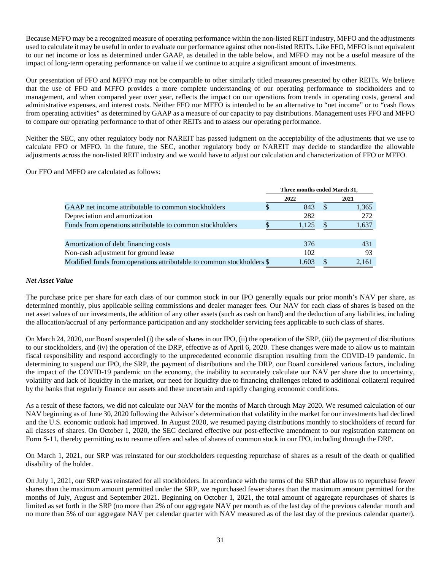Because MFFO may be a recognized measure of operating performance within the non-listed REIT industry, MFFO and the adjustments used to calculate it may be useful in order to evaluate our performance against other non-listed REITs. Like FFO, MFFO is not equivalent to our net income or loss as determined under GAAP, as detailed in the table below, and MFFO may not be a useful measure of the impact of long-term operating performance on value if we continue to acquire a significant amount of investments.

Our presentation of FFO and MFFO may not be comparable to other similarly titled measures presented by other REITs. We believe that the use of FFO and MFFO provides a more complete understanding of our operating performance to stockholders and to management, and when compared year over year, reflects the impact on our operations from trends in operating costs, general and administrative expenses, and interest costs. Neither FFO nor MFFO is intended to be an alternative to "net income" or to "cash flows from operating activities" as determined by GAAP as a measure of our capacity to pay distributions. Management uses FFO and MFFO to compare our operating performance to that of other REITs and to assess our operating performance.

Neither the SEC, any other regulatory body nor NAREIT has passed judgment on the acceptability of the adjustments that we use to calculate FFO or MFFO. In the future, the SEC, another regulatory body or NAREIT may decide to standardize the allowable adjustments across the non-listed REIT industry and we would have to adjust our calculation and characterization of FFO or MFFO.

Our FFO and MFFO are calculated as follows:

|                                                                       | Three months ended March 31, |       |  |       |  |  |
|-----------------------------------------------------------------------|------------------------------|-------|--|-------|--|--|
|                                                                       |                              | 2022  |  | 2021  |  |  |
| GAAP net income attributable to common stockholders                   |                              | 843   |  | 1,365 |  |  |
| Depreciation and amortization                                         |                              | 282   |  | 272   |  |  |
| Funds from operations attributable to common stockholders             |                              | 1.125 |  | 1.637 |  |  |
|                                                                       |                              |       |  |       |  |  |
| Amortization of debt financing costs                                  |                              | 376   |  | 431   |  |  |
| Non-cash adjustment for ground lease                                  |                              | 102   |  | 93    |  |  |
| Modified funds from operations attributable to common stockholders \$ |                              | 1.603 |  | 2.161 |  |  |

#### *Net Asset Value*

The purchase price per share for each class of our common stock in our IPO generally equals our prior month's NAV per share, as determined monthly, plus applicable selling commissions and dealer manager fees. Our NAV for each class of shares is based on the net asset values of our investments, the addition of any other assets (such as cash on hand) and the deduction of any liabilities, including the allocation/accrual of any performance participation and any stockholder servicing fees applicable to such class of shares.

On March 24, 2020, our Board suspended (i) the sale of shares in our IPO, (ii) the operation of the SRP, (iii) the payment of distributions to our stockholders, and (iv) the operation of the DRP, effective as of April 6, 2020. These changes were made to allow us to maintain fiscal responsibility and respond accordingly to the unprecedented economic disruption resulting from the COVID-19 pandemic. In determining to suspend our IPO, the SRP, the payment of distributions and the DRP, our Board considered various factors, including the impact of the COVID-19 pandemic on the economy, the inability to accurately calculate our NAV per share due to uncertainty, volatility and lack of liquidity in the market, our need for liquidity due to financing challenges related to additional collateral required by the banks that regularly finance our assets and these uncertain and rapidly changing economic conditions.

As a result of these factors, we did not calculate our NAV for the months of March through May 2020. We resumed calculation of our NAV beginning as of June 30, 2020 following the Advisor's determination that volatility in the market for our investments had declined and the U.S. economic outlook had improved. In August 2020, we resumed paying distributions monthly to stockholders of record for all classes of shares. On October 1, 2020, the SEC declared effective our post-effective amendment to our registration statement on Form S-11, thereby permitting us to resume offers and sales of shares of common stock in our IPO, including through the DRP.

On March 1, 2021, our SRP was reinstated for our stockholders requesting repurchase of shares as a result of the death or qualified disability of the holder.

On July 1, 2021, our SRP was reinstated for all stockholders. In accordance with the terms of the SRP that allow us to repurchase fewer shares than the maximum amount permitted under the SRP, we repurchased fewer shares than the maximum amount permitted for the months of July, August and September 2021. Beginning on October 1, 2021, the total amount of aggregate repurchases of shares is limited as set forth in the SRP (no more than 2% of our aggregate NAV per month as of the last day of the previous calendar month and no more than 5% of our aggregate NAV per calendar quarter with NAV measured as of the last day of the previous calendar quarter).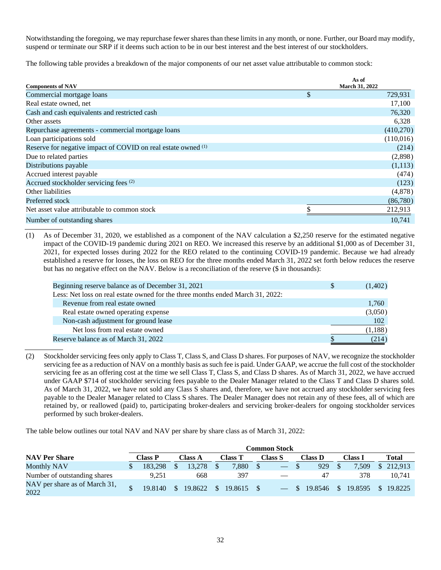Notwithstanding the foregoing, we may repurchase fewer shares than these limits in any month, or none. Further, our Board may modify, suspend or terminate our SRP if it deems such action to be in our best interest and the best interest of our stockholders.

The following table provides a breakdown of the major components of our net asset value attributable to common stock:

| <b>Components of NAV</b>                                      | As of<br>March 31, 2022 |
|---------------------------------------------------------------|-------------------------|
| Commercial mortgage loans                                     | \$<br>729,931           |
| Real estate owned, net                                        | 17,100                  |
| Cash and cash equivalents and restricted cash                 | 76,320                  |
| Other assets                                                  | 6,328                   |
| Repurchase agreements - commercial mortgage loans             | (410,270)               |
| Loan participations sold                                      | (110,016)               |
| Reserve for negative impact of COVID on real estate owned (1) | (214)                   |
| Due to related parties                                        | (2,898)                 |
| Distributions payable                                         | (1,113)                 |
| Accrued interest payable                                      | (474)                   |
| Accrued stockholder servicing fees (2)                        | (123)                   |
| Other liabilities                                             | (4,878)                 |
| Preferred stock                                               | (86,780)                |
| Net asset value attributable to common stock                  | 212,913                 |
| Number of outstanding shares                                  | 10,741                  |

(1) As of December 31, 2020, we established as a component of the NAV calculation a \$2,250 reserve for the estimated negative impact of the COVID-19 pandemic during 2021 on REO. We increased this reserve by an additional \$1,000 as of December 31, 2021, for expected losses during 2022 for the REO related to the continuing COVID-19 pandemic. Because we had already established a reserve for losses, the loss on REO for the three months ended March 31, 2022 set forth below reduces the reserve but has no negative effect on the NAV. Below is a reconciliation of the reserve (\$ in thousands):

| Beginning reserve balance as of December 31, 2021                              | <sup>2</sup> | (1,402) |
|--------------------------------------------------------------------------------|--------------|---------|
| Less: Net loss on real estate owned for the three months ended March 31, 2022: |              |         |
| Revenue from real estate owned                                                 |              | 1,760   |
| Real estate owned operating expense                                            |              | (3,050) |
| Non-cash adjustment for ground lease                                           |              | 102     |
| Net loss from real estate owned                                                |              | (1,188) |
| Reserve balance as of March 31, 2022                                           |              | (214)   |
|                                                                                |              |         |

(2) Stockholder servicing fees only apply to Class T, Class S, and Class D shares. For purposes of NAV, we recognize the stockholder servicing fee as a reduction of NAV on a monthly basis as such fee is paid. Under GAAP, we accrue the full cost of the stockholder servicing fee as an offering cost at the time we sell Class T, Class S, and Class D shares. As of March 31, 2022, we have accrued under GAAP \$714 of stockholder servicing fees payable to the Dealer Manager related to the Class T and Class D shares sold. As of March 31, 2022, we have not sold any Class S shares and, therefore, we have not accrued any stockholder servicing fees payable to the Dealer Manager related to Class S shares. The Dealer Manager does not retain any of these fees, all of which are retained by, or reallowed (paid) to, participating broker-dealers and servicing broker-dealers for ongoing stockholder services performed by such broker-dealers.

The table below outlines our total NAV and NAV per share by share class as of March 31, 2022:

| <b>Common Stock</b>                   |  |                |               |                |     |                |                          |                   |                    |              |
|---------------------------------------|--|----------------|---------------|----------------|-----|----------------|--------------------------|-------------------|--------------------|--------------|
| <b>NAV Per Share</b>                  |  | <b>Class P</b> |               | <b>Class A</b> |     | <b>Class T</b> | Class S                  | <b>Class D</b>    | <b>Class I</b>     | <b>Total</b> |
| <b>Monthly NAV</b>                    |  | 183.298        |               | 13.278         |     | 7.880          | $\overline{\phantom{0}}$ | 929               | 7.509              | \$212,913    |
| Number of outstanding shares          |  | 9.251          |               | 668            |     | 397            |                          | 47                | 378                | 10.741       |
| NAV per share as of March 31,<br>2022 |  | 19.8140        | $\mathcal{S}$ | 19.8622        | - S | 19.8615        |                          | $-$ \$ 19.8546 \$ | 19.8595 \$ 19.8225 |              |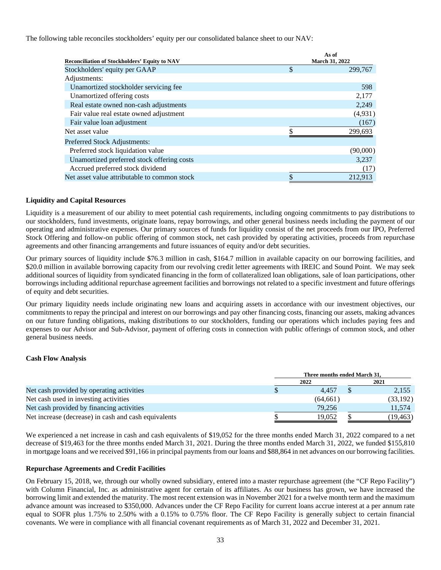The following table reconciles stockholders' equity per our consolidated balance sheet to our NAV:

|                                                      | As of<br><b>March 31, 2022</b> |
|------------------------------------------------------|--------------------------------|
| <b>Reconciliation of Stockholders' Equity to NAV</b> |                                |
| Stockholders' equity per GAAP                        | \$<br>299,767                  |
| Adjustments:                                         |                                |
| Unamortized stockholder servicing fee                | 598                            |
| Unamortized offering costs                           | 2,177                          |
| Real estate owned non-cash adjustments               | 2,249                          |
| Fair value real estate owned adjustment              | (4,931)                        |
| Fair value loan adjustment                           | (167)                          |
| Net asset value                                      | 299.693                        |
| <b>Preferred Stock Adjustments:</b>                  |                                |
| Preferred stock liquidation value                    | (90,000)                       |
| Unamortized preferred stock offering costs           | 3,237                          |
| Accrued preferred stock dividend                     | (17)                           |
| Net asset value attributable to common stock         | \$<br>212.913                  |

#### **Liquidity and Capital Resources**

Liquidity is a measurement of our ability to meet potential cash requirements, including ongoing commitments to pay distributions to our stockholders, fund investments, originate loans, repay borrowings, and other general business needs including the payment of our operating and administrative expenses. Our primary sources of funds for liquidity consist of the net proceeds from our IPO, Preferred Stock Offering and follow-on public offering of common stock, net cash provided by operating activities, proceeds from repurchase agreements and other financing arrangements and future issuances of equity and/or debt securities.

Our primary sources of liquidity include \$76.3 million in cash, \$164.7 million in available capacity on our borrowing facilities, and \$20.0 million in available borrowing capacity from our revolving credit letter agreements with IREIC and Sound Point. We may seek additional sources of liquidity from syndicated financing in the form of collateralized loan obligations, sale of loan participations, other borrowings including additional repurchase agreement facilities and borrowings not related to a specific investment and future offerings of equity and debt securities.

Our primary liquidity needs include originating new loans and acquiring assets in accordance with our investment objectives, our commitments to repay the principal and interest on our borrowings and pay other financing costs, financing our assets, making advances on our future funding obligations, making distributions to our stockholders, funding our operations which includes paying fees and expenses to our Advisor and Sub-Advisor, payment of offering costs in connection with public offerings of common stock, and other general business needs.

#### **Cash Flow Analysis**

|                                                      | Three months ended March 31. |  |           |  |  |
|------------------------------------------------------|------------------------------|--|-----------|--|--|
|                                                      | 2022                         |  | 2021      |  |  |
| Net cash provided by operating activities            | 4.457                        |  | 2,155     |  |  |
| Net cash used in investing activities                | (64, 661)                    |  | (33, 192) |  |  |
| Net cash provided by financing activities            | 79,256                       |  | 11.574    |  |  |
| Net increase (decrease) in cash and cash equivalents | 19.052                       |  | (19,463)  |  |  |

We experienced a net increase in cash and cash equivalents of \$19,052 for the three months ended March 31, 2022 compared to a net decrease of \$19,463 for the three months ended March 31, 2021. During the three months ended March 31, 2022, we funded \$155,810 in mortgage loans and we received \$91,166 in principal payments from our loans and \$88,864 in net advances on our borrowing facilities.

#### **Repurchase Agreements and Credit Facilities**

On February 15, 2018, we, through our wholly owned subsidiary, entered into a master repurchase agreement (the "CF Repo Facility") with Column Financial, Inc. as administrative agent for certain of its affiliates. As our business has grown, we have increased the borrowing limit and extended the maturity. The most recent extension was in November 2021 for a twelve month term and the maximum advance amount was increased to \$350,000. Advances under the CF Repo Facility for current loans accrue interest at a per annum rate equal to SOFR plus 1.75% to 2.50% with a 0.15% to 0.75% floor. The CF Repo Facility is generally subject to certain financial covenants. We were in compliance with all financial covenant requirements as of March 31, 2022 and December 31, 2021.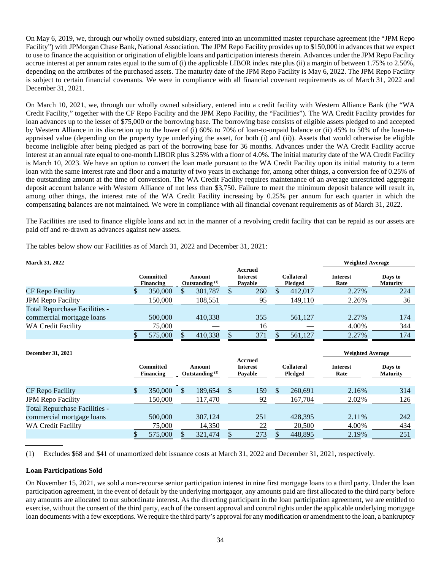On May 6, 2019, we, through our wholly owned subsidiary, entered into an uncommitted master repurchase agreement (the "JPM Repo Facility") with JPMorgan Chase Bank, National Association. The JPM Repo Facility provides up to \$150,000 in advances that we expect to use to finance the acquisition or origination of eligible loans and participation interests therein. Advances under the JPM Repo Facility accrue interest at per annum rates equal to the sum of (i) the applicable LIBOR index rate plus (ii) a margin of between 1.75% to 2.50%, depending on the attributes of the purchased assets. The maturity date of the JPM Repo Facility is May 6, 2022. The JPM Repo Facility is subject to certain financial covenants. We were in compliance with all financial covenant requirements as of March 31, 2022 and December 31, 2021.

On March 10, 2021, we, through our wholly owned subsidiary, entered into a credit facility with Western Alliance Bank (the "WA Credit Facility," together with the CF Repo Facility and the JPM Repo Facility, the "Facilities"). The WA Credit Facility provides for loan advances up to the lesser of \$75,000 or the borrowing base. The borrowing base consists of eligible assets pledged to and accepted by Western Alliance in its discretion up to the lower of (i) 60% to 70% of loan-to-unpaid balance or (ii) 45% to 50% of the loan-toappraised value (depending on the property type underlying the asset, for both (i) and (ii)). Assets that would otherwise be eligible become ineligible after being pledged as part of the borrowing base for 36 months. Advances under the WA Credit Facility accrue interest at an annual rate equal to one-month LIBOR plus 3.25% with a floor of 4.0%. The initial maturity date of the WA Credit Facility is March 10, 2023. We have an option to convert the loan made pursuant to the WA Credit Facility upon its initial maturity to a term loan with the same interest rate and floor and a maturity of two years in exchange for, among other things, a conversion fee of 0.25% of the outstanding amount at the time of conversion. The WA Credit Facility requires maintenance of an average unrestricted aggregate deposit account balance with Western Alliance of not less than \$3,750. Failure to meet the minimum deposit balance will result in, among other things, the interest rate of the WA Credit Facility increasing by 0.25% per annum for each quarter in which the compensating balances are not maintained. We were in compliance with all financial covenant requirements as of March 31, 2022.

The Facilities are used to finance eligible loans and act in the manner of a revolving credit facility that can be repaid as our assets are paid off and re-drawn as advances against new assets.

The tables below show our Facilities as of March 31, 2022 and December 31, 2021:

| <b>March 31, 2022</b>                |                               |  |                                      |  |                                       |  |                              | <b>Weighted Average</b> |                            |
|--------------------------------------|-------------------------------|--|--------------------------------------|--|---------------------------------------|--|------------------------------|-------------------------|----------------------------|
|                                      | Committed<br><b>Financing</b> |  | Amount<br>Outstanding <sup>(1)</sup> |  | Accrued<br><b>Interest</b><br>Pavable |  | <b>Collateral</b><br>Pledged | <b>Interest</b><br>Rate | Days to<br><b>Maturity</b> |
| CF Repo Facility                     | 350,000                       |  | 301,787                              |  | 260                                   |  | 412,017                      | 2.27%                   | 224                        |
| <b>JPM Repo Facility</b>             | 150,000                       |  | 108,551                              |  | 95                                    |  | 149.110                      | 2.26%                   | 36                         |
| <b>Total Repurchase Facilities -</b> |                               |  |                                      |  |                                       |  |                              |                         |                            |
| commercial mortgage loans            | 500,000                       |  | 410.338                              |  | 355                                   |  | 561,127                      | 2.27%                   | 174                        |
| <b>WA Credit Facility</b>            | 75,000                        |  |                                      |  | 16                                    |  |                              | 4.00%                   | 344                        |
|                                      | 575,000                       |  | 410,338                              |  | 371                                   |  | 561,127                      | 2.27%                   | 174                        |

| <b>December 31, 2021</b>             |  |         |                                                              |         |                                       |     |                              |         | <b>Weighted Average</b> |                            |  |
|--------------------------------------|--|---------|--------------------------------------------------------------|---------|---------------------------------------|-----|------------------------------|---------|-------------------------|----------------------------|--|
|                                      |  |         | Committed<br>Amount<br><b>Financing</b><br>Outstanding $(1)$ |         | Accrued<br><b>Interest</b><br>Pavable |     | <b>Collateral</b><br>Pledged |         | <b>Interest</b><br>Rate | Days to<br><b>Maturity</b> |  |
| CF Repo Facility                     |  | 350,000 | \$                                                           | 189.654 | \$                                    | 159 | $\mathbb{S}$                 | 260.691 | 2.16%                   | 314                        |  |
| <b>JPM Repo Facility</b>             |  | 150.000 |                                                              | 117.470 |                                       | 92  |                              | 167,704 | 2.02%                   | 126                        |  |
| <b>Total Repurchase Facilities -</b> |  |         |                                                              |         |                                       |     |                              |         |                         |                            |  |
| commercial mortgage loans            |  | 500,000 |                                                              | 307.124 |                                       | 251 |                              | 428,395 | 2.11%                   | 242                        |  |
| WA Credit Facility                   |  | 75,000  |                                                              | 14,350  |                                       | 22  |                              | 20,500  | 4.00%                   | 434                        |  |
|                                      |  | 575,000 |                                                              | 321,474 |                                       | 273 |                              | 448,895 | 2.19%                   | 251                        |  |

(1) Excludes \$68 and \$41 of unamortized debt issuance costs at March 31, 2022 and December 31, 2021, respectively.

#### **Loan Participations Sold**

On November 15, 2021, we sold a non-recourse senior participation interest in nine first mortgage loans to a third party. Under the loan participation agreement, in the event of default by the underlying mortgagor, any amounts paid are first allocated to the third party before any amounts are allocated to our subordinate interest. As the directing participant in the loan participation agreement, we are entitled to exercise, without the consent of the third party, each of the consent approval and control rights under the applicable underlying mortgage loan documents with a few exceptions. We require the third party's approval for any modification or amendment to the loan, a bankruptcy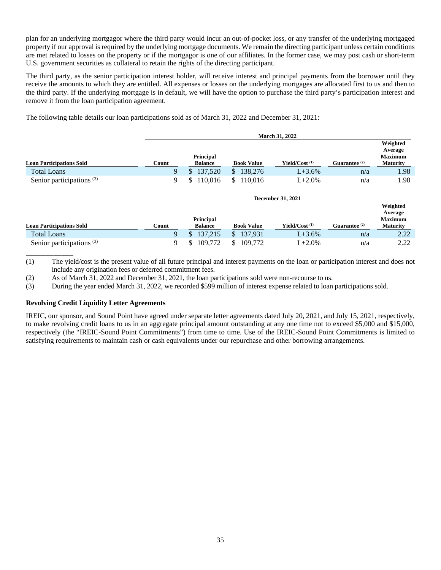plan for an underlying mortgagor where the third party would incur an out-of-pocket loss, or any transfer of the underlying mortgaged property if our approval is required by the underlying mortgage documents. We remain the directing participant unless certain conditions are met related to losses on the property or if the mortgagor is one of our affiliates. In the former case, we may post cash or short-term U.S. government securities as collateral to retain the rights of the directing participant.

The third party, as the senior participation interest holder, will receive interest and principal payments from the borrower until they receive the amounts to which they are entitled. All expenses or losses on the underlying mortgages are allocated first to us and then to the third party. If the underlying mortgage is in default, we will have the option to purchase the third party's participation interest and remove it from the loan participation agreement.

The following table details our loan participations sold as of March 31, 2022 and December 31, 2021:

|                                      |       | <b>March 31, 2022</b>              |                         |                           |                 |                                                          |  |  |  |  |
|--------------------------------------|-------|------------------------------------|-------------------------|---------------------------|-----------------|----------------------------------------------------------|--|--|--|--|
| <b>Loan Participations Sold</b>      | Count | <b>Principal</b><br><b>Balance</b> | <b>Book Value</b>       | Yield/Cost <sup>(1)</sup> | Guarantee $(2)$ | Weighted<br>Average<br><b>Maximum</b><br><b>Maturity</b> |  |  |  |  |
| <b>Total Loans</b>                   | 9     | \$137,520                          | \$138,276               | $L + 3.6%$                | n/a             | 1.98                                                     |  |  |  |  |
| Senior participations <sup>(3)</sup> | 9     | 110,016<br>\$                      | \$110,016               | $L + 2.0%$                | n/a             | 1.98                                                     |  |  |  |  |
|                                      |       |                                    |                         | <b>December 31, 2021</b>  |                 |                                                          |  |  |  |  |
|                                      |       | <b>Principal</b>                   |                         |                           |                 | Weighted<br>Average<br><b>Maximum</b>                    |  |  |  |  |
| <b>Loan Participations Sold</b>      | Count | <b>Balance</b>                     | <b>Book Value</b>       | Yield/Cost <sup>(1)</sup> | Guarantee $(2)$ | <b>Maturity</b>                                          |  |  |  |  |
| <b>Total Loans</b>                   | 9     | 137,215<br>$\mathbb{S}$            | \$137,931               | $L + 3.6%$                | n/a             | 2.22                                                     |  |  |  |  |
| Senior participations $(3)$          | 9     | \$<br>109,772                      | $\mathbb{S}$<br>109.772 | $L + 2.0%$                | n/a             | 2.22                                                     |  |  |  |  |

(1) The yield/cost is the present value of all future principal and interest payments on the loan or participation interest and does not include any origination fees or deferred commitment fees.

(2) As of March 31, 2022 and December 31, 2021, the loan participations sold were non-recourse to us.

(3) During the year ended March 31, 2022, we recorded \$599 million of interest expense related to loan participations sold.

#### **Revolving Credit Liquidity Letter Agreements**

\_\_\_\_\_\_\_\_\_\_\_\_

IREIC, our sponsor, and Sound Point have agreed under separate letter agreements dated July 20, 2021, and July 15, 2021, respectively, to make revolving credit loans to us in an aggregate principal amount outstanding at any one time not to exceed \$5,000 and \$15,000, respectively (the "IREIC-Sound Point Commitments") from time to time. Use of the IREIC-Sound Point Commitments is limited to satisfying requirements to maintain cash or cash equivalents under our repurchase and other borrowing arrangements.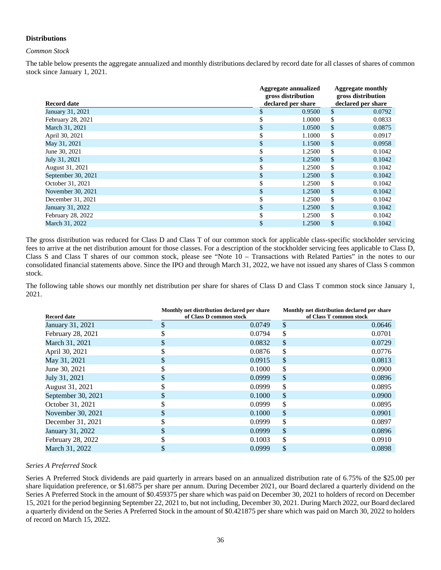#### **Distributions**

#### *Common Stock*

The table below presents the aggregate annualized and monthly distributions declared by record date for all classes of shares of common stock since January 1, 2021.

| Record date        | <b>Aggregate annualized</b><br>gross distribution | <b>Aggregate monthly</b><br>gross distribution<br>declared per share |               |        |
|--------------------|---------------------------------------------------|----------------------------------------------------------------------|---------------|--------|
| January 31, 2021   | \$                                                | declared per share<br>0.9500                                         | \$            | 0.0792 |
| February 28, 2021  |                                                   | 1.0000                                                               | \$            | 0.0833 |
| March 31, 2021     | \$                                                | 1.0500                                                               | \$            | 0.0875 |
| April 30, 2021     | \$                                                | 1.1000                                                               | \$            | 0.0917 |
| May 31, 2021       | \$                                                | 1.1500                                                               | $\mathsf{\$}$ | 0.0958 |
| June 30, 2021      | \$                                                | 1.2500                                                               | \$            | 0.1042 |
| July 31, 2021      | \$                                                | 1.2500                                                               | $\mathcal{S}$ | 0.1042 |
| August 31, 2021    | \$                                                | 1.2500                                                               | \$            | 0.1042 |
| September 30, 2021 | \$                                                | 1.2500                                                               | \$            | 0.1042 |
| October 31, 2021   | \$                                                | 1.2500                                                               | \$            | 0.1042 |
| November 30, 2021  | \$                                                | 1.2500                                                               | $\mathcal{S}$ | 0.1042 |
| December 31, 2021  |                                                   | 1.2500                                                               | \$            | 0.1042 |
| January 31, 2022   | \$                                                | 1.2500                                                               | $\mathcal{S}$ | 0.1042 |
| February 28, 2022  |                                                   | 1.2500                                                               | \$            | 0.1042 |
| March 31, 2022     |                                                   | 1.2500                                                               | \$            | 0.1042 |

The gross distribution was reduced for Class D and Class T of our common stock for applicable class-specific stockholder servicing fees to arrive at the net distribution amount for those classes. For a description of the stockholder servicing fees applicable to Class D, Class S and Class T shares of our common stock, please see "Note 10 – Transactions with Related Parties" in the notes to our consolidated financial statements above. Since the IPO and through March 31, 2022, we have not issued any shares of Class S common stock.

The following table shows our monthly net distribution per share for shares of Class D and Class T common stock since January 1, 2021.

| <b>Record date</b> |    | Monthly net distribution declared per share<br>of Class D common stock | Monthly net distribution declared per share<br>of Class T common stock |
|--------------------|----|------------------------------------------------------------------------|------------------------------------------------------------------------|
| January 31, 2021   | \$ | 0.0749                                                                 | \$<br>0.0646                                                           |
| February 28, 2021  |    | 0.0794                                                                 | \$<br>0.0701                                                           |
| March 31, 2021     |    | 0.0832                                                                 | \$<br>0.0729                                                           |
| April 30, 2021     |    | 0.0876                                                                 | \$<br>0.0776                                                           |
| May 31, 2021       | S  | 0.0915                                                                 | \$<br>0.0813                                                           |
| June 30, 2021      |    | 0.1000                                                                 | \$<br>0.0900                                                           |
| July 31, 2021      |    | 0.0999                                                                 | \$<br>0.0896                                                           |
| August 31, 2021    |    | 0.0999                                                                 | \$<br>0.0895                                                           |
| September 30, 2021 |    | 0.1000                                                                 | \$<br>0.0900                                                           |
| October 31, 2021   |    | 0.0999                                                                 | \$<br>0.0895                                                           |
| November 30, 2021  |    | 0.1000                                                                 | \$<br>0.0901                                                           |
| December 31, 2021  |    | 0.0999                                                                 | \$<br>0.0897                                                           |
| January 31, 2022   |    | 0.0999                                                                 | \$<br>0.0896                                                           |
| February 28, 2022  |    | 0.1003                                                                 | \$<br>0.0910                                                           |
| March 31, 2022     |    | 0.0999                                                                 | \$<br>0.0898                                                           |

#### *Series A Preferred Stock*

Series A Preferred Stock dividends are paid quarterly in arrears based on an annualized distribution rate of 6.75% of the \$25.00 per share liquidation preference, or \$1.6875 per share per annum. During December 2021, our Board declared a quarterly dividend on the Series A Preferred Stock in the amount of \$0.459375 per share which was paid on December 30, 2021 to holders of record on December 15, 2021 for the period beginning September 22, 2021 to, but not including, December 30, 2021. During March 2022, our Board declared a quarterly dividend on the Series A Preferred Stock in the amount of \$0.421875 per share which was paid on March 30, 2022 to holders of record on March 15, 2022.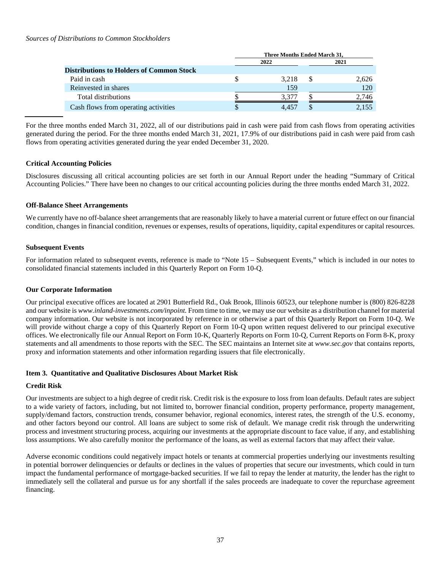#### *Sources of Distributions to Common Stockholders*

|                                                 | Three Months Ended March 31, |       |      |       |  |  |
|-------------------------------------------------|------------------------------|-------|------|-------|--|--|
|                                                 |                              | 2022  | 2021 |       |  |  |
| <b>Distributions to Holders of Common Stock</b> |                              |       |      |       |  |  |
| Paid in cash                                    |                              | 3.218 |      | 2,626 |  |  |
| Reinvested in shares                            |                              | 159   |      | 120   |  |  |
| Total distributions                             |                              | 3.377 |      | 2.746 |  |  |
| Cash flows from operating activities            |                              |       |      | 2.155 |  |  |

For the three months ended March 31, 2022, all of our distributions paid in cash were paid from cash flows from operating activities generated during the period. For the three months ended March 31, 2021, 17.9% of our distributions paid in cash were paid from cash flows from operating activities generated during the year ended December 31, 2020.

#### **Critical Accounting Policies**

Disclosures discussing all critical accounting policies are set forth in our Annual Report under the heading "Summary of Critical Accounting Policies." There have been no changes to our critical accounting policies during the three months ended March 31, 2022.

#### **Off-Balance Sheet Arrangements**

We currently have no off-balance sheet arrangements that are reasonably likely to have a material current or future effect on our financial condition, changes in financial condition, revenues or expenses, results of operations, liquidity, capital expenditures or capital resources.

#### **Subsequent Events**

For information related to subsequent events, reference is made to "Note 15 – Subsequent Events," which is included in our notes to consolidated financial statements included in this Quarterly Report on Form 10-Q.

#### **Our Corporate Information**

Our principal executive offices are located at 2901 Butterfield Rd., Oak Brook, Illinois 60523, our telephone number is (800) 826-8228 and our website is *www.inland-investments.com/inpoint.* From time to time, we may use our website as a distribution channel for material company information. Our website is not incorporated by reference in or otherwise a part of this Quarterly Report on Form 10-Q. We will provide without charge a copy of this Quarterly Report on Form 10-Q upon written request delivered to our principal executive offices. We electronically file our Annual Report on Form 10-K, Quarterly Reports on Form 10-Q, Current Reports on Form 8-K, proxy statements and all amendments to those reports with the SEC. The SEC maintains an Internet site at *[www.sec.gov](http://www.sec.gov/)* that contains reports, proxy and information statements and other information regarding issuers that file electronically.

#### <span id="page-41-0"></span>**Item 3. Quantitative and Qualitative Disclosures About Market Risk**

#### **Credit Risk**

Our investments are subject to a high degree of credit risk. Credit risk is the exposure to loss from loan defaults. Default rates are subject to a wide variety of factors, including, but not limited to, borrower financial condition, property performance, property management, supply/demand factors, construction trends, consumer behavior, regional economics, interest rates, the strength of the U.S. economy, and other factors beyond our control. All loans are subject to some risk of default. We manage credit risk through the underwriting process and investment structuring process, acquiring our investments at the appropriate discount to face value, if any, and establishing loss assumptions. We also carefully monitor the performance of the loans, as well as external factors that may affect their value.

Adverse economic conditions could negatively impact hotels or tenants at commercial properties underlying our investments resulting in potential borrower delinquencies or defaults or declines in the values of properties that secure our investments, which could in turn impact the fundamental performance of mortgage-backed securities. If we fail to repay the lender at maturity, the lender has the right to immediately sell the collateral and pursue us for any shortfall if the sales proceeds are inadequate to cover the repurchase agreement financing.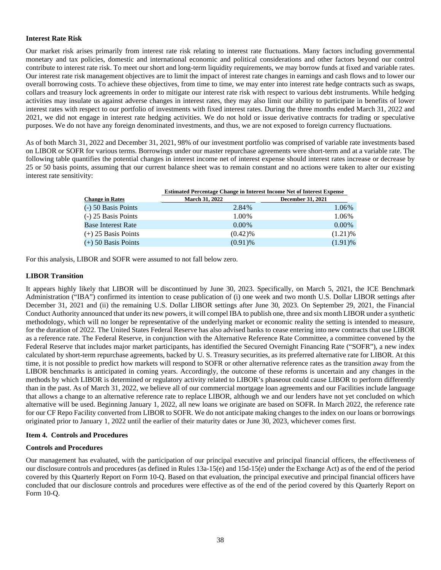#### **Interest Rate Risk**

Our market risk arises primarily from interest rate risk relating to interest rate fluctuations. Many factors including governmental monetary and tax policies, domestic and international economic and political considerations and other factors beyond our control contribute to interest rate risk. To meet our short and long-term liquidity requirements, we may borrow funds at fixed and variable rates. Our interest rate risk management objectives are to limit the impact of interest rate changes in earnings and cash flows and to lower our overall borrowing costs. To achieve these objectives, from time to time, we may enter into interest rate hedge contracts such as swaps, collars and treasury lock agreements in order to mitigate our interest rate risk with respect to various debt instruments. While hedging activities may insulate us against adverse changes in interest rates, they may also limit our ability to participate in benefits of lower interest rates with respect to our portfolio of investments with fixed interest rates. During the three months ended March 31, 2022 and 2021, we did not engage in interest rate hedging activities. We do not hold or issue derivative contracts for trading or speculative purposes. We do not have any foreign denominated investments, and thus, we are not exposed to foreign currency fluctuations.

As of both March 31, 2022 and December 31, 2021, 98% of our investment portfolio was comprised of variable rate investments based on LIBOR or SOFR for various terms. Borrowings under our master repurchase agreements were short-term and at a variable rate. The following table quantifies the potential changes in interest income net of interest expense should interest rates increase or decrease by 25 or 50 basis points, assuming that our current balance sheet was to remain constant and no actions were taken to alter our existing interest rate sensitivity:

|                           | <b>Estimated Percentage Change in Interest Income Net of Interest Expense</b> |                          |  |  |  |  |
|---------------------------|-------------------------------------------------------------------------------|--------------------------|--|--|--|--|
| <b>Change in Rates</b>    | <b>March 31, 2022</b>                                                         | <b>December 31, 2021</b> |  |  |  |  |
| $(-)$ 50 Basis Points     | 2.84%                                                                         | 1.06%                    |  |  |  |  |
| $(-)$ 25 Basis Points     | 1.00%                                                                         | 1.06%                    |  |  |  |  |
| <b>Base Interest Rate</b> | $0.00\%$                                                                      | $0.00\%$                 |  |  |  |  |
| $(+)$ 25 Basis Points     | $(0.42)\%$                                                                    | $(1.21)$ %               |  |  |  |  |
| $(+)$ 50 Basis Points     | $(0.91)$ %                                                                    | $(1.91)$ %               |  |  |  |  |

For this analysis, LIBOR and SOFR were assumed to not fall below zero.

#### **LIBOR Transition**

It appears highly likely that LIBOR will be discontinued by June 30, 2023. Specifically, on March 5, 2021, the ICE Benchmark Administration ("IBA") confirmed its intention to cease publication of (i) one week and two month U.S. Dollar LIBOR settings after December 31, 2021 and (ii) the remaining U.S. Dollar LIBOR settings after June 30, 2023. On September 29, 2021, the Financial Conduct Authority announced that under its new powers, it will compel IBA to publish one, three and six month LIBOR under a synthetic methodology, which will no longer be representative of the underlying market or economic reality the setting is intended to measure, for the duration of 2022. The United States Federal Reserve has also advised banks to cease entering into new contracts that use LIBOR as a reference rate. The Federal Reserve, in conjunction with the Alternative Reference Rate Committee, a committee convened by the Federal Reserve that includes major market participants, has identified the Secured Overnight Financing Rate ("SOFR"), a new index calculated by short-term repurchase agreements, backed by U. S. Treasury securities, as its preferred alternative rate for LIBOR. At this time, it is not possible to predict how markets will respond to SOFR or other alternative reference rates as the transition away from the LIBOR benchmarks is anticipated in coming years. Accordingly, the outcome of these reforms is uncertain and any changes in the methods by which LIBOR is determined or regulatory activity related to LIBOR's phaseout could cause LIBOR to perform differently than in the past. As of March 31, 2022, we believe all of our commercial mortgage loan agreements and our Facilities include language that allows a change to an alternative reference rate to replace LIBOR, although we and our lenders have not yet concluded on which alternative will be used. Beginning January 1, 2022, all new loans we originate are based on SOFR. In March 2022, the reference rate for our CF Repo Facility converted from LIBOR to SOFR. We do not anticipate making changes to the index on our loans or borrowings originated prior to January 1, 2022 until the earlier of their maturity dates or June 30, 2023, whichever comes first.

#### <span id="page-42-0"></span>**Item 4. Controls and Procedures**

#### **Controls and Procedures**

Our management has evaluated, with the participation of our principal executive and principal financial officers, the effectiveness of our disclosure controls and procedures (as defined in Rules 13a-15(e) and 15d-15(e) under the Exchange Act) as of the end of the period covered by this Quarterly Report on Form 10-Q. Based on that evaluation, the principal executive and principal financial officers have concluded that our disclosure controls and procedures were effective as of the end of the period covered by this Quarterly Report on Form 10-Q.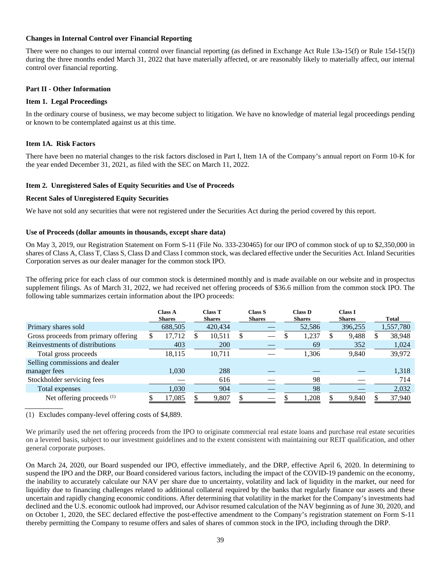#### **Changes in Internal Control over Financial Reporting**

There were no changes to our internal control over financial reporting (as defined in Exchange Act Rule 13a-15(f) or Rule 15d-15(f)) during the three months ended March 31, 2022 that have materially affected, or are reasonably likely to materially affect, our internal control over financial reporting.

#### **Part II - Other Information**

#### <span id="page-43-0"></span>**Item 1. Legal Proceedings**

In the ordinary course of business, we may become subject to litigation. We have no knowledge of material legal proceedings pending or known to be contemplated against us at this time.

#### <span id="page-43-1"></span>**Item 1A. Risk Factors**

There have been no material changes to the risk factors disclosed in Part I, Item 1A of the Company's annual report on Form 10-K for the year ended December 31, 2021, as filed with the SEC on March 11, 2022.

#### <span id="page-43-2"></span>**Item 2. Unregistered Sales of Equity Securities and Use of Proceeds**

#### **Recent Sales of Unregistered Equity Securities**

We have not sold any securities that were not registered under the Securities Act during the period covered by this report.

#### **Use of Proceeds (dollar amounts in thousands, except share data)**

On May 3, 2019, our Registration Statement on Form S-11 (File No. 333-230465) for our IPO of common stock of up to \$2,350,000 in shares of Class A, Class T, Class S, Class D and Class I common stock, was declared effective under the Securities Act. Inland Securities Corporation serves as our dealer manager for the common stock IPO.

The offering price for each class of our common stock is determined monthly and is made available on our website and in prospectus supplement filings. As of March 31, 2022, we had received net offering proceeds of \$36.6 million from the common stock IPO. The following table summarizes certain information about the IPO proceeds:

|                                      |   | <b>Class A</b><br><b>Shares</b> | <b>Class T</b><br><b>Shares</b> |    | Class S<br><b>Shares</b> | <b>Class D</b><br><b>Shares</b> | Class I<br><b>Shares</b> |   | Total     |
|--------------------------------------|---|---------------------------------|---------------------------------|----|--------------------------|---------------------------------|--------------------------|---|-----------|
| Primary shares sold                  |   | 688,505                         | 420,434                         |    |                          | 52,586                          | 396,255                  |   | 1,557,780 |
| Gross proceeds from primary offering | S | 17,712                          | 10,511                          | £. |                          | 1,237                           | 9,488                    | S | 38,948    |
| Reinvestments of distributions       |   | 403                             | 200                             |    |                          | 69                              | 352                      |   | 1,024     |
| Total gross proceeds                 |   | 18,115                          | 10,711                          |    |                          | 1,306                           | 9,840                    |   | 39,972    |
| Selling commissions and dealer       |   |                                 |                                 |    |                          |                                 |                          |   |           |
| manager fees                         |   | 1.030                           | 288                             |    |                          |                                 |                          |   | 1,318     |
| Stockholder servicing fees           |   |                                 | 616                             |    |                          | 98                              |                          |   | 714       |
| Total expenses                       |   | 1,030                           | 904                             |    |                          | 98                              |                          |   | 2,032     |
| Net offering proceeds <sup>(1)</sup> |   | 17,085                          | 9,807                           |    |                          | 1,208                           | 9,840                    |   | 37,940    |

(1) Excludes company-level offering costs of \$4,889.

We primarily used the net offering proceeds from the IPO to originate commercial real estate loans and purchase real estate securities on a levered basis, subject to our investment guidelines and to the extent consistent with maintaining our REIT qualification, and other general corporate purposes.

On March 24, 2020, our Board suspended our IPO, effective immediately, and the DRP, effective April 6, 2020. In determining to suspend the IPO and the DRP, our Board considered various factors, including the impact of the COVID-19 pandemic on the economy, the inability to accurately calculate our NAV per share due to uncertainty, volatility and lack of liquidity in the market, our need for liquidity due to financing challenges related to additional collateral required by the banks that regularly finance our assets and these uncertain and rapidly changing economic conditions. After determining that volatility in the market for the Company's investments had declined and the U.S. economic outlook had improved, our Advisor resumed calculation of the NAV beginning as of June 30, 2020, and on October 1, 2020, the SEC declared effective the post-effective amendment to the Company's registration statement on Form S-11 thereby permitting the Company to resume offers and sales of shares of common stock in the IPO, including through the DRP.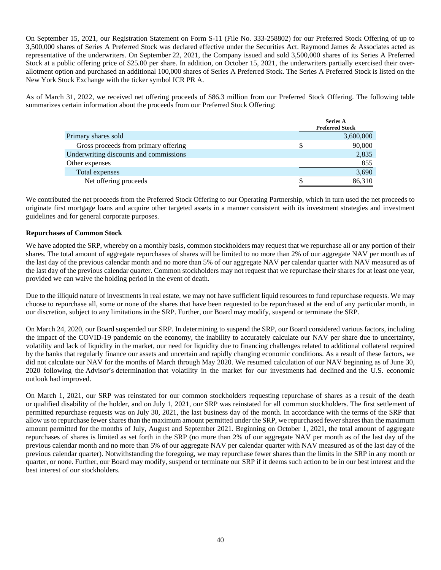On September 15, 2021, our Registration Statement on Form S-11 (File No. 333-258802) for our Preferred Stock Offering of up to 3,500,000 shares of Series A Preferred Stock was declared effective under the Securities Act. Raymond James & Associates acted as representative of the underwriters. On September 22, 2021, the Company issued and sold 3,500,000 shares of its Series A Preferred Stock at a public offering price of \$25.00 per share. In addition, on October 15, 2021, the underwriters partially exercised their overallotment option and purchased an additional 100,000 shares of Series A Preferred Stock. The Series A Preferred Stock is listed on the New York Stock Exchange with the ticker symbol ICR PR A.

As of March 31, 2022, we received net offering proceeds of \$86.3 million from our Preferred Stock Offering. The following table summarizes certain information about the proceeds from our Preferred Stock Offering:

|                                        | <b>Series A</b><br><b>Preferred Stock</b> |
|----------------------------------------|-------------------------------------------|
| Primary shares sold                    | 3,600,000                                 |
| Gross proceeds from primary offering   | 90,000                                    |
| Underwriting discounts and commissions | 2,835                                     |
| Other expenses                         | 855                                       |
| Total expenses                         | 3,690                                     |
| Net offering proceeds                  | 86,310                                    |

We contributed the net proceeds from the Preferred Stock Offering to our Operating Partnership, which in turn used the net proceeds to originate first mortgage loans and acquire other targeted assets in a manner consistent with its investment strategies and investment guidelines and for general corporate purposes.

#### **Repurchases of Common Stock**

We have adopted the SRP, whereby on a monthly basis, common stockholders may request that we repurchase all or any portion of their shares. The total amount of aggregate repurchases of shares will be limited to no more than 2% of our aggregate NAV per month as of the last day of the previous calendar month and no more than 5% of our aggregate NAV per calendar quarter with NAV measured as of the last day of the previous calendar quarter. Common stockholders may not request that we repurchase their shares for at least one year, provided we can waive the holding period in the event of death.

Due to the illiquid nature of investments in real estate, we may not have sufficient liquid resources to fund repurchase requests. We may choose to repurchase all, some or none of the shares that have been requested to be repurchased at the end of any particular month, in our discretion, subject to any limitations in the SRP. Further, our Board may modify, suspend or terminate the SRP.

On March 24, 2020, our Board suspended our SRP. In determining to suspend the SRP, our Board considered various factors, including the impact of the COVID-19 pandemic on the economy, the inability to accurately calculate our NAV per share due to uncertainty, volatility and lack of liquidity in the market, our need for liquidity due to financing challenges related to additional collateral required by the banks that regularly finance our assets and uncertain and rapidly changing economic conditions. As a result of these factors, we did not calculate our NAV for the months of March through May 2020. We resumed calculation of our NAV beginning as of June 30, 2020 following the Advisor's determination that volatility in the market for our investments had declined and the U.S. economic outlook had improved.

On March 1, 2021, our SRP was reinstated for our common stockholders requesting repurchase of shares as a result of the death or qualified disability of the holder, and on July 1, 2021, our SRP was reinstated for all common stockholders. The first settlement of permitted repurchase requests was on July 30, 2021, the last business day of the month. In accordance with the terms of the SRP that allow us to repurchase fewer shares than the maximum amount permitted under the SRP, we repurchased fewer shares than the maximum amount permitted for the months of July, August and September 2021. Beginning on October 1, 2021, the total amount of aggregate repurchases of shares is limited as set forth in the SRP (no more than 2% of our aggregate NAV per month as of the last day of the previous calendar month and no more than 5% of our aggregate NAV per calendar quarter with NAV measured as of the last day of the previous calendar quarter). Notwithstanding the foregoing, we may repurchase fewer shares than the limits in the SRP in any month or quarter, or none. Further, our Board may modify, suspend or terminate our SRP if it deems such action to be in our best interest and the best interest of our stockholders.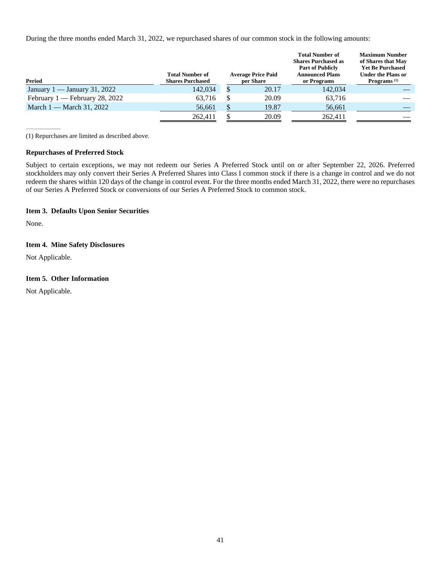During the three months ended March 31, 2022, we repurchased shares of our common stock in the following amounts:

| Period                         | <b>Total Number of</b><br><b>Shares Purchased</b> | <b>Average Price Paid</b><br>per Share | <b>Total Number of</b><br><b>Shares Purchased as</b><br><b>Part of Publicly</b><br><b>Announced Plans</b><br>or Programs | <b>Maximum Number</b><br>of Shares that May<br><b>Yet Be Purchased</b><br><b>Under the Plans or</b><br>Programs <sup>(1)</sup> |
|--------------------------------|---------------------------------------------------|----------------------------------------|--------------------------------------------------------------------------------------------------------------------------|--------------------------------------------------------------------------------------------------------------------------------|
| January 1 — January 31, 2022   | 142,034                                           | 20.17                                  | 142,034                                                                                                                  |                                                                                                                                |
| February 1 — February 28, 2022 | 63.716                                            | 20.09                                  | 63,716                                                                                                                   |                                                                                                                                |
| March $1 -$ March 31, 2022     | 56,661                                            | 19.87                                  | 56,661                                                                                                                   |                                                                                                                                |
|                                | 262,411                                           | 20.09                                  | 262,411                                                                                                                  |                                                                                                                                |

(1) Repurchases are limited as described above.

#### **Repurchases of Preferred Stock**

Subject to certain exceptions, we may not redeem our Series A Preferred Stock until on or after September 22, 2026. Preferred stockholders may only convert their Series A Preferred Shares into Class I common stock if there is a change in control and we do not redeem the shares within 120 days of the change in control event. For the three months ended March 31, 2022, there were no repurchases of our Series A Preferred Stock or conversions of our Series A Preferred Stock to common stock.

#### <span id="page-45-0"></span>**Item 3. Defaults Upon Senior Securities**

<span id="page-45-1"></span>None.

 $\overline{\phantom{a}}$ 

#### **Item 4. Mine Safety Disclosures**

<span id="page-45-2"></span>Not Applicable.

#### **Item 5. Other Information**

Not Applicable.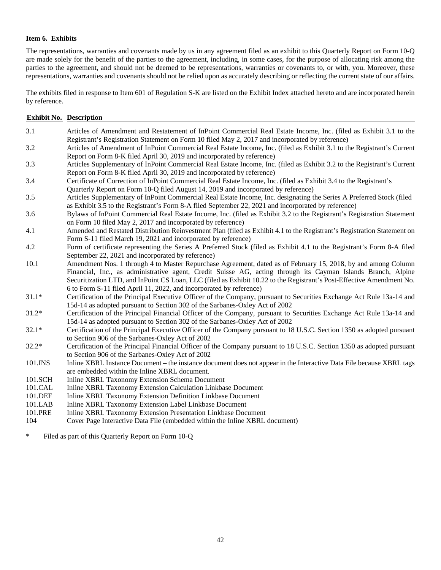#### <span id="page-46-0"></span>**Item 6. Exhibits**

The representations, warranties and covenants made by us in any agreement filed as an exhibit to this Quarterly Report on Form 10-Q are made solely for the benefit of the parties to the agreement, including, in some cases, for the purpose of allocating risk among the parties to the agreement, and should not be deemed to be representations, warranties or covenants to, or with, you. Moreover, these representations, warranties and covenants should not be relied upon as accurately describing or reflecting the current state of our affairs.

The exhibits filed in response to Item 601 of Regulation S-K are listed on the Exhibit Index attached hereto and are incorporated herein by reference.

| <b>Exhibit No. Description</b> |                                                                                                                                                                                                                                                                                                                                                                                                                               |
|--------------------------------|-------------------------------------------------------------------------------------------------------------------------------------------------------------------------------------------------------------------------------------------------------------------------------------------------------------------------------------------------------------------------------------------------------------------------------|
| 3.1                            | Articles of Amendment and Restatement of InPoint Commercial Real Estate Income, Inc. (filed as Exhibit 3.1 to the<br>Registrant's Registration Statement on Form 10 filed May 2, 2017 and incorporated by reference)                                                                                                                                                                                                          |
| 3.2                            | Articles of Amendment of InPoint Commercial Real Estate Income, Inc. (filed as Exhibit 3.1 to the Registrant's Current<br>Report on Form 8-K filed April 30, 2019 and incorporated by reference)                                                                                                                                                                                                                              |
| 3.3                            | Articles Supplementary of InPoint Commercial Real Estate Income, Inc. (filed as Exhibit 3.2 to the Registrant's Current<br>Report on Form 8-K filed April 30, 2019 and incorporated by reference)                                                                                                                                                                                                                             |
| 3.4                            | Certificate of Correction of InPoint Commercial Real Estate Income, Inc. (filed as Exhibit 3.4 to the Registrant's<br>Quarterly Report on Form 10-Q filed August 14, 2019 and incorporated by reference)                                                                                                                                                                                                                      |
| 3.5                            | Articles Supplementary of InPoint Commercial Real Estate Income, Inc. designating the Series A Preferred Stock (filed<br>as Exhibit 3.5 to the Registrant's Form 8-A filed September 22, 2021 and incorporated by reference)                                                                                                                                                                                                  |
| 3.6                            | Bylaws of InPoint Commercial Real Estate Income, Inc. (filed as Exhibit 3.2 to the Registrant's Registration Statement<br>on Form 10 filed May 2, 2017 and incorporated by reference)                                                                                                                                                                                                                                         |
| 4.1                            | Amended and Restated Distribution Reinvestment Plan (filed as Exhibit 4.1 to the Registrant's Registration Statement on<br>Form S-11 filed March 19, 2021 and incorporated by reference)                                                                                                                                                                                                                                      |
| 4.2                            | Form of certificate representing the Series A Preferred Stock (filed as Exhibit 4.1 to the Registrant's Form 8-A filed<br>September 22, 2021 and incorporated by reference)                                                                                                                                                                                                                                                   |
| 10.1                           | Amendment Nos. 1 through 4 to Master Repurchase Agreement, dated as of February 15, 2018, by and among Column<br>Financial, Inc., as administrative agent, Credit Suisse AG, acting through its Cayman Islands Branch, Alpine<br>Securitization LTD, and InPoint CS Loan, LLC (filed as Exhibit 10.22 to the Registrant's Post-Effective Amendment No.<br>6 to Form S-11 filed April 11, 2022, and incorporated by reference) |
| $31.1*$                        | Certification of the Principal Executive Officer of the Company, pursuant to Securities Exchange Act Rule 13a-14 and<br>15d-14 as adopted pursuant to Section 302 of the Sarbanes-Oxley Act of 2002                                                                                                                                                                                                                           |
| $31.2*$                        | Certification of the Principal Financial Officer of the Company, pursuant to Securities Exchange Act Rule 13a-14 and<br>15d-14 as adopted pursuant to Section 302 of the Sarbanes-Oxley Act of 2002                                                                                                                                                                                                                           |
| $32.1*$                        | Certification of the Principal Executive Officer of the Company pursuant to 18 U.S.C. Section 1350 as adopted pursuant<br>to Section 906 of the Sarbanes-Oxley Act of 2002                                                                                                                                                                                                                                                    |
| $32.2*$                        | Certification of the Principal Financial Officer of the Company pursuant to 18 U.S.C. Section 1350 as adopted pursuant<br>to Section 906 of the Sarbanes-Oxley Act of 2002                                                                                                                                                                                                                                                    |
| 101.INS                        | Inline XBRL Instance Document – the instance document does not appear in the Interactive Data File because XBRL tags<br>are embedded within the Inline XBRL document.                                                                                                                                                                                                                                                         |
| 101.SCH                        | Inline XBRL Taxonomy Extension Schema Document                                                                                                                                                                                                                                                                                                                                                                                |
| 101.CAL                        | Inline XBRL Taxonomy Extension Calculation Linkbase Document                                                                                                                                                                                                                                                                                                                                                                  |
| 101.DEF                        | Inline XBRL Taxonomy Extension Definition Linkbase Document                                                                                                                                                                                                                                                                                                                                                                   |
| 101.LAB                        | Inline XBRL Taxonomy Extension Label Linkbase Document                                                                                                                                                                                                                                                                                                                                                                        |
| 101.PRE                        | Inline XBRL Taxonomy Extension Presentation Linkbase Document                                                                                                                                                                                                                                                                                                                                                                 |
| 104                            | Cover Page Interactive Data File (embedded within the Inline XBRL document)                                                                                                                                                                                                                                                                                                                                                   |
| $\ast$                         | Filed as part of this Quarterly Report on Form 10-Q                                                                                                                                                                                                                                                                                                                                                                           |